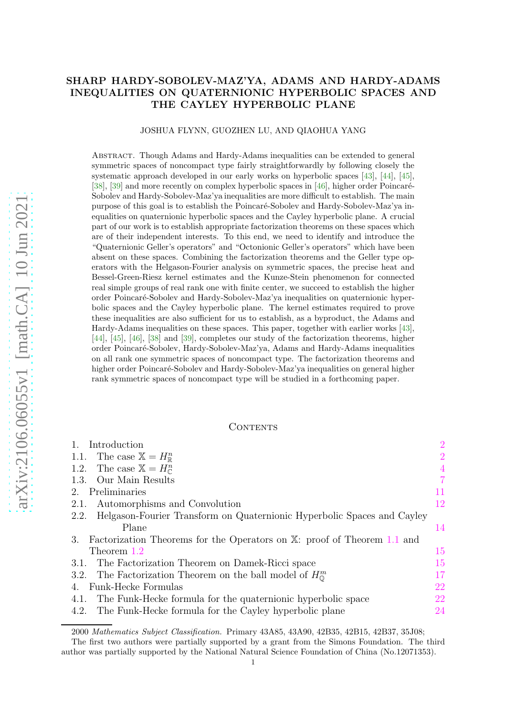# <span id="page-0-0"></span>SHARP HARDY-SOBOLEV-MAZ'YA, ADAMS AND HARDY-ADAMS INEQUALITIES ON QUATERNIONIC HYPERBOLIC SPACES AND THE CAYLEY HYPERBOLIC PLANE

#### JOSHUA FLYNN, GUOZHEN LU, AND QIAOHUA YANG

Abstract. Though Adams and Hardy-Adams inequalities can be extended to general symmetric spaces of noncompact type fairly straightforwardly by following closely the systematic approach developed in our early works on hyperbolic spaces [\[43\]](#page-49-0), [\[44\]](#page-49-1), [\[45\]](#page-49-2), [\[38\]](#page-49-3), [\[39\]](#page-49-4) and more recently on complex hyperbolic spaces in [\[46\]](#page-49-5), higher order Poincaré-Sobolev and Hardy-Sobolev-Maz'ya inequalities are more difficult to establish. The main purpose of this goal is to establish the Poincaré-Sobolev and Hardy-Sobolev-Maz'ya inequalities on quaternionic hyperbolic spaces and the Cayley hyperbolic plane. A crucial part of our work is to establish appropriate factorization theorems on these spaces which are of their independent interests. To this end, we need to identify and introduce the "Quaternionic Geller's operators" and "Octonionic Geller's operators" which have been absent on these spaces. Combining the factorization theorems and the Geller type operators with the Helgason-Fourier analysis on symmetric spaces, the precise heat and Bessel-Green-Riesz kernel estimates and the Kunze-Stein phenomenon for connected real simple groups of real rank one with finite center, we succeed to establish the higher order Poincar´e-Sobolev and Hardy-Sobolev-Maz'ya inequalities on quaternionic hyperbolic spaces and the Cayley hyperbolic plane. The kernel estimates required to prove these inequalities are also sufficient for us to establish, as a byproduct, the Adams and Hardy-Adams inequalities on these spaces. This paper, together with earlier works [\[43\]](#page-49-0), [\[44\]](#page-49-1), [\[45\]](#page-49-2), [\[46\]](#page-49-5), [\[38\]](#page-49-3) and [\[39\]](#page-49-4), completes our study of the factorization theorems, higher order Poincar´e-Sobolev, Hardy-Sobolev-Maz'ya, Adams and Hardy-Adams inequalities on all rank one symmetric spaces of noncompact type. The factorization theorems and higher order Poincaré-Sobolev and Hardy-Sobolev-Maz'ya inequalities on general higher rank symmetric spaces of noncompact type will be studied in a forthcoming paper.

### CONTENTS

| $\overline{2}$ |
|----------------|
| $\overline{2}$ |
| $\frac{4}{7}$  |
|                |
| 11             |
| 12             |
|                |
| 14             |
|                |
| 15             |
| 15             |
| 17             |
| 22             |
| 22             |
| 24             |
|                |

<sup>2000</sup> Mathematics Subject Classification. Primary 43A85, 43A90, 42B35, 42B15, 42B37, 35J08;

The first two authors were partially supported by a grant from the Simons Foundation. The third author was partially supported by the National Natural Science Foundation of China (No.12071353).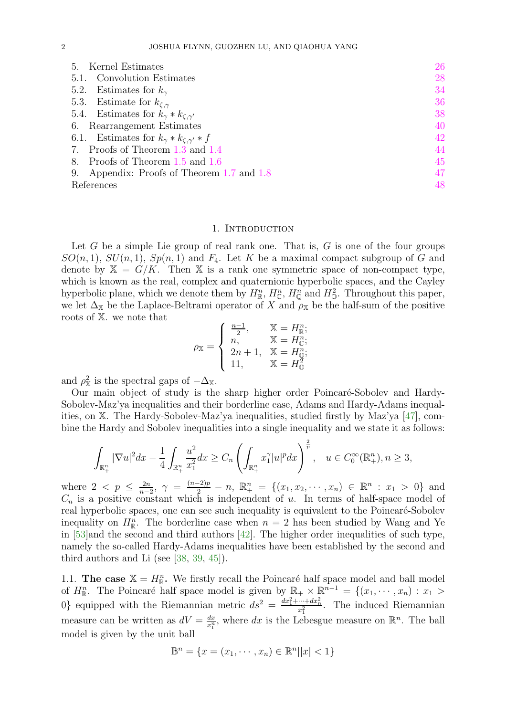<span id="page-1-2"></span>

| 5. Kernel Estimates                                      | 26 |
|----------------------------------------------------------|----|
| 5.1. Convolution Estimates                               | 28 |
| 5.2. Estimates for $k_{\gamma}$                          | 34 |
| 5.3. Estimate for $k_{\zeta,\gamma}$                     | 36 |
| 5.4. Estimates for $k_{\gamma} * k_{\zeta, \gamma'}$     | 38 |
| 6. Rearrangement Estimates                               | 40 |
| 6.1. Estimates for $k_{\gamma} * k_{\zeta, \gamma'} * f$ | 42 |
| 7. Proofs of Theorem 1.3 and 1.4                         | 44 |
| 8. Proofs of Theorem 1.5 and 1.6                         | 45 |
| 9. Appendix: Proofs of Theorem 1.7 and 1.8               | 47 |
| References                                               | 48 |

#### 1. INTRODUCTION

<span id="page-1-0"></span>Let  $G$  be a simple Lie group of real rank one. That is,  $G$  is one of the four groups  $SO(n,1), SU(n,1), Sp(n,1)$  and  $F_4$ . Let K be a maximal compact subgroup of G and denote by  $X = G/K$ . Then X is a rank one symmetric space of non-compact type, which is known as the real, complex and quaternionic hyperbolic spaces, and the Cayley hyperbolic plane, which we denote them by  $H_{\mathbb{R}}^n$ ,  $H_{\mathbb{C}}^n$ ,  $H_{\mathbb{Q}}^n$  and  $H_{\mathbb{Q}}^2$ . Throughout this paper, we let  $\Delta_X$  be the Laplace-Beltrami operator of X and  $\rho_X$  be the half-sum of the positive roots of X. we note that

$$
\rho_{\mathbb{X}} = \begin{cases} \frac{n-1}{2}, & \mathbb{X} = H^n_{\mathbb{R}}; \\ n, & \mathbb{X} = H^n_{\mathbb{C}}; \\ 2n+1, & \mathbb{X} = H^n_{\mathbb{Q}}; \\ 11, & \mathbb{X} = H^n_{\mathbb{Q}} \end{cases}
$$

and  $\rho_{\mathbb{X}}^2$  is the spectral gaps of  $-\Delta_{\mathbb{X}}$ .

Our main object of study is the sharp higher order Poincaré-Sobolev and Hardy-Sobolev-Maz'ya inequalities and their borderline case, Adams and Hardy-Adams inequalities, on X. The Hardy-Sobolev-Maz'ya inequalities, studied firstly by Maz'ya [\[47\]](#page-49-6), combine the Hardy and Sobolev inequalities into a single inequality and we state it as follows:

$$
\int_{\mathbb{R}^n_+} |\nabla u|^2 dx - \frac{1}{4} \int_{\mathbb{R}^n_+} \frac{u^2}{x_1^2} dx \ge C_n \left( \int_{\mathbb{R}^n_+} x_1^{\gamma} |u|^p dx \right)^{\frac{2}{p}}, \quad u \in C_0^{\infty}(\mathbb{R}^n_+), n \ge 3,
$$

where  $2 < p \leq \frac{2n}{n-1}$  $\frac{2n}{n-2}, \gamma = \frac{(n-2)p}{2} - n, \ \mathbb{R}^n_+ = \{(x_1, x_2, \cdots, x_n) \in \mathbb{R}^n : x_1 > 0\}$  and  $C_n$  is a positive constant which is independent of u. In terms of half-space model of real hyperbolic spaces, one can see such inequality is equivalent to the Poincaré-Sobolev inequality on  $H^n_{\mathbb{R}}$ . The borderline case when  $n = 2$  has been studied by Wang and Ye in [\[53\]](#page-49-7)and the second and third authors [\[42\]](#page-49-8). The higher order inequalities of such type, namely the so-called Hardy-Adams inequalities have been established by the second and third authors and Li (see [\[38,](#page-49-3) [39,](#page-49-4) [45\]](#page-49-2)).

<span id="page-1-1"></span>1.1. The case  $\mathbb{X} = H_{\mathbb{R}}^n$ . We firstly recall the Poincaré half space model and ball model of  $H_{\mathbb{R}}^n$ . The Poincaré half space model is given by  $\mathbb{R}_+ \times \mathbb{R}^{n-1} = \{(x_1, \dots, x_n) : x_1 >$ 0} equipped with the Riemannian metric  $ds^2 = \frac{dx_1^2 + \dots + dx_n^2}{x_1^2}$ . The induced Riemannian measure can be written as  $dV = \frac{dx}{x^n}$  $\frac{dx}{x_1^n}$ , where dx is the Lebesgue measure on  $\mathbb{R}^n$ . The ball model is given by the unit ball

$$
\mathbb{B}^n = \{ x = (x_1, \dots, x_n) \in \mathbb{R}^n | |x| < 1 \}
$$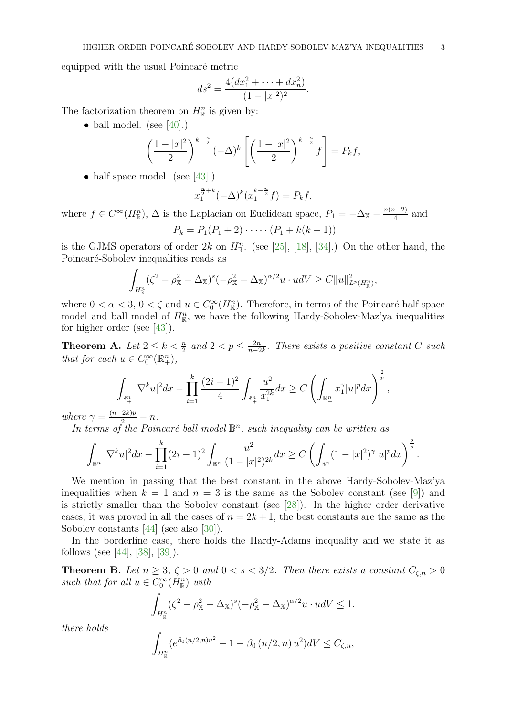<span id="page-2-0"></span>equipped with the usual Poincaré metric

$$
ds^{2} = \frac{4(dx_{1}^{2} + \dots + dx_{n}^{2})}{(1 - |x|^{2})^{2}}.
$$

The factorization theorem on  $H_{\mathbb{R}}^n$  is given by:

• ball model. (see  $[40]$ .)

$$
\left(\frac{1-|x|^2}{2}\right)^{k+\frac{n}{2}}(-\Delta)^k \left[\left(\frac{1-|x|^2}{2}\right)^{k-\frac{n}{2}}f\right] = P_kf,
$$

• half space model. (see [\[43\]](#page-49-0).)

$$
x_1^{\frac{n}{2}+k}(-\Delta)^k (x_1^{k-\frac{n}{2}}f) = P_k f,
$$

where  $f \in C^{\infty}(H_{\mathbb{R}}^n)$ ,  $\Delta$  is the Laplacian on Euclidean space,  $P_1 = -\Delta_{\mathbb{X}} - \frac{n(n-2)}{4}$  $\frac{a-2j}{4}$  and  $P_k = P_1(P_1 + 2) \cdot \cdots \cdot (P_1 + k(k-1))$ 

is the GJMS operators of order  $2k$  on  $H_{\mathbb{R}}^{n}$ . (see [\[25\]](#page-48-0), [\[18\]](#page-48-1), [\[34\]](#page-49-10).) On the other hand, the Poincaré-Sobolev inequalities reads as

$$
\int_{H^n_{\mathbb{R}}} (\zeta^2 - \rho_{\mathbb{X}}^2 - \Delta_{\mathbb{X}})^s (-\rho_{\mathbb{X}}^2 - \Delta_{\mathbb{X}})^{\alpha/2} u \cdot u dV \geq C \|u\|_{L^p(H^n_{\mathbb{R}})},
$$

where  $0 < \alpha < 3$ ,  $0 < \zeta$  and  $u \in C_0^{\infty}(H_{\mathbb{R}}^n)$ . Therefore, in terms of the Poincaré half space model and ball model of  $H_{\mathbb{R}}^{n}$ , we have the following Hardy-Sobolev-Maz'ya inequalities for higher order (see [\[43\]](#page-49-0)).

**Theorem A.** Let  $2 \leq k \leq \frac{n}{2}$  and  $2 < p \leq \frac{2n}{n-2}$ n−2k *. There exists a positive constant* C *such that for each*  $u \in C_0^{\infty}(\mathbb{R}^n_+),$ 

$$
\int_{\mathbb{R}^n_+} |\nabla^k u|^2 dx - \prod_{i=1}^k \frac{(2i-1)^2}{4} \int_{\mathbb{R}^n_+} \frac{u^2}{x_1^{2k}} dx \ge C \left( \int_{\mathbb{R}^n_+} x_1^{\gamma} |u|^p dx \right)^{\frac{2}{p}}
$$

,

 $where \gamma = \frac{(n-2k)p}{2} - n.$ 

In terms of the Poincaré ball model  $\mathbb{B}^n$ , such inequality can be written as

$$
\int_{\mathbb{B}^n} |\nabla^k u|^2 dx - \prod_{i=1}^k (2i-1)^2 \int_{\mathbb{B}^n} \frac{u^2}{(1-|x|^2)^{2k}} dx \ge C \left( \int_{\mathbb{B}^n} (1-|x|^2)^\gamma |u|^p dx \right)^{\frac{2}{p}}.
$$

We mention in passing that the best constant in the above Hardy-Sobolev-Maz'ya inequalities when  $k = 1$  and  $n = 3$  is the same as the Sobolev constant (see [\[9\]](#page-48-2)) and is strictly smaller than the Sobolev constant (see [\[28\]](#page-48-3)). In the higher order derivative cases, it was proved in all the cases of  $n = 2k + 1$ , the best constants are the same as the Sobolev constants [\[44\]](#page-49-1) (see also [\[30\]](#page-48-4)).

In the borderline case, there holds the Hardy-Adams inequality and we state it as follows (see [\[44\]](#page-49-1), [\[38\]](#page-49-3), [\[39\]](#page-49-4)).

**Theorem B.** Let  $n \geq 3$ ,  $\zeta > 0$  and  $0 < s < 3/2$ . Then there exists a constant  $C_{\zeta,n} > 0$ such that for all  $u \in C_0^{\infty}(H_{\mathbb{R}}^n)$  with

$$
\int_{H_{\mathbb{R}}^n} (\zeta^2 - \rho_{\mathbb{X}}^2 - \Delta_{\mathbb{X}})^s (-\rho_{\mathbb{X}}^2 - \Delta_{\mathbb{X}})^{\alpha/2} u \cdot u dV \le 1.
$$

*there holds*

$$
\int_{H_{\mathbb{R}}^n} (e^{\beta_0 (n/2, n)u^2} - 1 - \beta_0 (n/2, n) u^2) dV \le C_{\zeta, n},
$$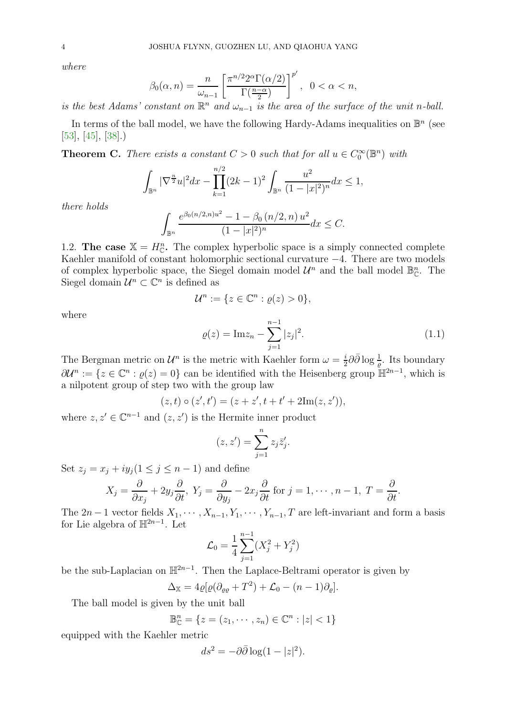<span id="page-3-1"></span>*where*

$$
\beta_0(\alpha, n) = \frac{n}{\omega_{n-1}} \left[ \frac{\pi^{n/2} 2^{\alpha} \Gamma(\alpha/2)}{\Gamma(\frac{n-\alpha}{2})} \right]^{p'}, \quad 0 < \alpha < n,
$$

*is the best Adams' constant on*  $\mathbb{R}^n$  *and*  $\omega_{n-1}$  *is the area of the surface of the unit n-ball.* 

In terms of the ball model, we have the following Hardy-Adams inequalities on  $\mathbb{B}^n$  (see [\[53\]](#page-49-7), [\[45\]](#page-49-2), [\[38\]](#page-49-3).)

**Theorem C.** There exists a constant  $C > 0$  such that for all  $u \in C_0^{\infty}(\mathbb{B}^n)$  with

$$
\int_{\mathbb{B}^n} |\nabla^{\frac{n}{2}} u|^2 dx - \prod_{k=1}^{n/2} (2k-1)^2 \int_{\mathbb{B}^n} \frac{u^2}{(1-|x|^2)^n} dx \le 1,
$$

*there holds*

$$
\int_{\mathbb{B}^n} \frac{e^{\beta_0 (n/2, n)u^2} - 1 - \beta_0 (n/2, n) u^2}{(1 - |x|^2)^n} dx \le C.
$$

<span id="page-3-0"></span>1.2. The case  $\mathbb{X} = H_{\mathbb{C}}^n$ . The complex hyperbolic space is a simply connected complete Kaehler manifold of constant holomorphic sectional curvature −4. There are two models of complex hyperbolic space, the Siegel domain model  $\mathcal{U}^n$  and the ball model  $\mathbb{B}_{\mathbb{C}}^n$ . The Siegel domain  $\mathcal{U}^n \subset \mathbb{C}^n$  is defined as

$$
\mathcal{U}^n := \{ z \in \mathbb{C}^n : \varrho(z) > 0 \},
$$

where

$$
\varrho(z) = \text{Im} z_n - \sum_{j=1}^{n-1} |z_j|^2.
$$
\n(1.1)

The Bergman metric on  $\mathcal{U}^n$  is the metric with Kaehler form  $\omega = \frac{i}{2}$  $\frac{i}{2}\partial\bar{\partial}\log\frac{1}{\varrho}$ . Its boundary  $\partial \mathcal{U}^n := \{z \in \mathbb{C}^n : \varrho(z) = 0\}$  can be identified with the Heisenberg group  $\mathbb{H}^{2n-1}$ , which is a nilpotent group of step two with the group law

$$
(z,t)\circ(z',t')=(z+z',t+t'+2\mathrm{Im}(z,z')),
$$

where  $z, z' \in \mathbb{C}^{n-1}$  and  $(z, z')$  is the Hermite inner product

$$
(z, z') = \sum_{j=1}^{n} z_j \overline{z}'_j.
$$

Set  $z_i = x_i + iy_i (1 \leq j \leq n-1)$  and define

$$
X_j = \frac{\partial}{\partial x_j} + 2y_j \frac{\partial}{\partial t}, \ Y_j = \frac{\partial}{\partial y_j} - 2x_j \frac{\partial}{\partial t} \text{ for } j = 1, \cdots, n-1, \ T = \frac{\partial}{\partial t}.
$$

The 2n − 1 vector fields  $X_1, \dots, X_{n-1}, Y_1, \dots, Y_{n-1}, T$  are left-invariant and form a basis for Lie algebra of  $\mathbb{H}^{2n-1}$ . Let

$$
\mathcal{L}_0 = \frac{1}{4} \sum_{j=1}^{n-1} (X_j^2 + Y_j^2)
$$

be the sub-Laplacian on  $\mathbb{H}^{2n-1}$ . Then the Laplace-Beltrami operator is given by

$$
\Delta_{\mathbb{X}} = 4\varrho[\varrho(\partial_{\varrho\varrho} + T^2) + \mathcal{L}_0 - (n-1)\partial_{\varrho}].
$$

The ball model is given by the unit ball

$$
\mathbb{B}_{\mathbb{C}}^{n} = \{ z = (z_1, \dots, z_n) \in \mathbb{C}^{n} : |z| < 1 \}
$$

equipped with the Kaehler metric

$$
ds^2 = -\partial\bar{\partial}\log(1 - |z|^2).
$$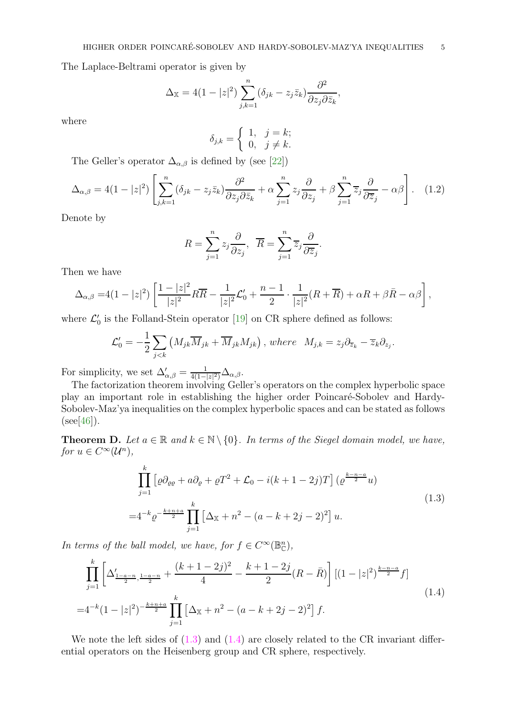<span id="page-4-2"></span>The Laplace-Beltrami operator is given by

$$
\Delta_{\mathbb{X}} = 4(1 - |z|^2) \sum_{j,k=1}^n (\delta_{jk} - z_j \bar{z}_k) \frac{\partial^2}{\partial z_j \partial \bar{z}_k},
$$

where

$$
\delta_{j,k} = \begin{cases} 1, & j = k; \\ 0, & j \neq k. \end{cases}
$$

The Geller's operator  $\Delta_{\alpha,\beta}$  is defined by (see [\[22\]](#page-48-5))

$$
\Delta_{\alpha,\beta} = 4(1 - |z|^2) \left[ \sum_{j,k=1}^n (\delta_{jk} - z_j \bar{z}_k) \frac{\partial^2}{\partial z_j \partial \bar{z}_k} + \alpha \sum_{j=1}^n z_j \frac{\partial}{\partial z_j} + \beta \sum_{j=1}^n \bar{z}_j \frac{\partial}{\partial \bar{z}_j} - \alpha \beta \right]. \tag{1.2}
$$

Denote by

$$
R = \sum_{j=1}^{n} z_j \frac{\partial}{\partial z_j}, \ \ \overline{R} = \sum_{j=1}^{n} \overline{z}_j \frac{\partial}{\partial \overline{z}_j}.
$$

Then we have

$$
\Delta_{\alpha,\beta}=4(1-|z|^2)\left[\frac{1-|z|^2}{|z|^2}R\overline{R}-\frac{1}{|z|^2}\mathcal{L}_0'+\frac{n-1}{2}\cdot\frac{1}{|z|^2}(R+\overline{R})+\alpha R+\beta \bar{R}-\alpha\beta\right],
$$

where  $\mathcal{L}'_0$  is the Folland-Stein operator [\[19\]](#page-48-6) on CR sphere defined as follows:

$$
\mathcal{L}'_0 = -\frac{1}{2} \sum_{j < k} \left( M_{jk} \overline{M}_{jk} + \overline{M}_{jk} M_{jk} \right), \, where \, M_{j,k} = z_j \partial_{\overline{z}_k} - \overline{z}_k \partial_{z_j}.
$$

For simplicity, we set  $\Delta'_{\alpha,\beta} = \frac{1}{4(1-1)}$  $\frac{1}{4(1-|z|^2)}\Delta_{\alpha,\beta}.$ 

The factorization theorem involving Geller's operators on the complex hyperbolic space play an important role in establishing the higher order Poincaré-Sobolev and Hardy-Sobolev-Maz'ya inequalities on the complex hyperbolic spaces and can be stated as follows  $(\text{see} [46]).$  $(\text{see} [46]).$  $(\text{see} [46]).$ 

**Theorem D.** Let  $a \in \mathbb{R}$  and  $k \in \mathbb{N} \setminus \{0\}$ . In terms of the Siegel domain model, we have, *for*  $u \in C^{\infty}(\mathcal{U}^n)$ ,

$$
\prod_{j=1}^{k} \left[ \varrho \partial_{\varrho \varrho} + a \partial_{\varrho} + \varrho T^{2} + \mathcal{L}_{0} - i(k+1-2j)T \right] \left( \varrho^{\frac{k-n-a}{2}} u \right)
$$
  
=  $4^{-k} \varrho^{-\frac{k+n+a}{2}} \prod_{j=1}^{k} \left[ \Delta_{\mathbb{X}} + n^{2} - (a - k + 2j - 2)^{2} \right] u.$  (1.3)

<span id="page-4-0"></span>*In terms of the ball model, we have, for*  $f \in C^{\infty}(\mathbb{B}_{\mathbb{C}}^{n})$ *,* 

<span id="page-4-1"></span>
$$
\prod_{j=1}^{k} \left[ \Delta'_{\frac{1-a-n}{2}, \frac{1-a-n}{2}} + \frac{(k+1-2j)^2}{4} - \frac{k+1-2j}{2} (R - \bar{R}) \right] \left[ (1-|z|^2)^{\frac{k-n-a}{2}} f \right]
$$
  
=  $4^{-k} (1-|z|^2)^{-\frac{k+n+a}{2}} \prod_{j=1}^{k} \left[ \Delta_{\mathbb{X}} + n^2 - (a-k+2j-2)^2 \right] f.$  (1.4)

We note the left sides of  $(1.3)$  and  $(1.4)$  are closely related to the CR invariant differential operators on the Heisenberg group and CR sphere, respectively.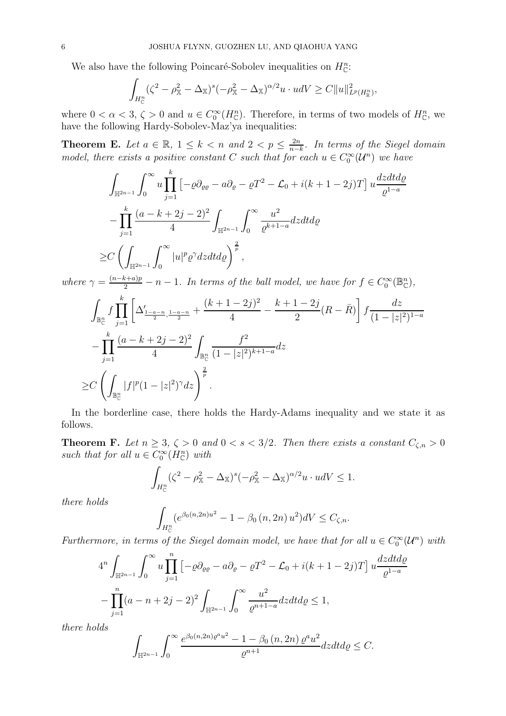We also have the following Poincaré-Sobolev inequalities on  $H^n_{\mathbb{C}}$ :

$$
\int_{H_{\mathbb{C}}^n} (\zeta^2 - \rho_{\mathbb{X}}^2 - \Delta_{\mathbb{X}})^s (-\rho_{\mathbb{X}}^2 - \Delta_{\mathbb{X}})^{\alpha/2} u \cdot u dV \geq C \|u\|_{L^p(H_{\mathbb{R}}^n)}^2,
$$

where  $0 < \alpha < 3$ ,  $\zeta > 0$  and  $u \in C_0^{\infty}(H_{\mathbb{C}}^n)$ . Therefore, in terms of two models of  $H_{\mathbb{C}}^n$ , we have the following Hardy-Sobolev-Maz'ya inequalities:

**Theorem E.** Let  $a \in \mathbb{R}$ ,  $1 \leq k < n$  and  $2 < p \leq \frac{2n}{n-1}$ n−k *. In terms of the Siegel domain model, there exists a positive constant* C such that for each  $u \in C_0^{\infty}(\mathcal{U}^n)$  we have

$$
\int_{\mathbb{H}^{2n-1}} \int_0^\infty u \prod_{j=1}^k \left[ -\varrho \partial_{\varrho \varrho} - a \partial_\varrho - \varrho T^2 - \mathcal{L}_0 + i(k+1-2j)T \right] u \frac{dz dt d\varrho}{\varrho^{1-a}} \n- \prod_{j=1}^k \frac{(a-k+2j-2)^2}{4} \int_{\mathbb{H}^{2n-1}} \int_0^\infty \frac{u^2}{\varrho^{k+1-a}} dz dt d\varrho \n\geq C \left( \int_{\mathbb{H}^{2n-1}} \int_0^\infty |u|^p \varrho^\gamma dz dt d\varrho \right)^{\frac{2}{p}},
$$

where  $\gamma = \frac{(n-k+a)p}{2} - n - 1$ . In terms of the ball model, we have for  $f \in C_0^{\infty}(\mathbb{B}_{\mathbb{C}}^n)$ ,

$$
\int_{\mathbb{B}_{\mathbb{C}}^{n}} f \prod_{j=1}^{k} \left[ \Delta'_{\frac{1-a-n}{2}, \frac{1-a-n}{2}} + \frac{(k+1-2j)^{2}}{4} - \frac{k+1-2j}{2} (R - \bar{R}) \right] f \frac{dz}{(1-|z|^{2})^{1-a}} \n- \prod_{j=1}^{k} \frac{(a-k+2j-2)^{2}}{4} \int_{\mathbb{B}_{\mathbb{C}}^{n}} \frac{f^{2}}{(1-|z|^{2})^{k+1-a}} dz \n\geq C \left( \int_{\mathbb{B}_{\mathbb{C}}^{n}} |f|^{p} (1-|z|^{2})^{\gamma} dz \right)^{\frac{2}{p}}.
$$

In the borderline case, there holds the Hardy-Adams inequality and we state it as follows.

**Theorem F.** Let  $n \geq 3$ ,  $\zeta > 0$  and  $0 < s < 3/2$ . Then there exists a constant  $C_{\zeta,n} > 0$ such that for all  $u \in C_0^{\infty}(H_{\mathbb{C}}^n)$  with

$$
\int_{H_{\mathbb{C}}^n} (\zeta^2 - \rho_{\mathbb{X}}^2 - \Delta_{\mathbb{X}})^s (-\rho_{\mathbb{X}}^2 - \Delta_{\mathbb{X}})^{\alpha/2} u \cdot u dV \le 1.
$$

*there holds*

Z

$$
\int_{H_C^n} (e^{\beta_0(n,2n)u^2} - 1 - \beta_0(n,2n) u^2)dV \le C_{\zeta,n}.
$$

*Furthermore, in terms of the Siegel domain model, we have that for all*  $u \in C_0^{\infty}(\mathcal{U}^n)$  with

$$
4^{n} \int_{\mathbb{H}^{2n-1}} \int_{0}^{\infty} u \prod_{j=1}^{n} \left[ -\varrho \partial_{\varrho\varrho} - a \partial_{\varrho} - \varrho T^{2} - \mathcal{L}_{0} + i(k+1-2j)T \right] u \frac{dz dt d\varrho}{\varrho^{1-a}} - \prod_{j=1}^{n} (a - n + 2j - 2)^{2} \int_{\mathbb{H}^{2n-1}} \int_{0}^{\infty} \frac{u^{2}}{\varrho^{n+1-a}} dz dt d\varrho \le 1,
$$

*there holds*

$$
\int_{\mathbb{H}^{2n-1}} \int_0^\infty \frac{e^{\beta_0(n,2n)\varrho^{a}u^2} - 1 - \beta_0(n,2n)\varrho^{a}u^2}{\varrho^{n+1}} dz dt d\varrho \le C.
$$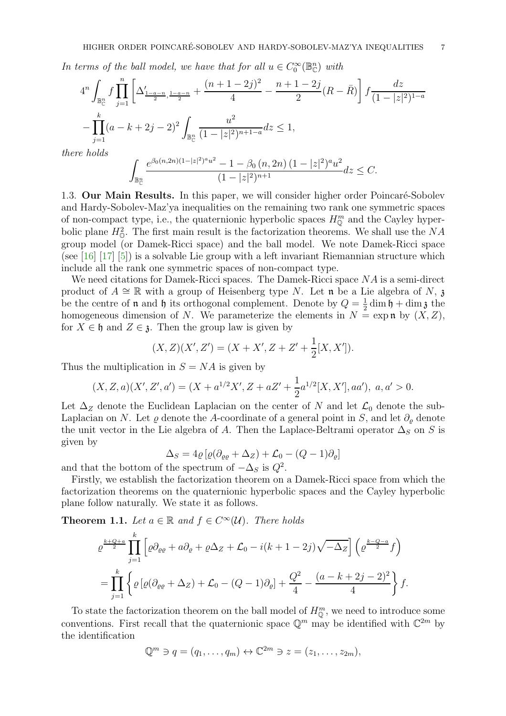<span id="page-6-2"></span>*In terms of the ball model, we have that for all*  $u \in C_0^{\infty}(\mathbb{B}_{\mathbb{C}}^n)$  *with* 

$$
4^{n} \int_{\mathbb{B}_{\mathbb{C}}^{n}} f \prod_{j=1}^{n} \left[ \Delta'_{\frac{1-a-n}{2}, \frac{1-a-n}{2}} + \frac{(n+1-2j)^{2}}{4} - \frac{n+1-2j}{2} (R - \bar{R}) \right] f \frac{dz}{(1-|z|^{2})^{1-a}}
$$

$$
- \prod_{j=1}^{k} (a - k + 2j - 2)^{2} \int_{\mathbb{B}_{\mathbb{C}}^{n}} \frac{u^{2}}{(1-|z|^{2})^{n+1-a}} dz \le 1,
$$
  
there holds
$$
\int_{\mathbb{B}_{\mathbb{C}}^{n}} \frac{e^{\beta_{0}(n,2n)(1-|z|^{2})^{a}u^{2}} - 1 - \beta_{0}(n,2n)(1-|z|^{2})^{a}u^{2}}{(1-|z|^{2})^{n+1}} dz \le C.
$$

<span id="page-6-0"></span>1.3. Our Main Results. In this paper, we will consider higher order Poincaré-Sobolev and Hardy-Sobolev-Maz'ya inequalities on the remaining two rank one symmetric spaces of non-compact type, i.e., the quaternionic hyperbolic spaces  $H_{\mathbb{Q}}^m$  and the Cayley hyperbolic plane  $H_0^2$ . The first main result is the factorization theorems. We shall use the NA group model (or Damek-Ricci space) and the ball model. We note Damek-Ricci space (see [\[16\]](#page-48-7) [\[17\]](#page-48-8) [\[5\]](#page-48-9)) is a solvable Lie group with a left invariant Riemannian structure which include all the rank one symmetric spaces of non-compact type.

We need citations for Damek-Ricci spaces. The Damek-Ricci space NA is a semi-direct product of  $A \cong \mathbb{R}$  with a group of Heisenberg type N. Let **n** be a Lie algebra of N, z be the centre of **n** and **h** its orthogonal complement. Denote by  $Q = \frac{1}{2}$  $\frac{1}{2}$  dim  $\mathfrak{h} +$  dim  $\mathfrak{z}$  the homogeneous dimension of N. We parameterize the elements in  $N = \exp \mathfrak{n}$  by  $(X, Z)$ , for  $X \in \mathfrak{h}$  and  $Z \in \mathfrak{z}$ . Then the group law is given by

$$
(X,Z)(X',Z') = (X+X',Z+Z'+\frac{1}{2}[X,X']).
$$

Thus the multiplication in  $S = NA$  is given by

$$
(X, Z, a)(X', Z', a') = (X + a^{1/2}X', Z + aZ' + \frac{1}{2}a^{1/2}[X, X'], aa'), a, a' > 0.
$$

Let  $\Delta_Z$  denote the Euclidean Laplacian on the center of N and let  $\mathcal{L}_0$  denote the sub-Laplacian on N. Let  $\varrho$  denote the A-coordinate of a general point in S, and let  $\partial_{\varrho}$  denote the unit vector in the Lie algebra of A. Then the Laplace-Beltrami operator  $\Delta_S$  on S is given by

$$
\Delta_S = 4\varrho \left[ \varrho (\partial_{\varrho\varrho} + \Delta_Z) + \mathcal{L}_0 - (Q - 1)\partial_{\varrho} \right]
$$

and that the bottom of the spectrum of  $-\Delta_S$  is  $Q^2$ .

Firstly, we establish the factorization theorem on a Damek-Ricci space from which the factorization theorems on the quaternionic hyperbolic spaces and the Cayley hyperbolic plane follow naturally. We state it as follows.

<span id="page-6-1"></span>**Theorem 1.1.** *Let*  $a \in \mathbb{R}$  *and*  $f \in C^{\infty}(\mathcal{U})$ *. There holds* 

$$
\varrho^{\frac{k+Q+a}{2}} \prod_{j=1}^k \left[ \varrho \partial_{\varrho \varrho} + a \partial_{\varrho} + \varrho \Delta_Z + \mathcal{L}_0 - i(k+1-2j) \sqrt{-\Delta_Z} \right] \left( \varrho^{\frac{k-Q-a}{2}} f \right)
$$
  
= 
$$
\prod_{j=1}^k \left\{ \varrho \left[ \varrho (\partial_{\varrho \varrho} + \Delta_Z) + \mathcal{L}_0 - (Q-1) \partial_{\varrho} \right] + \frac{Q^2}{4} - \frac{(a-k+2j-2)^2}{4} \right\} f.
$$

To state the factorization theorem on the ball model of  $H_{\mathbb{Q}}^m$ , we need to introduce some conventions. First recall that the quaternionic space  $\mathbb{Q}^m$  may be identified with  $\mathbb{C}^{2m}$  by the identification

$$
\mathbb{Q}^m \ni q = (q_1, \dots, q_m) \leftrightarrow \mathbb{C}^{2m} \ni z = (z_1, \dots, z_{2m}),
$$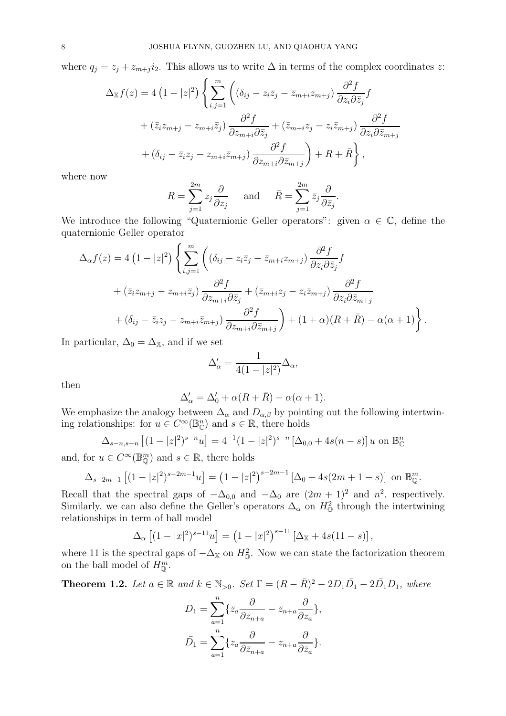where  $q_j = z_j + z_{m+j} i_2$ . This allows us to write  $\Delta$  in terms of the complex coordinates z:

$$
\Delta_{\mathbb{X}} f(z) = 4 (1 - |z|^2) \left\{ \sum_{i,j=1}^m \left( (\delta_{ij} - z_i \bar{z}_j - \bar{z}_{m+i} z_{m+j}) \frac{\partial^2 f}{\partial z_i \partial \bar{z}_j} f \right. \right.\n+ (\bar{z}_i z_{m+j} - z_{m+i} \bar{z}_j) \frac{\partial^2 f}{\partial z_{m+i} \partial \bar{z}_j} + (\bar{z}_{m+i} z_j - z_i \bar{z}_{m+j}) \frac{\partial^2 f}{\partial z_i \partial \bar{z}_{m+j}} \n+ (\delta_{ij} - \bar{z}_i z_j - z_{m+i} \bar{z}_{m+j}) \frac{\partial^2 f}{\partial z_{m+i} \partial \bar{z}_{m+j}} \right\} + R + \bar{R} \right\},
$$

where now

$$
R = \sum_{j=1}^{2m} z_j \frac{\partial}{\partial z_j} \quad \text{and} \quad \bar{R} = \sum_{j=1}^{2m} \bar{z}_j \frac{\partial}{\partial \bar{z}_j}.
$$

We introduce the following "Quaternionic Geller operators": given  $\alpha \in \mathbb{C}$ , define the quaternionic Geller operator

$$
\Delta_{\alpha} f(z) = 4 (1 - |z|^2) \left\{ \sum_{i,j=1}^{m} \left( (\delta_{ij} - z_i \overline{z}_j - \overline{z}_{m+i} z_{m+j}) \frac{\partial^2 f}{\partial z_i \partial \overline{z}_j} f + (\overline{z}_i z_{m+j} - z_{m+i} \overline{z}_j) \frac{\partial^2 f}{\partial z_{m+i} \partial \overline{z}_j} + (\overline{z}_{m+i} z_j - z_i \overline{z}_{m+j}) \frac{\partial^2 f}{\partial z_i \partial \overline{z}_{m+j}} + (\delta_{ij} - \overline{z}_i z_j - z_{m+i} \overline{z}_{m+j}) \frac{\partial^2 f}{\partial z_{m+i} \partial \overline{z}_{m+j}} \right) + (1 + \alpha)(R + \overline{R}) - \alpha(\alpha + 1) \right\}.
$$

In particular,  $\Delta_0 = \Delta_{\mathbb{X}}$ , and if we set

$$
\Delta'_{\alpha} = \frac{1}{4(1 - |z|^2)} \Delta_{\alpha},
$$

then

$$
\Delta'_{\alpha} = \Delta'_{0} + \alpha (R + \bar{R}) - \alpha (\alpha + 1).
$$

We emphasize the analogy between  $\Delta_{\alpha}$  and  $D_{\alpha,\beta}$  by pointing out the following intertwining relationships: for  $u \in C^{\infty}(\mathbb{B}_{\mathbb{C}}^{n})$  and  $s \in \mathbb{R}$ , there holds

$$
\Delta_{s-n,s-n} \left[ (1-|z|^2)^{s-n} u \right] = 4^{-1} (1-|z|^2)^{s-n} \left[ \Delta_{0,0} + 4s(n-s) \right] u
$$
 on  $\mathbb{B}_{\mathbb{C}}^n$ 

and, for  $u \in C^{\infty}(\mathbb{B}_{\mathbb{Q}}^{m})$  and  $s \in \mathbb{R}$ , there holds

$$
\Delta_{s-2m-1} \left[ (1-|z|^2)^{s-2m-1} u \right] = \left( 1-|z|^2 \right)^{s-2m-1} \left[ \Delta_0 + 4s(2m+1-s) \right] \text{ on } \mathbb{B}^m_{\mathbb{Q}}.
$$

Recall that the spectral gaps of  $-\Delta_{0,0}$  and  $-\Delta_0$  are  $(2m + 1)^2$  and  $n^2$ , respectively. Similarly, we can also define the Geller's operators  $\Delta_{\alpha}$  on  $H_0^2$  through the intertwining relationships in term of ball model

$$
\Delta_{\alpha} [(1-|x|^2)^{s-1}u] = (1-|x|^2)^{s-1} [\Delta_{\mathbb{X}} + 4s(11-s)],
$$

where 11 is the spectral gaps of  $-\Delta_{\mathbb{X}}$  on  $H_0^2$ . Now we can state the factorization theorem on the ball model of  $H_{\mathbb{Q}}^m$ .

<span id="page-7-0"></span>**Theorem 1.2.** Let  $a \in \mathbb{R}$  and  $k \in \mathbb{N}_{>0}$ . Set  $\Gamma = (R - \bar{R})^2 - 2D_1\bar{D_1} - 2\bar{D_1}D_1$ , where

$$
D_1 = \sum_{a=1}^n \{ \bar{z}_a \frac{\partial}{\partial z_{n+a}} - \bar{z}_{n+a} \frac{\partial}{\partial z_a} \},
$$
  

$$
\bar{D_1} = \sum_{a=1}^n \{ z_a \frac{\partial}{\partial \bar{z}_{n+a}} - z_{n+a} \frac{\partial}{\partial \bar{z}_a} \}.
$$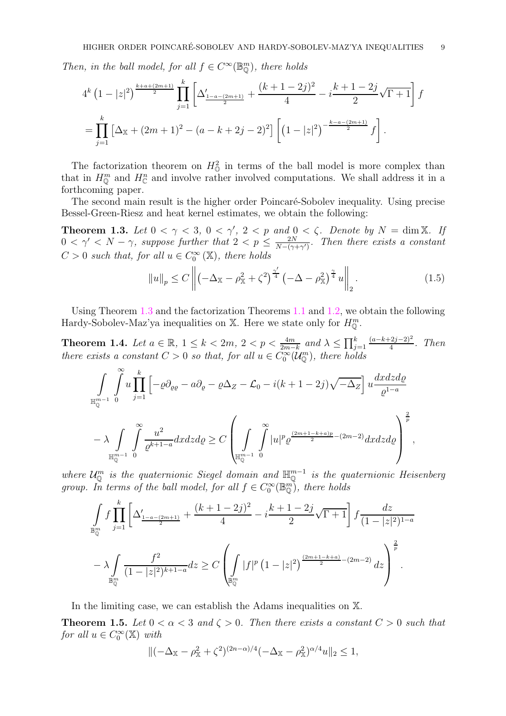*Then, in the ball model, for all*  $f \in C^{\infty}(\mathbb{B}_{\mathbb{Q}}^{m})$ *, there holds* 

$$
4^{k} (1-|z|^2)^{\frac{k+a+(2m+1)}{2}} \prod_{j=1}^{k} \left[ \Delta'_{\frac{1-a-(2m+1)}{2}} + \frac{(k+1-2j)^2}{4} - i \frac{k+1-2j}{2} \sqrt{\Gamma + 1} \right] f
$$
  
= 
$$
\prod_{j=1}^{k} \left[ \Delta_{\mathbb{X}} + (2m+1)^2 - (a-k+2j-2)^2 \right] \left[ (1-|z|^2)^{-\frac{k-a-(2m+1)}{2}} f \right].
$$

The factorization theorem on  $H_0^2$  in terms of the ball model is more complex than that in  $H_{\mathbb{Q}}^m$  and  $H_{\mathbb{C}}^n$  and involve rather involved computations. We shall address it in a forthcoming paper.

The second main result is the higher order Poincaré-Sobolev inequality. Using precise Bessel-Green-Riesz and heat kernel estimates, we obtain the following:

**Theorem 1.3.** Let  $0 < \gamma < 3$ ,  $0 < \gamma'$ ,  $2 < p$  and  $0 < \zeta$ . Denote by  $N = \dim \mathbb{X}$ . If  $0 < \gamma' < N - \gamma$ , suppose further that  $2 < p \leq \frac{2N}{N-(\gamma - 1)}$ N−(γ+γ ′) *. Then there exists a constant*  $C > 0$  such that, for all  $u \in C_0^{\infty}(\mathbb{X})$ , there holds

<span id="page-8-0"></span>
$$
\|u\|_{p} \le C \left\| \left( -\Delta_{\mathbb{X}} - \rho_{\mathbb{X}}^{2} + \zeta^{2} \right)^{\frac{\gamma'}{4}} \left( -\Delta - \rho_{\mathbb{X}}^{2} \right)^{\frac{\gamma}{4}} u \right\|_{2}.
$$
 (1.5)

Using Theorem [1.3](#page-8-0) and the factorization Theorems [1.1](#page-6-1) and [1.2,](#page-7-0) we obtain the following Hardy-Sobolev-Maz'ya inequalities on  $X$ . Here we state only for  $H_{\mathbb{Q}}^m$ .

<span id="page-8-1"></span>**Theorem 1.4.** *Let*  $a \in \mathbb{R}$ ,  $1 \leq k < 2m$ ,  $2 < p < \frac{4m}{2m-k}$  and  $\lambda \leq \prod_{j=1}^{k}$  $(a-k+2j-2)^2$  $\frac{(2j-2)^2}{4}$ . Then *there exists a constant*  $C > 0$  *so that, for all*  $u \in C_0^{\infty}(\mathcal{U}_{\mathbb{Q}}^m)$ *, there holds* 

$$
\int_{\mathbb{H}_{\mathbb{Q}}^{m-1}} \int_{0}^{\infty} u \prod_{j=1}^{k} \left[ -\varrho \partial_{\varrho\varrho} - a \partial_{\varrho} - \varrho \Delta_{Z} - \mathcal{L}_{0} - i(k+1-2j) \sqrt{-\Delta_{Z}} \right] u \frac{dx dz d\varrho}{\varrho^{1-a}} \n- \lambda \int_{\mathbb{H}_{\mathbb{Q}}^{m-1}} \int_{0}^{\infty} \frac{u^{2}}{\varrho^{k+1-a}} dx dz d\varrho \ge C \left( \int_{\mathbb{H}_{\mathbb{Q}}^{m-1}} \int_{0}^{\infty} |u|^{p} \varrho^{\frac{(2m+1-k+a)p}{2}-(2m-2)} dx dz d\varrho \right)^{\frac{2}{p}},
$$

 $where \ U^m_{\mathbb Q}$  is the quaternionic Siegel domain and  $\mathbb H^{m-1}_{\mathbb Q}$  is the quaternionic Heisenberg *group.* In terms of the ball model, for all  $f \in C_0^{\infty}(\mathbb{B}_{\mathbb{Q}}^m)$ , there holds

$$
\int_{\mathbb{B}_{\mathbb{Q}}^{m}} f \prod_{j=1}^{k} \left[ \Delta'_{\frac{1-a-(2m+1)}{2}} + \frac{(k+1-2j)^2}{4} - i \frac{k+1-2j}{2} \sqrt{\Gamma+1} \right] f \frac{dz}{(1-|z|^2)^{1-a}}
$$

$$
- \lambda \int_{\mathbb{B}_{\mathbb{Q}}^{m}} \frac{f^2}{(1-|z|^2)^{k+1-a}} dz \geq C \left( \int_{\mathbb{B}_{\mathbb{Q}}^{m}} |f|^p (1-|z|^2)^{\frac{(2m+1-k+a)}{2}-(2m-2)} dz \right)^{\frac{2}{p}}.
$$

In the limiting case, we can establish the Adams inequalities on X.

<span id="page-8-2"></span>**Theorem 1.5.** Let  $0 < \alpha < 3$  and  $\zeta > 0$ . Then there exists a constant  $C > 0$  such that *for all*  $u \in C_0^{\infty}(\mathbb{X})$  *with* 

$$
\|(-\Delta_{\mathbb{X}} - \rho_{\mathbb{X}}^2 + \zeta^2)^{(2n-\alpha)/4}(-\Delta_{\mathbb{X}} - \rho_{\mathbb{X}}^2)^{\alpha/4}u\|_2 \le 1,
$$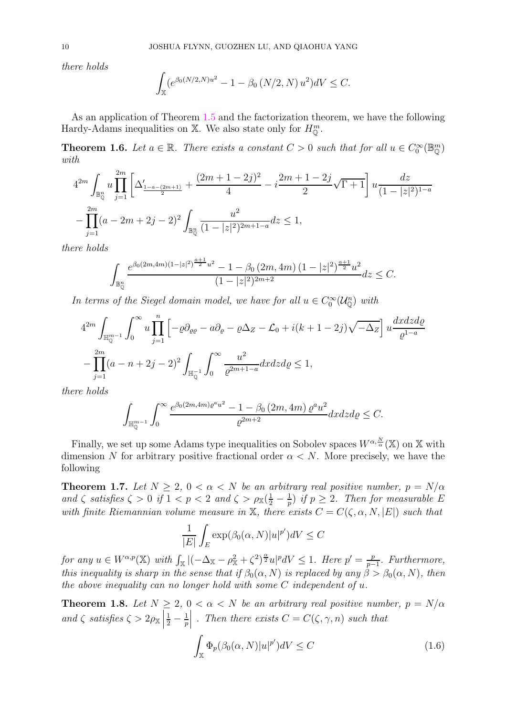*there holds*

$$
\int_{\mathbb{X}} (e^{\beta_0(N/2,N)u^2} - 1 - \beta_0(N/2,N)u^2)dV \le C.
$$

As an application of Theorem [1.5](#page-8-2) and the factorization theorem, we have the following Hardy-Adams inequalities on X. We also state only for  $H_{\mathbb{Q}}^m$ .

<span id="page-9-0"></span>**Theorem 1.6.** *Let*  $a \in \mathbb{R}$ *. There exists a constant*  $C > 0$  *such that for all*  $u \in C_0^{\infty}(\mathbb{B}_{\mathbb{Q}}^m)$ *with*

$$
4^{2m} \int_{\mathbb{B}_\mathbb{Q}^n} u \prod_{j=1}^{2m} \left[ \Delta'_{\frac{1-a-(2m+1)}{2}} + \frac{(2m+1-2j)^2}{4} - i \frac{2m+1-2j}{2} \sqrt{\Gamma+1} \right] u \frac{dz}{(1-|z|^2)^{1-a}}
$$
  

$$
-\prod_{j=1}^{2m} (a-2m+2j-2)^2 \int_{\mathbb{B}_\mathbb{Q}^n} \frac{u^2}{(1-|z|^2)^{2m+1-a}} dz \le 1,
$$

*there holds*

$$
\int_{\mathbb{B}^n_Q} \frac{e^{\beta_0(2m, 4m)(1-|z|^2)^{\frac{a+1}{2}}u^2}-1-\beta_0(2m, 4m)(1-|z|^2)^{\frac{a+1}{2}}u^2}{(1-|z|^2)^{2m+2}}dz \leq C.
$$

*In terms of the Siegel domain model, we have for all*  $u \in C_0^{\infty}(\mathcal{U}_{\mathbb{Q}}^n)$  with

$$
4^{2m} \int_{\mathbb{H}_{\mathbb{Q}}^{m-1}} \int_{0}^{\infty} u \prod_{j=1}^{n} \left[ -\varrho \partial_{\varrho \varrho} - a \partial_{\varrho} - \varrho \Delta_{Z} - \mathcal{L}_{0} + i(k+1-2j) \sqrt{-\Delta_{Z}} \right] u \frac{dxdzd\varrho}{\varrho^{1-a}} - \prod_{j=1}^{2m} (a - n + 2j - 2)^{2} \int_{\mathbb{H}_{\mathbb{Q}}^{-1}} \int_{0}^{\infty} \frac{u^{2}}{\varrho^{2m+1-a}} dxdzd\varrho \le 1,
$$

*there holds*

$$
\int_{\mathbb{H}_{\mathbb{Q}}^{m-1}} \int_0^{\infty} \frac{e^{\beta_0(2m, 4m)\varrho^a u^2} - 1 - \beta_0(2m, 4m) \varrho^a u^2}{\varrho^{2m+2}} dx dz d\varrho \le C.
$$

Finally, we set up some Adams type inequalities on Sobolev spaces  $W^{\alpha,\frac{N}{\alpha}}(\mathbb{X})$  on X with dimension N for arbitrary positive fractional order  $\alpha < N$ . More precisely, we have the following

<span id="page-9-1"></span>**Theorem 1.7.** Let  $N \geq 2$ ,  $0 < \alpha < N$  be an arbitrary real positive number,  $p = N/\alpha$ *and*  $\zeta$  *satisfies*  $\zeta > 0$  *if*  $1 < p < 2$  *and*  $\zeta > \rho_{\mathbb{X}}(\frac{1}{2} - \frac{1}{p})$  $\frac{1}{p}$  if  $p \geq 2$ . Then for measurable E *with finite Riemannian volume measure in* X, *there exists*  $C = C(\zeta, \alpha, N, |E|)$  *such that* 

$$
\frac{1}{|E|}\int_{E}\exp(\beta_0(\alpha,N)|u|^{p'})dV\leq C
$$

*for any*  $u \in W^{\alpha,p}(\mathbb{X})$  *with*  $\int_{\mathbb{X}} |(-\Delta_{\mathbb{X}} - \rho_{\mathbb{X}}^2 + \zeta^2)^{\frac{\alpha}{2}} u|^p dV \leq 1$ *. Here*  $p' = \frac{p}{p-1}$ p−1 *. Furthermore, this inequality is sharp in the sense that if*  $\beta_0(\alpha, N)$  *is replaced by any*  $\beta > \beta_0(\alpha, N)$ *, then the above inequality can no longer hold with some* C *independent of* u*.*

<span id="page-9-2"></span>**Theorem 1.8.** *Let*  $N \geq 2$ ,  $0 < \alpha < N$  *be an arbitrary real positive number,*  $p = N/\alpha$ *and*  $\zeta$  *satisfies*  $\zeta > 2\rho_{\mathbb{X}}$  $\frac{1}{2}-\frac{1}{p}$ p *. Then there exists*  $C = C(\zeta, \gamma, n)$  *such that* 

$$
\int_{\mathbb{X}} \Phi_p(\beta_0(\alpha, N)|u|^{p'})dV \le C \tag{1.6}
$$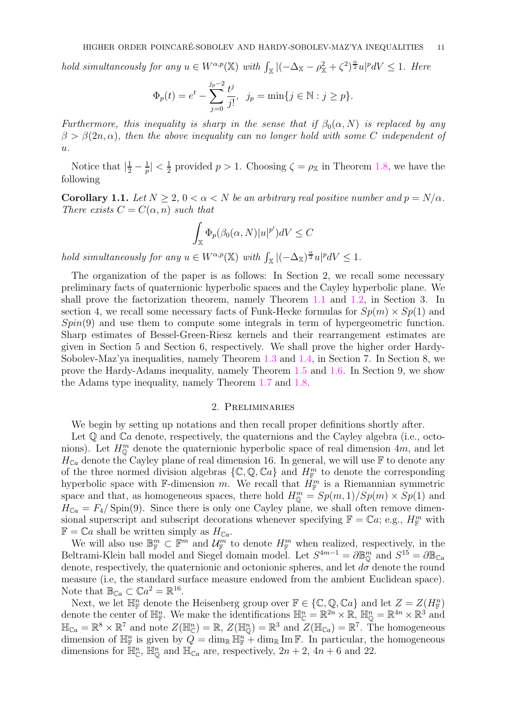*hold simultaneously for any*  $u \in W^{\alpha,p}(\mathbb{X})$  *with*  $\int_{\mathbb{X}} |(-\Delta_{\mathbb{X}} - \rho_{\mathbb{X}}^2 + \zeta^2)^{\frac{\alpha}{2}} u|^p dV \leq 1$ . Here

$$
\Phi_p(t) = e^t - \sum_{j=0}^{j_p-2} \frac{t^j}{j!}, \ \ j_p = \min\{j \in \mathbb{N} : j \ge p\}.
$$

*Furthermore, this inequality is sharp in the sense that if*  $\beta_0(\alpha, N)$  *is replaced by any*  $\beta > \beta(2n, \alpha)$ , then the above inequality can no longer hold with some C independent of u*.*

Notice that  $\left|\frac{1}{2} - \frac{1}{p}\right|$  $\frac{1}{p}|<\frac{1}{2}$  $\frac{1}{2}$  provided  $p > 1$ . Choosing  $\zeta = \rho_{\mathbb{X}}$  in Theorem [1.8,](#page-9-2) we have the following

**Corollary 1.1.** Let  $N \geq 2$ ,  $0 < \alpha < N$  be an arbitrary real positive number and  $p = N/\alpha$ . *There exists*  $C = C(\alpha, n)$  *such that* 

$$
\int_{\mathbb{X}} \Phi_p(\beta_0(\alpha, N)|u|^{p'})dV \le C
$$

*hold simultaneously for any*  $u \in W^{\alpha,p}(\mathbb{X})$  *with*  $\int_{\mathbb{X}} |(-\Delta_{\mathbb{X}})^{\frac{\alpha}{2}} u|^p dV \leq 1$ *.* 

The organization of the paper is as follows: In Section 2, we recall some necessary preliminary facts of quaternionic hyperbolic spaces and the Cayley hyperbolic plane. We shall prove the factorization theorem, namely Theorem [1.1](#page-6-1) and [1.2,](#page-7-0) in Section 3. In section 4, we recall some necessary facts of Funk-Hecke formulas for  $Sp(m) \times Sp(1)$  and  $Spin(9)$  and use them to compute some integrals in term of hypergeometric function. Sharp estimates of Bessel-Green-Riesz kernels and their rearrangement estimates are given in Section 5 and Section 6, respectively. We shall prove the higher order Hardy-Sobolev-Maz'ya inequalities, namely Theorem [1.3](#page-8-0) and [1.4,](#page-8-1) in Section 7. In Section 8, we prove the Hardy-Adams inequality, namely Theorem [1.5](#page-8-2) and [1.6.](#page-9-0) In Section 9, we show the Adams type inequality, namely Theorem [1.7](#page-9-1) and [1.8.](#page-9-2)

#### 2. Preliminaries

<span id="page-10-0"></span>We begin by setting up notations and then recall proper definitions shortly after.

Let  $\mathbb Q$  and  $\mathbb C$  denote, respectively, the quaternions and the Cayley algebra (i.e., octonions). Let  $H_{\mathbb{Q}}^m$  denote the quaternionic hyperbolic space of real dimension  $4m$ , and let  $H_{\mathbb{C}_a}$  denote the Cayley plane of real dimension 16. In general, we will use  $\mathbb F$  to denote any of the three normed division algebras  $\{C, Q, Ca\}$  and  $H^m_{\mathbb{F}}$  to denote the corresponding hyperbolic space with  $\mathbb{F}\text{-dimension } m$ . We recall that  $H^m_{\mathbb{F}}$  is a Riemannian symmetric space and that, as homogeneous spaces, there hold  $H_{\mathbb{Q}}^m = Sp(m,1)/Sp(m) \times Sp(1)$  and  $H_{\mathbb{C}a} = F_4/\operatorname{Spin}(9)$ . Since there is only one Cayley plane, we shall often remove dimensional superscript and subscript decorations whenever specifying  $\mathbb{F} = \mathbb{C}a$ ; e.g.,  $H_{\mathbb{F}}^m$  with  $\mathbb{F} = \mathbb{C}a$  shall be written simply as  $H_{\mathbb{C}a}$ .

We will also use  $\mathbb{B}^m_{\mathbb{F}} \subset \mathbb{F}^m$  and  $\mathcal{U}^m_{\mathbb{F}}$  to denote  $H^m_{\mathbb{F}}$  when realized, respectively, in the Beltrami-Klein ball model and Siegel domain model. Let  $S^{4m-1} = \partial \mathbb{B}^m_{\mathbb{Q}}$  and  $S^{15} = \partial \mathbb{B}_{\mathbb{C}^n}$ denote, respectively, the quaternionic and octonionic spheres, and let  $d\sigma$  denote the round measure (i.e, the standard surface measure endowed from the ambient Euclidean space). Note that  $\mathbb{B}_{\mathbb{C}a} \subset \mathbb{C}a^2 = \mathbb{R}^{16}$ .

Next, we let  $\mathbb{H}^n_{\mathbb{F}}$  denote the Heisenberg group over  $\mathbb{F} \in \{ \mathbb{C}, \mathbb{Q}, \mathbb{C}a \}$  and let  $Z = Z(H^n_{\mathbb{F}})$ denote the center of  $\mathbb{H}_{\mathbb{F}}^n$ . We make the identifications  $\mathbb{H}_{\mathbb{C}}^n = \mathbb{R}^{2n} \times \mathbb{R}$ ,  $\mathbb{H}_{\mathbb{Q}}^n = \mathbb{R}^{4n} \times \mathbb{R}^3$  and  $\mathbb{H}_{\mathbb{C}a} = \mathbb{R}^8 \times \mathbb{R}^7$  and note  $Z(\mathbb{H}_{\mathbb{C}}^n) = \mathbb{R}, Z(\mathbb{H}_{\mathbb{C}}^n) = \mathbb{R}^3$  and  $Z(\mathbb{H}_{\mathbb{C}a}) = \mathbb{R}^7$ . The homogeneous dimension of  $\mathbb{H}^n_{\mathbb{F}}$  is given by  $Q = \dim_{\mathbb{R}} \mathbb{H}^n_{\mathbb{F}} + \dim_{\mathbb{R}} \text{Im }\mathbb{F}$ . In particular, the homogeneous dimensions for  $\mathbb{H}_{\mathbb{C}}^n$ ,  $\mathbb{H}_{\mathbb{Q}}^n$  and  $\mathbb{H}_{\mathbb{C}}$  are, respectively,  $2n + 2$ ,  $4n + 6$  and 22.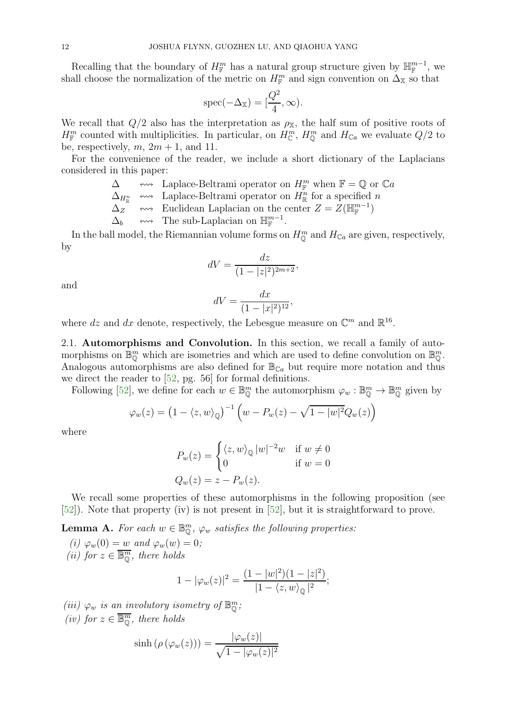<span id="page-11-2"></span>Recalling that the boundary of  $H^m_{\mathbb{F}}$  has a natural group structure given by  $\mathbb{H}^{m-1}_{\mathbb{F}}$ , we shall choose the normalization of the metric on  $H_{\mathbb{F}}^m$  and sign convention on  $\Delta_{\mathbb{X}}$  so that

$$
\operatorname{spec}(-\Delta_{\mathbb{X}})=[\frac{Q^2}{4},\infty).
$$

We recall that  $Q/2$  also has the interpretation as  $\rho_X$ , the half sum of positive roots of  $H_{\mathbb{F}}^m$  counted with multiplicities. In particular, on  $H_{\mathbb{C}}^m$ ,  $H_{\mathbb{Q}}^m$  and  $H_{\mathbb{C}}$  we evaluate  $Q/2$  to be, respectively,  $m, 2m + 1$ , and 11.

For the convenience of the reader, we include a short dictionary of the Laplacians considered in this paper:

 $\Delta$  ''' Laplace-Beltrami operator on  $H_{\mathbb{F}}^m$  when  $\mathbb{F} = \mathbb{Q}$  or  $\mathbb{C}a$ 

 $\Delta_{H^n_{\mathbb{R}}}$   $\leftrightarrow$  Laplace-Beltrami operator on  $H^n_{\mathbb{R}}$  for a specified n

 $\Delta_Z$ <sup>\*</sup>  $\leftrightarrow$  Euclidean Laplacian on the center  $Z = Z(\mathbb{H}_{\mathbb{F}}^{m-1})$ 

 $\Delta_b$   $\longrightarrow$  The sub-Laplacian on  $\mathbb{H}_{\mathbb{F}}^{m-1}$ .

In the ball model, the Riemannian volume forms on  $H_{\mathbb{Q}}^m$  and  $H_{\mathbb{C}_a}$  are given, respectively, by

$$
dV = \frac{dz}{(1 - |z|^2)^{2m+2}},
$$

and

$$
dV = \frac{dx}{(1 - |x|^2)^{12}},
$$

<span id="page-11-0"></span>where dz and dx denote, respectively, the Lebesgue measure on  $\mathbb{C}^m$  and  $\mathbb{R}^{16}$ .

2.1. Automorphisms and Convolution. In this section, we recall a family of automorphisms on  $\mathbb{B}_{\mathbb{Q}}^m$  which are isometries and which are used to define convolution on  $\mathbb{B}_{\mathbb{Q}}^m$ . Analogous automorphisms are also defined for  $\mathbb{B}_{\mathbb{C}_a}$  but require more notation and thus we direct the reader to [\[52,](#page-49-11) pg. 56] for formal definitions.

Following [\[52\]](#page-49-11), we define for each  $w \in \mathbb{B}_{\mathbb{Q}}^m$  the automorphism  $\varphi_w : \mathbb{B}_{\mathbb{Q}}^m \to \mathbb{B}_{\mathbb{Q}}^m$  given by

$$
\varphi_w(z) = \left(1 - \langle z, w \rangle_{\mathbb{Q}}\right)^{-1} \left(w - P_w(z) - \sqrt{1 - |w|^2} Q_w(z)\right)
$$

where

$$
P_w(z) = \begin{cases} \langle z, w \rangle_{\mathbb{Q}} |w|^{-2}w & \text{if } w \neq 0\\ 0 & \text{if } w = 0 \end{cases}
$$
  

$$
Q_w(z) = z - P_w(z).
$$

We recall some properties of these automorphisms in the following proposition (see [\[52\]](#page-49-11)). Note that property (iv) is not present in [\[52\]](#page-49-11), but it is straightforward to prove.

<span id="page-11-1"></span>Lemma A. *For each*  $w \in \mathbb{B}_{\mathbb{Q}}^m$ ,  $\varphi_w$  *satisfies the following properties:* 

*(i)*  $\varphi_w(0) = w$  *and*  $\varphi_w(w) = 0$ *; (ii)* for  $z \in \overline{\mathbb{B}_{\mathbb{Q}}^m}$ , there holds

$$
1 - |\varphi_w(z)|^2 = \frac{(1 - |w|^2)(1 - |z|^2)}{|1 - \langle z, w \rangle_{\mathbb{Q}}|^2};
$$

(*iii*)  $\varphi_w$  *is an involutory isometry of*  $\mathbb{B}_{\mathbb{Q}}^m$ ;

 $(iv)$  for  $z \in \overline{\mathbb{B}_{\mathbb{Q}}^m}$ , there holds

$$
\sinh(\rho(\varphi_w(z))) = \frac{|\varphi_w(z)|}{\sqrt{1 - |\varphi_w(z)|^2}}
$$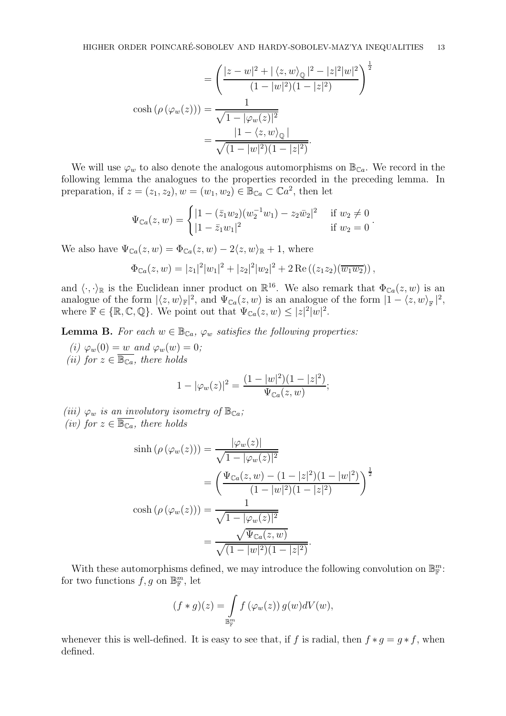$$
= \left(\frac{|z-w|^2 + |\langle z,w\rangle_{\mathbb{Q}}|^2 - |z|^2|w|^2}{(1-|w|^2)(1-|z|^2)}\right)^{\frac{1}{2}}
$$
  
cosh $(\rho(\varphi_w(z))) = \frac{1}{\sqrt{1-|\varphi_w(z)|^2}}$   

$$
= \frac{|1-\langle z,w\rangle_{\mathbb{Q}}|}{\sqrt{(1-|w|^2)(1-|z|^2)}}.
$$

We will use  $\varphi_w$  to also denote the analogous automorphisms on  $\mathbb{B}_{\mathbb{C}_a}$ . We record in the following lemma the analogues to the properties recorded in the preceding lemma. In preparation, if  $z = (z_1, z_2), w = (w_1, w_2) \in \mathbb{B}_{\mathbb{C}_a} \subset \mathbb{C}a^2$ , then let

$$
\Psi_{\mathbb{C}a}(z,w) = \begin{cases}\n|1 - (\bar{z}_1 w_2)(w_2^{-1} w_1) - z_2 \bar{w}_2|^2 & \text{if } w_2 \neq 0 \\
|1 - \bar{z}_1 w_1|^2 & \text{if } w_2 = 0\n\end{cases}
$$

.

We also have  $\Psi_{\mathbb{C}_a}(z, w) = \Phi_{\mathbb{C}_a}(z, w) - 2\langle z, w \rangle_{\mathbb{R}} + 1$ , where

$$
\Phi_{\mathbb{C}a}(z,w) = |z_1|^2 |w_1|^2 + |z_2|^2 |w_2|^2 + 2 \operatorname{Re}((z_1 z_2)(\overline{w_1 w_2})),
$$

and  $\langle \cdot, \cdot \rangle_{\mathbb{R}}$  is the Euclidean inner product on  $\mathbb{R}^{16}$ . We also remark that  $\Phi_{\mathbb{C}a}(z, w)$  is an analogue of the form  $|\langle z, w \rangle_{\mathbb{F}}|^2$ , and  $\Psi_{\mathbb{C}a}(z, w)$  is an analogue of the form  $|1 - \langle z, w \rangle_{\mathbb{F}}|^2$ , where  $\mathbb{F} \in \{\mathbb{R}, \mathbb{C}, \mathbb{Q}\}.$  We point out that  $\Psi_{\mathbb{C}a}(z,w) \leq |z|^2 |w|^2$ .

<span id="page-12-0"></span>**Lemma B.** For each  $w \in \mathbb{B}_{\mathbb{C}_a}$ ,  $\varphi_w$  *satisfies the following properties:* 

*(i)*  $\varphi_w(0) = w$  *and*  $\varphi_w(w) = 0$ *; (ii)* for  $z \in \overline{\mathbb{B}_{\mathbb{C}_a}}$ , there holds

$$
1 - |\varphi_w(z)|^2 = \frac{(1 - |w|^2)(1 - |z|^2)}{\Psi_{\mathbb{C}a}(z, w)};
$$

*(iii)*  $\varphi_w$  *is an involutory isometry of*  $\mathbb{B}_{\mathbb{C}a}$ *; (iv)* for  $z \in \overline{\mathbb{B}_{\mathbb{C}_a}}$ , there holds

$$
\sinh(\rho(\varphi_w(z))) = \frac{|\varphi_w(z)|}{\sqrt{1 - |\varphi_w(z)|^2}}
$$

$$
= \left(\frac{\Psi_{\mathbb{C}a}(z, w) - (1 - |z|^2)(1 - |w|^2)}{(1 - |w|^2)(1 - |z|^2)}\right)^{\frac{1}{2}}
$$

$$
\cosh(\rho(\varphi_w(z))) = \frac{1}{\sqrt{1 - |\varphi_w(z)|^2}}
$$

$$
= \frac{\sqrt{\Psi_{\mathbb{C}a}(z, w)}}{\sqrt{(1 - |w|^2)(1 - |z|^2)}}.
$$

With these automorphisms defined, we may introduce the following convolution on  $\mathbb{B}_{\mathbb{F}}^m$ : for two functions  $f, g$  on  $\mathbb{B}_{\mathbb{F}}^m$ , let

$$
(f\ast g)(z)=\int\limits_{\mathbb{B}^{m}_{\mathbb{F}}}f\left(\varphi_{w}(z)\right)g(w)dV(w),
$$

whenever this is well-defined. It is easy to see that, if f is radial, then  $f * g = g * f$ , when defined.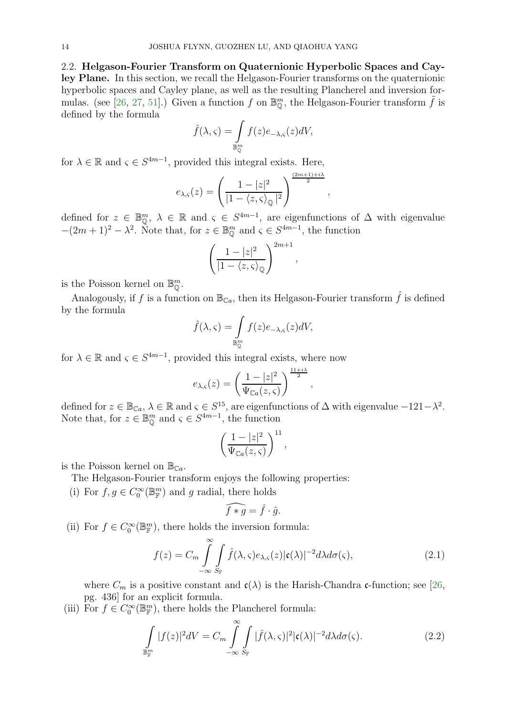<span id="page-13-1"></span><span id="page-13-0"></span>2.2. Helgason-Fourier Transform on Quaternionic Hyperbolic Spaces and Cayley Plane. In this section, we recall the Helgason-Fourier transforms on the quaternionic hyperbolic spaces and Cayley plane, as well as the resulting Plancherel and inversion for-mulas. (see [\[26,](#page-48-10) [27,](#page-48-11) [51\]](#page-49-12).) Given a function f on  $\mathbb{B}_{\mathbb{Q}}^m$ , the Helgason-Fourier transform  $\tilde{f}$  is defined by the formula

$$
\hat{f}(\lambda,\varsigma)=\int\limits_{\mathbb{B}^m_{\mathbb{Q}}}f(z)e_{-\lambda,\varsigma}(z)dV,
$$

for  $\lambda \in \mathbb{R}$  and  $\varsigma \in S^{4m-1}$ , provided this integral exists. Here,

$$
e_{\lambda,\varsigma}(z) = \left(\frac{1-|z|^2}{|1-\langle z,\varsigma\rangle_{\mathbb{Q}}|^2}\right)^{\frac{(2m+1)+i\lambda}{2}},
$$

defined for  $z \in \mathbb{B}_{\mathbb{Q}}^m$ ,  $\lambda \in \mathbb{R}$  and  $\varsigma \in S^{4m-1}$ , are eigenfunctions of  $\Delta$  with eigenvalue  $-(2m+1)^2 - \lambda^2$ . Note that, for  $z \in \mathbb{B}_{\mathbb{Q}}^m$  and  $\varsigma \in S^{4m-1}$ , the function

$$
\left(\frac{1-|z|^2}{|1-\langle z,\varsigma\rangle_{\mathbb{Q}}}\right)^{2m+1}
$$

,

is the Poisson kernel on  $\mathbb{B}_{\mathbb{Q}}^m$ .

Analogously, if f is a function on  $\mathbb{B}_{\mathbb{C}_a}$ , then its Helgason-Fourier transform  $\hat{f}$  is defined by the formula

$$
\hat{f}(\lambda,\varsigma) = \int\limits_{\mathbb{B}^m_{{\mathbb Q}}} f(z) e_{-\lambda,\varsigma}(z) dV,
$$

for  $\lambda \in \mathbb{R}$  and  $\varsigma \in S^{4m-1}$ , provided this integral exists, where now

$$
e_{\lambda,\varsigma}(z) = \left(\frac{1-|z|^2}{\Psi_{\mathbb{C}a}(z,\varsigma)}\right)^{\frac{11+i\lambda}{2}},
$$

defined for  $z \in \mathbb{B}_{\mathbb{C}_a}$ ,  $\lambda \in \mathbb{R}$  and  $\varsigma \in S^{15}$ , are eigenfunctions of  $\Delta$  with eigenvalue  $-121-\lambda^2$ . Note that, for  $z \in \mathbb{B}_{\mathbb{Q}}^m$  and  $\varsigma \in S^{4m-1}$ , the function

$$
\left(\frac{1-|z|^2}{\Psi_{\mathbb{C}a}(z,\varsigma)}\right)^{11},\,
$$

is the Poisson kernel on  $\mathbb{B}_{\mathbb{C}_a}$ .

The Helgason-Fourier transform enjoys the following properties:

(i) For  $f, g \in C_0^{\infty}(\mathbb{B}_{\mathbb{F}}^m)$  and g radial, there holds

$$
\widehat{f * g} = \hat{f} \cdot \hat{g}.
$$

(ii) For  $f \in C_0^{\infty}(\mathbb{B}_{\mathbb{F}}^m)$ , there holds the inversion formula:

$$
f(z) = C_m \int_{-\infty}^{\infty} \int_{S_{\mathbb{F}}} \hat{f}(\lambda, \varsigma) e_{\lambda, \varsigma}(z) |\mathfrak{c}(\lambda)|^{-2} d\lambda d\sigma(\varsigma), \tag{2.1}
$$

where  $C_m$  is a positive constant and  $\mathfrak{c}(\lambda)$  is the Harish-Chandra c-function; see [\[26,](#page-48-10) pg. 436] for an explicit formula.

(iii) For  $f \in C_0^{\infty}(\mathbb{B}_{\mathbb{F}}^m)$ , there holds the Plancherel formula:

$$
\int_{\mathbb{B}_{\mathbb{F}}^m} |f(z)|^2 dV = C_m \int_{-\infty}^{\infty} \int_{S_{\mathbb{F}}^m} |\widehat{f}(\lambda, \varsigma)|^2 |\mathfrak{c}(\lambda)|^{-2} d\lambda d\sigma(\varsigma). \tag{2.2}
$$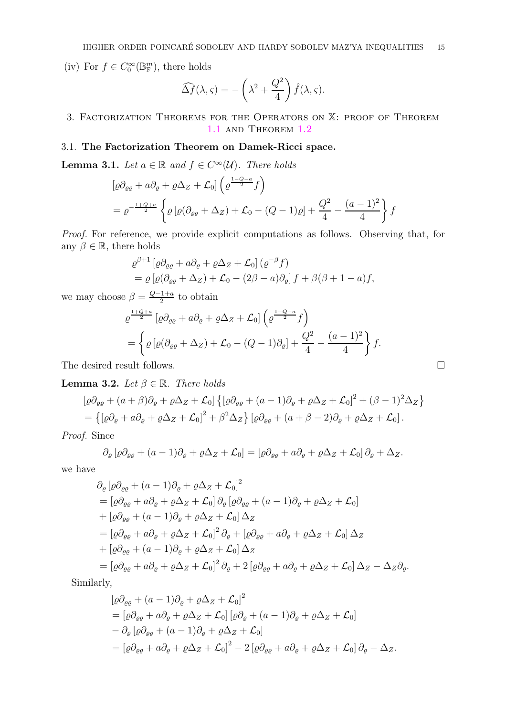(iv) For  $f \in C_0^{\infty}(\mathbb{B}_{\mathbb{F}}^m)$ , there holds

$$
\widehat{\Delta f}(\lambda, \varsigma) = -\left(\lambda^2 + \frac{Q^2}{4}\right)\widehat{f}(\lambda, \varsigma).
$$

<span id="page-14-0"></span>3. Factorization Theorems for the Operators on X: proof of Theorem [1.1](#page-6-1) and Theorem [1.2](#page-7-0)

## <span id="page-14-1"></span>3.1. The Factorization Theorem on Damek-Ricci space.

<span id="page-14-3"></span>**Lemma 3.1.** *Let*  $a \in \mathbb{R}$  *and*  $f \in C^{\infty}(\mathcal{U})$ *. There holds* 

$$
\begin{aligned} &\left[\varrho\partial_{\varrho\varrho} + a\partial_{\varrho} + \varrho\Delta_Z + \mathcal{L}_0\right] \left(\varrho^{\frac{1-Q-a}{2}}f\right) \\ &= \varrho^{-\frac{1+Q+a}{2}} \left\{\varrho\left[\varrho(\partial_{\varrho\varrho} + \Delta_Z) + \mathcal{L}_0 - (Q-1)\varrho\right] + \frac{Q^2}{4} - \frac{(a-1)^2}{4}\right\}f \end{aligned}
$$

*Proof.* For reference, we provide explicit computations as follows. Observing that, for any  $\beta \in \mathbb{R}$ , there holds

$$
\varrho^{\beta+1} \left[ \varrho \partial_{\varrho \varrho} + a \partial_{\varrho} + \varrho \Delta_Z + \mathcal{L}_0 \right] \left( \varrho^{-\beta} f \right) \n= \varrho \left[ \varrho (\partial_{\varrho \varrho} + \Delta_Z) + \mathcal{L}_0 - (2\beta - a) \partial_{\varrho} \right] f + \beta (\beta + 1 - a) f,
$$

we may choose  $\beta = \frac{Q-1+a}{2}$  $\frac{1+a}{2}$  to obtain

$$
\varrho^{\frac{1+Q+a}{2}} \left[ \varrho \partial_{\varrho\varrho} + a \partial_{\varrho} + \varrho \Delta_Z + \mathcal{L}_0 \right] \left( \varrho^{\frac{1-Q-a}{2}} f \right)
$$
  
= 
$$
\left\{ \varrho \left[ \varrho (\partial_{\varrho\varrho} + \Delta_Z) + \mathcal{L}_0 - (Q-1) \partial_{\varrho} \right] + \frac{Q^2}{4} - \frac{(a-1)^2}{4} \right\} f.
$$

The desired result follows.

<span id="page-14-2"></span>**Lemma 3.2.** *Let*  $\beta \in \mathbb{R}$ *. There holds* 

$$
\begin{aligned} &\left[\varrho\partial_{\varrho\varrho}+(a+\beta)\partial_{\varrho}+\varrho\Delta_{Z}+\mathcal{L}_{0}\right]\left\{ \left[\varrho\partial_{\varrho\varrho}+(a-1)\partial_{\varrho}+\varrho\Delta_{Z}+\mathcal{L}_{0}\right]^{2}+(\beta-1)^{2}\Delta_{Z}\right\} \\ &=\left\{ \left[\varrho\partial_{\varrho}+a\partial_{\varrho}+\varrho\Delta_{Z}+\mathcal{L}_{0}\right]^{2}+\beta^{2}\Delta_{Z}\right\} \left[\varrho\partial_{\varrho\varrho}+(a+\beta-2)\partial_{\varrho}+\varrho\Delta_{Z}+\mathcal{L}_{0}\right]. \end{aligned}
$$

*Proof.* Since

$$
\partial_{\varrho} [\varrho \partial_{\varrho \varrho} + (a-1) \partial_{\varrho} + \varrho \Delta_Z + \mathcal{L}_0] = [\varrho \partial_{\varrho \varrho} + a \partial_{\varrho} + \varrho \Delta_Z + \mathcal{L}_0] \partial_{\varrho} + \Delta_Z.
$$

we have

$$
\partial_{\varrho} [\varrho \partial_{\varrho \varrho} + (a - 1) \partial_{\varrho} + \varrho \Delta_{Z} + \mathcal{L}_{0}]^{2}
$$
\n
$$
= [\varrho \partial_{\varrho \varrho} + a \partial_{\varrho} + \varrho \Delta_{Z} + \mathcal{L}_{0}] \partial_{\varrho} [\varrho \partial_{\varrho \varrho} + (a - 1) \partial_{\varrho} + \varrho \Delta_{Z} + \mathcal{L}_{0}]
$$
\n
$$
+ [\varrho \partial_{\varrho \varrho} + (a - 1) \partial_{\varrho} + \varrho \Delta_{Z} + \mathcal{L}_{0}] \Delta_{Z}
$$
\n
$$
= [\varrho \partial_{\varrho \varrho} + a \partial_{\varrho} + \varrho \Delta_{Z} + \mathcal{L}_{0}]^{2} \partial_{\varrho} + [\varrho \partial_{\varrho \varrho} + a \partial_{\varrho} + \varrho \Delta_{Z} + \mathcal{L}_{0}] \Delta_{Z}
$$
\n
$$
+ [\varrho \partial_{\varrho \varrho} + (a - 1) \partial_{\varrho} + \varrho \Delta_{Z} + \mathcal{L}_{0}] \Delta_{Z}
$$
\n
$$
= [\varrho \partial_{\varrho \varrho} + a \partial_{\varrho} + \varrho \Delta_{Z} + \mathcal{L}_{0}]^{2} \partial_{\varrho} + 2 [\varrho \partial_{\varrho \varrho} + a \partial_{\varrho} + \varrho \Delta_{Z} + \mathcal{L}_{0}] \Delta_{Z} - \Delta_{Z} \partial_{\varrho}.
$$
\nlarly,

Simil

$$
\begin{aligned} &\left[\varrho\partial_{\varrho\varrho} + (a-1)\partial_{\varrho} + \varrho\Delta_{Z} + \mathcal{L}_{0}\right]^{2} \\ &= \left[\varrho\partial_{\varrho\varrho} + a\partial_{\varrho} + \varrho\Delta_{Z} + \mathcal{L}_{0}\right] \left[\varrho\partial_{\varrho} + (a-1)\partial_{\varrho} + \varrho\Delta_{Z} + \mathcal{L}_{0}\right] \\ &- \partial_{\varrho}\left[\varrho\partial_{\varrho\varrho} + (a-1)\partial_{\varrho} + \varrho\Delta_{Z} + \mathcal{L}_{0}\right] \\ &= \left[\varrho\partial_{\varrho\varrho} + a\partial_{\varrho} + \varrho\Delta_{Z} + \mathcal{L}_{0}\right]^{2} - 2\left[\varrho\partial_{\varrho\varrho} + a\partial_{\varrho} + \varrho\Delta_{Z} + \mathcal{L}_{0}\right] \partial_{\varrho} - \Delta_{Z}.\end{aligned}
$$

$$
\qquad \qquad \Box
$$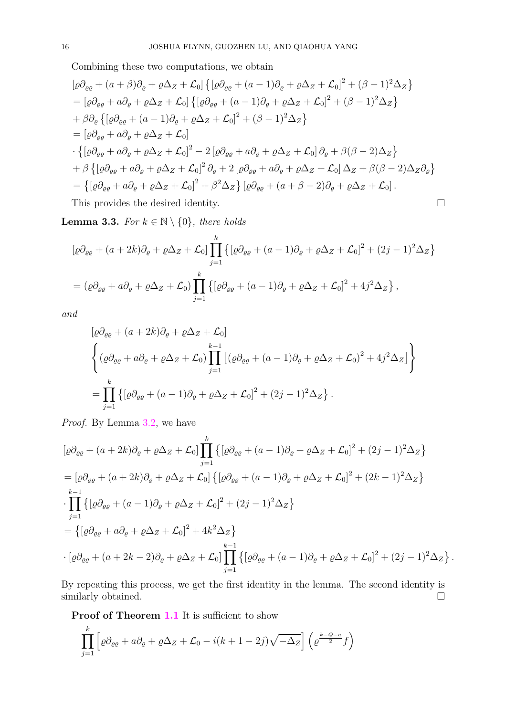Combining these two computations, we obtain

$$
[\varrho \partial_{\varrho\varrho} + (a + \beta)\partial_{\varrho} + \varrho \Delta_Z + \mathcal{L}_0] \{ [\varrho \partial_{\varrho\varrho} + (a - 1)\partial_{\varrho} + \varrho \Delta_Z + \mathcal{L}_0]^2 + (\beta - 1)^2 \Delta_Z \}
$$
  
\n=  $[\varrho \partial_{\varrho\varrho} + a \partial_{\varrho} + \varrho \Delta_Z + \mathcal{L}_0] \{ [\varrho \partial_{\varrho\varrho} + (a - 1)\partial_{\varrho} + \varrho \Delta_Z + \mathcal{L}_0]^2 + (\beta - 1)^2 \Delta_Z \}$   
\n+  $\beta \partial_{\varrho} \{ [\varrho \partial_{\varrho\varrho} + (a - 1)\partial_{\varrho} + \varrho \Delta_Z + \mathcal{L}_0]^2 + (\beta - 1)^2 \Delta_Z \}$   
\n=  $[\varrho \partial_{\varrho\varrho} + a \partial_{\varrho} + \varrho \Delta_Z + \mathcal{L}_0]$   
\n
$$
\cdot \{ [\varrho \partial_{\varrho\varrho} + a \partial_{\varrho} + \varrho \Delta_Z + \mathcal{L}_0]^2 - 2 [\varrho \partial_{\varrho\varrho} + a \partial_{\varrho} + \varrho \Delta_Z + \mathcal{L}_0] \partial_{\varrho} + \beta (\beta - 2) \Delta_Z \}
$$
  
\n+  $\beta \{ [\varrho \partial_{\varrho\varrho} + a \partial_{\varrho} + \varrho \Delta_Z + \mathcal{L}_0]^2 \partial_{\varrho} + 2 [\varrho \partial_{\varrho\varrho} + a \partial_{\varrho} + \varrho \Delta_Z + \mathcal{L}_0] \Delta_Z + \beta (\beta - 2) \Delta_Z \partial_{\varrho} \}$   
\n=  $\{ [\varrho \partial_{\varrho\varrho} + a \partial_{\varrho} + \varrho \Delta_Z + \mathcal{L}_0]^2 + \beta^2 \Delta_Z \} [\varrho \partial_{\varrho\varrho} + (a + \beta - 2) \partial_{\varrho} + \varrho \Delta_Z + \mathcal{L}_0].$ 

This provides the desired identity.

.

<span id="page-15-0"></span>**Lemma 3.3.** *For*  $k \in \mathbb{N} \setminus \{0\}$ *, there holds* 

$$
[\varrho \partial_{\varrho \varrho} + (a + 2k)\partial_{\varrho} + \varrho \Delta_Z + \mathcal{L}_0] \prod_{j=1}^k \{ [\varrho \partial_{\varrho \varrho} + (a - 1)\partial_{\varrho} + \varrho \Delta_Z + \mathcal{L}_0]^2 + (2j - 1)^2 \Delta_Z \}
$$
  
= 
$$
(\varrho \partial_{\varrho \varrho} + a \partial_{\varrho} + \varrho \Delta_Z + \mathcal{L}_0) \prod_{j=1}^k \{ [\varrho \partial_{\varrho \varrho} + (a - 1)\partial_{\varrho} + \varrho \Delta_Z + \mathcal{L}_0]^2 + 4j^2 \Delta_Z \},
$$

*and*

$$
\begin{aligned} & \left[\varrho \partial_{\varrho\varrho} + (a+2k)\partial_{\varrho} + \varrho \Delta_Z + \mathcal{L}_0\right] \\ & \left\{ \left(\varrho \partial_{\varrho\varrho} + a\partial_{\varrho} + \varrho \Delta_Z + \mathcal{L}_0\right) \prod_{j=1}^{k-1} \left[ \left(\varrho \partial_{\varrho\varrho} + (a-1)\partial_{\varrho} + \varrho \Delta_Z + \mathcal{L}_0\right)^2 + 4j^2 \Delta_Z \right] \right\} \\ & = \prod_{j=1}^k \left\{ \left[\varrho \partial_{\varrho\varrho} + (a-1)\partial_{\varrho} + \varrho \Delta_Z + \mathcal{L}_0\right]^2 + (2j-1)^2 \Delta_Z \right\}. \end{aligned}
$$

*Proof.* By Lemma [3.2,](#page-14-2) we have

$$
[\varrho \partial_{\varrho \varrho} + (a + 2k)\partial_{\varrho} + \varrho \Delta_Z + \mathcal{L}_0] \prod_{j=1}^k \{ [\varrho \partial_{\varrho \varrho} + (a - 1)\partial_{\varrho} + \varrho \Delta_Z + \mathcal{L}_0]^2 + (2j - 1)^2 \Delta_Z \}
$$
  
\n
$$
= [\varrho \partial_{\varrho \varrho} + (a + 2k)\partial_{\varrho} + \varrho \Delta_Z + \mathcal{L}_0] \{ [\varrho \partial_{\varrho \varrho} + (a - 1)\partial_{\varrho} + \varrho \Delta_Z + \mathcal{L}_0]^2 + (2k - 1)^2 \Delta_Z \}
$$
  
\n
$$
\cdot \prod_{j=1}^{k-1} \{ [\varrho \partial_{\varrho \varrho} + (a - 1)\partial_{\varrho} + \varrho \Delta_Z + \mathcal{L}_0]^2 + (2j - 1)^2 \Delta_Z \}
$$
  
\n
$$
= \{ [\varrho \partial_{\varrho \varrho} + a\partial_{\varrho} + \varrho \Delta_Z + \mathcal{L}_0]^2 + 4k^2 \Delta_Z \}
$$
  
\n
$$
\cdot [\varrho \partial_{\varrho \varrho} + (a + 2k - 2)\partial_{\varrho} + \varrho \Delta_Z + \mathcal{L}_0] \prod_{j=1}^{k-1} \{ [\varrho \partial_{\varrho \varrho} + (a - 1)\partial_{\varrho} + \varrho \Delta_Z + \mathcal{L}_0]^2 + (2j - 1)^2 \Delta_Z \}
$$

By repeating this process, we get the first identity in the lemma. The second identity is similarly obtained.  $\hfill \square$ 

Proof of Theorem [1.1](#page-6-1) It is sufficient to show

$$
\prod_{j=1}^k \left[ \varrho \partial_{\varrho \varrho} + a \partial_\varrho + \varrho \Delta_Z + \mathcal{L}_0 - i(k+1-2j) \sqrt{-\Delta_Z} \right] \left( \varrho^{\frac{k-Q-a}{2}} f \right)
$$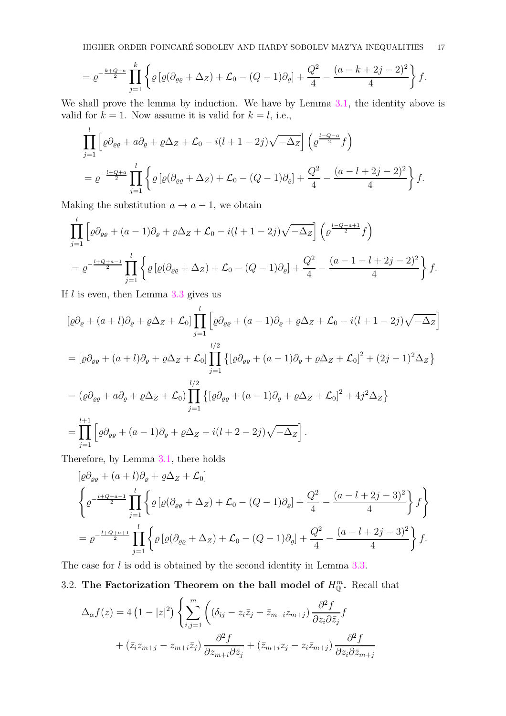$$
= \varrho^{-\frac{k+Q+a}{2}} \prod_{j=1}^k \left\{ \varrho \left[ \varrho (\partial_{\varrho \varrho} + \Delta_Z) + \mathcal{L}_0 - (Q-1) \partial_{\varrho} \right] + \frac{Q^2}{4} - \frac{(a-k+2j-2)^2}{4} \right\} f.
$$

We shall prove the lemma by induction. We have by Lemma [3.1,](#page-14-3) the identity above is valid for  $k = 1$ . Now assume it is valid for  $k = l$ , i.e.,

$$
\prod_{j=1}^{l} \left[ \varrho \partial_{\varrho \varrho} + a \partial_{\varrho} + \varrho \Delta_{Z} + \mathcal{L}_{0} - i(l+1-2j) \sqrt{-\Delta_{Z}} \right] \left( \varrho^{\frac{l-Q-a}{2}} f \right)
$$
\n
$$
= \varrho^{-\frac{l+Q+a}{2}} \prod_{j=1}^{l} \left\{ \varrho \left[ \varrho (\partial_{\varrho \varrho} + \Delta_{Z}) + \mathcal{L}_{0} - (Q-1) \partial_{\varrho} \right] + \frac{Q^{2}}{4} - \frac{(a-l+2j-2)^{2}}{4} \right\} f.
$$

Making the substitution  $a \to a - 1$ , we obtain

$$
\prod_{j=1}^{l} \left[ \varrho \partial_{\varrho \varrho} + (a-1) \partial_{\varrho} + \varrho \Delta_{Z} + \mathcal{L}_{0} - i(l+1-2j) \sqrt{-\Delta_{Z}} \right] \left( \varrho^{\frac{l-Q-a+1}{2}} f \right)
$$
  
= 
$$
\varrho^{-\frac{l+Q+a-1}{2}} \prod_{j=1}^{l} \left\{ \varrho \left[ \varrho (\partial_{\varrho \varrho} + \Delta_{Z}) + \mathcal{L}_{0} - (Q-1) \partial_{\varrho} \right] + \frac{Q^{2}}{4} - \frac{(a-1-l+2j-2)^{2}}{4} \right\} f.
$$

If  $l$  is even, then Lemma  $3.3$  gives us

$$
[\varrho \partial_{\varrho} + (a+l)\partial_{\varrho} + \varrho \Delta_{Z} + \mathcal{L}_{0}] \prod_{j=1}^{l} \left[ \varrho \partial_{\varrho\varrho} + (a-1)\partial_{\varrho} + \varrho \Delta_{Z} + \mathcal{L}_{0} - i(l+1-2j)\sqrt{-\Delta_{Z}} \right]
$$
  
\n
$$
= [\varrho \partial_{\varrho\varrho} + (a+l)\partial_{\varrho} + \varrho \Delta_{Z} + \mathcal{L}_{0}] \prod_{j=1}^{l/2} \left\{ [\varrho \partial_{\varrho\varrho} + (a-1)\partial_{\varrho} + \varrho \Delta_{Z} + \mathcal{L}_{0}]^{2} + (2j-1)^{2} \Delta_{Z} \right\}
$$
  
\n
$$
= (\varrho \partial_{\varrho\varrho} + a\partial_{\varrho} + \varrho \Delta_{Z} + \mathcal{L}_{0}) \prod_{j=1}^{l/2} \left\{ [\varrho \partial_{\varrho\varrho} + (a-1)\partial_{\varrho} + \varrho \Delta_{Z} + \mathcal{L}_{0}]^{2} + 4j^{2} \Delta_{Z} \right\}
$$
  
\n
$$
= \prod_{j=1}^{l+1} \left[ \varrho \partial_{\varrho\varrho} + (a-1)\partial_{\varrho} + \varrho \Delta_{Z} - i(l+2-2j)\sqrt{-\Delta_{Z}} \right].
$$

Therefore, by Lemma [3.1,](#page-14-3) there holds

$$
\left[\varrho \partial_{\varrho\varrho} + (a+l)\partial_{\varrho} + \varrho \Delta_{Z} + \mathcal{L}_{0}\right] \n\left\{\varrho^{-\frac{l+Q+a-1}{2}} \prod_{j=1}^{l} \left\{\varrho\left[\varrho(\partial_{\varrho\varrho} + \Delta_{Z}) + \mathcal{L}_{0} - (Q-1)\partial_{\varrho}\right] + \frac{Q^{2}}{4} - \frac{(a-l+2j-3)^{2}}{4}\right\} f\right\} \n= \varrho^{-\frac{l+Q+a+1}{2}} \prod_{j=1}^{l} \left\{\varrho\left[\varrho(\partial_{\varrho\varrho} + \Delta_{Z}) + \mathcal{L}_{0} - (Q-1)\partial_{\varrho}\right] + \frac{Q^{2}}{4} - \frac{(a-l+2j-3)^{2}}{4}\right\} f.
$$

<span id="page-16-0"></span>The case for *l* is odd is obtained by the second identity in Lemma [3.3.](#page-15-0)

3.2. The Factorization Theorem on the ball model of  $H_{\mathbb{Q}}^m$ . Recall that

$$
\Delta_{\alpha} f(z) = 4 (1 - |z|^2) \left\{ \sum_{i,j=1}^{m} \left( (\delta_{ij} - z_i \overline{z}_j - \overline{z}_{m+i} z_{m+j}) \frac{\partial^2 f}{\partial z_i \partial \overline{z}_j} f + (\overline{z}_i z_{m+j} - z_{m+i} \overline{z}_j) \frac{\partial^2 f}{\partial z_{m+i} \partial \overline{z}_j} + (\overline{z}_{m+i} z_j - z_i \overline{z}_{m+j}) \frac{\partial^2 f}{\partial z_i \partial \overline{z}_{m+j}} \right\}
$$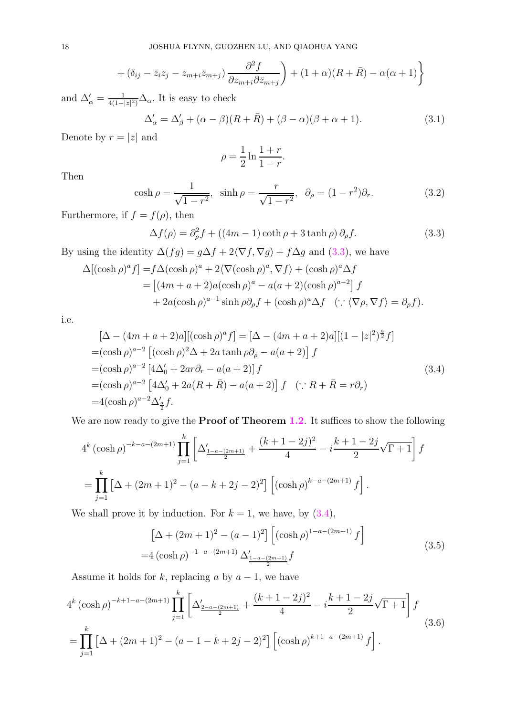+ 
$$
(\delta_{ij} - \bar{z}_i z_j - z_{m+i} \bar{z}_{m+j}) \frac{\partial^2 f}{\partial z_{m+i} \partial \bar{z}_{m+j}} + (1+\alpha)(R+\bar{R}) - \alpha(\alpha+1)
$$

and  $\Delta'_{\alpha} = \frac{1}{4(1-\alpha)}$  $\frac{1}{4(1-|z|^2)}\Delta_{\alpha}$ . It is easy to check

<span id="page-17-4"></span>
$$
\Delta'_{\alpha} = \Delta'_{\beta} + (\alpha - \beta)(R + \bar{R}) + (\beta - \alpha)(\beta + \alpha + 1). \tag{3.1}
$$

Denote by  $r=\left\vert z\right\vert$  and

$$
\rho = \frac{1}{2} \ln \frac{1+r}{1-r}.
$$

Then

$$
\cosh \rho = \frac{1}{\sqrt{1 - r^2}}, \quad \sinh \rho = \frac{r}{\sqrt{1 - r^2}}, \quad \partial_{\rho} = (1 - r^2)\partial_r.
$$
 (3.2)

Furthermore, if  $f = f(\rho)$ , then

<span id="page-17-0"></span>
$$
\Delta f(\rho) = \partial_{\rho}^{2} f + ((4m - 1)\coth \rho + 3\tanh \rho) \partial_{\rho} f.
$$
\n(3.3)

By using the identity  $\Delta(fg) = g\Delta f + 2\langle \nabla f, \nabla g \rangle + f\Delta g$  and [\(3.3\)](#page-17-0), we have

$$
\Delta[(\cosh \rho)^{a} f] = f \Delta(\cosh \rho)^{a} + 2 \langle \nabla(\cosh \rho)^{a}, \nabla f \rangle + (\cosh \rho)^{a} \Delta f
$$
  
= 
$$
[(4m + a + 2)a(\cosh \rho)^{a} - a(a + 2)(\cosh \rho)^{a-2}] f
$$
  
+ 
$$
2a(\cosh \rho)^{a-1} \sinh \rho \partial_{\rho} f + (\cosh \rho)^{a} \Delta f \quad (\because \nabla \rho, \nabla f \rangle = \partial_{\rho} f).
$$

i.e.

<span id="page-17-1"></span>
$$
[\Delta - (4m + a + 2)a] [(\cosh \rho)^{a} f] = [\Delta - (4m + a + 2)a] [(1 - |z|^{2})^{\frac{a}{2}} f]
$$
  
=  $(\cosh \rho)^{a-2} [(\cosh \rho)^{2} \Delta + 2a \tanh \rho \partial_{\rho} - a(a + 2)] f$   
=  $(\cosh \rho)^{a-2} [4\Delta'_{0} + 2a r \partial_{r} - a(a + 2)] f$   
=  $(\cosh \rho)^{a-2} [4\Delta'_{0} + 2a(R + \bar{R}) - a(a + 2)] f$   $(\because R + \bar{R} = r \partial_{r})$   
=  $4(\cosh \rho)^{a-2} \Delta'_{\frac{a}{2}} f$ . (3.4)

We are now ready to give the **Proof of Theorem [1.2](#page-7-0)**. It suffices to show the following

$$
4^{k} (\cosh \rho)^{-k-a-(2m+1)} \prod_{j=1}^{k} \left[ \Delta'_{\frac{1-a-(2m+1)}{2}} + \frac{(k+1-2j)^{2}}{4} - i \frac{k+1-2j}{2} \sqrt{\Gamma+1} \right] f
$$
  
= 
$$
\prod_{j=1}^{k} \left[ \Delta + (2m+1)^{2} - (a-k+2j-2)^{2} \right] \left[ (\cosh \rho)^{k-a-(2m+1)} f \right].
$$

We shall prove it by induction. For  $k = 1$ , we have, by  $(3.4)$ ,

$$
\[\Delta + (2m+1)^2 - (a-1)^2\] \left[ (\cosh \rho)^{1-a-(2m+1)} f \right] \n= 4 (\cosh \rho)^{-1-a-(2m+1)} \Delta'_{\frac{1-a-(2m+1)}{2}} f
$$
\n(3.5)

<span id="page-17-2"></span>Assume it holds for k, replacing a by  $a - 1$ , we have

<span id="page-17-3"></span>
$$
4^{k} (\cosh \rho)^{-k+1-a-(2m+1)} \prod_{j=1}^{k} \left[ \Delta'_{\frac{2-a-(2m+1)}{2}} + \frac{(k+1-2j)^{2}}{4} - i \frac{k+1-2j}{2} \sqrt{\Gamma+1} \right] f
$$
  
= 
$$
\prod_{j=1}^{k} \left[ \Delta + (2m+1)^{2} - (a-1-k+2j-2)^{2} \right] \left[ (\cosh \rho)^{k+1-a-(2m+1)} f \right].
$$
 (3.6)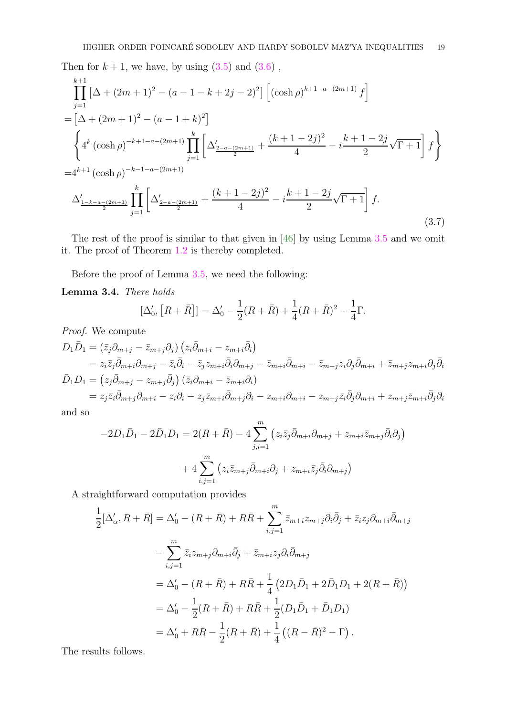<span id="page-18-1"></span>Then for  $k + 1$ , we have, by using  $(3.5)$  and  $(3.6)$ ,

$$
\prod_{j=1}^{k+1} \left[ \Delta + (2m+1)^2 - (a-1-k+2j-2)^2 \right] \left[ (\cosh \rho)^{k+1-a-(2m+1)} f \right]
$$
  
\n
$$
= \left[ \Delta + (2m+1)^2 - (a-1+k)^2 \right]
$$
  
\n
$$
\left\{ 4^k (\cosh \rho)^{-k+1-a-(2m+1)} \prod_{j=1}^k \left[ \Delta'_{\frac{2-a-(2m+1)}{2}} + \frac{(k+1-2j)^2}{4} - i \frac{k+1-2j}{2} \sqrt{\Gamma + 1} \right] f \right\}
$$
  
\n
$$
= 4^{k+1} (\cosh \rho)^{-k-1-a-(2m+1)}
$$
  
\n
$$
\Delta'_{\frac{1-k-a-(2m+1)}{2}} \prod_{j=1}^k \left[ \Delta'_{\frac{2-a-(2m+1)}{2}} + \frac{(k+1-2j)^2}{4} - i \frac{k+1-2j}{2} \sqrt{\Gamma + 1} \right] f.
$$
  
\n(3.7)

The rest of the proof is similar to that given in [\[46\]](#page-49-5) by using Lemma [3.5](#page-19-0) and we omit it. The proof of Theorem [1.2](#page-7-0) is thereby completed.

Before the proof of Lemma [3.5,](#page-19-0) we need the following:

<span id="page-18-0"></span>Lemma 3.4. *There holds*

$$
[\Delta'_0, [R + \bar{R}]] = \Delta'_0 - \frac{1}{2}(R + \bar{R}) + \frac{1}{4}(R + \bar{R})^2 - \frac{1}{4}\Gamma.
$$

*Proof.* We compute

$$
D_1\bar{D}_1 = (\bar{z}_j\partial_{m+j} - \bar{z}_{m+j}\partial_j) (z_i\bar{\partial}_{m+i} - z_{m+i}\bar{\partial}_i)
$$
  
\n
$$
= z_i\bar{z}_j\bar{\partial}_{m+i}\partial_{m+j} - \bar{z}_i\bar{\partial}_i - \bar{z}_j z_{m+i}\bar{\partial}_i\partial_{m+j} - \bar{z}_{m+i}\bar{\partial}_{m+i} - \bar{z}_{m+j}z_i\partial_j\bar{\partial}_{m+i} + \bar{z}_{m+j}z_{m+i}\partial_j\bar{\partial}_i
$$
  
\n
$$
\bar{D}_1D_1 = (z_j\bar{\partial}_{m+j} - z_{m+j}\bar{\partial}_j) (\bar{z}_i\partial_{m+i} - \bar{z}_{m+i}\partial_i)
$$
  
\n
$$
= z_j\bar{z}_i\bar{\partial}_{m+j}\partial_{m+i} - z_i\partial_i - z_j\bar{z}_{m+i}\bar{\partial}_{m+j}\partial_i - z_{m+i}\partial_{m+i} - z_{m+j}\bar{z}_i\bar{\partial}_j\partial_{m+i} + z_{m+j}\bar{z}_{m+i}\bar{\partial}_j\partial_i
$$

and so

$$
-2D_1\bar{D}_1 - 2\bar{D}_1D_1 = 2(R + \bar{R}) - 4\sum_{j,i=1}^m \left(z_i\bar{z}_j\bar{\partial}_{m+i}\partial_{m+j} + z_{m+i}\bar{z}_{m+j}\bar{\partial}_i\partial_j\right) + 4\sum_{i,j=1}^m \left(z_i\bar{z}_{m+j}\bar{\partial}_{m+i}\partial_j + z_{m+i}\bar{z}_j\bar{\partial}_i\partial_{m+j}\right)
$$

A straightforward computation provides

$$
\frac{1}{2}[\Delta'_{\alpha}, R + \bar{R}] = \Delta'_{0} - (R + \bar{R}) + R\bar{R} + \sum_{i,j=1}^{m} \bar{z}_{m+i} z_{m+j} \partial_{i} \bar{\partial}_{j} + \bar{z}_{i} z_{j} \partial_{m+i} \bar{\partial}_{m+j} \n- \sum_{i,j=1}^{m} \bar{z}_{i} z_{m+j} \partial_{m+i} \bar{\partial}_{j} + \bar{z}_{m+i} z_{j} \partial_{i} \bar{\partial}_{m+j} \n= \Delta'_{0} - (R + \bar{R}) + R\bar{R} + \frac{1}{4} (2D_{1} \bar{D}_{1} + 2\bar{D}_{1} D_{1} + 2(R + \bar{R})) \n= \Delta'_{0} - \frac{1}{2} (R + \bar{R}) + R\bar{R} + \frac{1}{2} (D_{1} \bar{D}_{1} + \bar{D}_{1} D_{1}) \n= \Delta'_{0} + R\bar{R} - \frac{1}{2} (R + \bar{R}) + \frac{1}{4} ((R - \bar{R})^{2} - \Gamma).
$$

The results follows.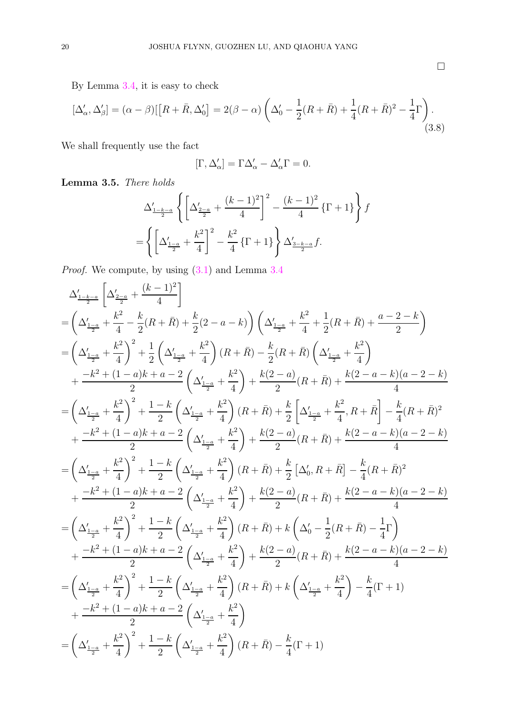By Lemma [3.4,](#page-18-0) it is easy to check

$$
[\Delta'_{\alpha}, \Delta'_{\beta}] = (\alpha - \beta)[[R + \bar{R}, \Delta'_{0}] = 2(\beta - \alpha)\left(\Delta'_{0} - \frac{1}{2}(R + \bar{R}) + \frac{1}{4}(R + \bar{R})^{2} - \frac{1}{4}\Gamma\right).
$$
\n(3.8)

We shall frequently use the fact

$$
[\Gamma, \Delta'_{\alpha}] = \Gamma \Delta'_{\alpha} - \Delta'_{\alpha} \Gamma = 0.
$$

<span id="page-19-0"></span>Lemma 3.5. *There holds*

$$
\Delta'_{\frac{1-k-a}{2}} \left\{ \left[ \Delta'_{\frac{2-a}{2}} + \frac{(k-1)^2}{4} \right]^2 - \frac{(k-1)^2}{4} \{ \Gamma + 1 \} \right\} f
$$
  
= 
$$
\left\{ \left[ \Delta'_{\frac{1-a}{2}} + \frac{k^2}{4} \right]^2 - \frac{k^2}{4} \{ \Gamma + 1 \} \right\} \Delta'_{\frac{3-k-a}{2}} f.
$$

*Proof.* We compute, by using [\(3.1\)](#page-17-4) and Lemma [3.4](#page-18-0)

$$
\begin{split} &\Delta'_{\frac{1-\frac{k}{2}}{2}}\left[\Delta'_{\frac{2-n}{2}}+\frac{(k-1)^2}{4}\right]\\ &=\left(\Delta'_{\frac{1-n}{2}}+\frac{k^2}{4}-\frac{k}{2}(R+\bar{R})+\frac{k}{2}(2-a-k)\right)\left(\Delta'_{\frac{1-n}{2}}+\frac{k^2}{4}+\frac{1}{2}(R+\bar{R})+\frac{a-2-k}{2}\right)\\ &=\left(\Delta'_{\frac{1-\alpha}{2}}+\frac{k^2}{4}\right)^2+\frac{1}{2}\left(\Delta'_{\frac{1-\alpha}{2}}+\frac{k^2}{4}\right)(R+\bar{R})-\frac{k}{2}(R+\bar{R})\left(\Delta'_{\frac{1-\alpha}{2}}+\frac{k^2}{4}\right)\\ &+\frac{-k^2+(1-a)k+a-2}{2}\left(\Delta'_{\frac{1-\alpha}{2}}+\frac{k^2}{4}\right)+\frac{k(2-a)}{2}(R+\bar{R})+\frac{k(2-a-k)(a-2-k)}{4}\\ &=\left(\Delta'_{\frac{1-\alpha}{2}}+\frac{k^2}{4}\right)^2+\frac{1-k}{2}\left(\Delta'_{\frac{1-\alpha}{2}}+\frac{k^2}{4}\right)(R+\bar{R})+\frac{k}{2}\left[\Delta'_{\frac{1-\alpha}{2}}+\frac{k^2}{4},R+\bar{R}\right]-\frac{k}{4}(R+\bar{R})^2\\ &+\frac{-k^2+(1-a)k+a-2}{2}\left(\Delta'_{\frac{1-\alpha}{2}}+\frac{k^2}{4}\right)+\frac{k(2-a)}{2}(R+\bar{R})+\frac{k(2-a-k)(a-2-k)}{4}\\ &=\left(\Delta'_{\frac{1-\alpha}{2}}+\frac{k^2}{4}\right)^2+\frac{1-k}{2}\left(\Delta'_{\frac{1-\alpha}{2}}+\frac{k^2}{4}\right)(R+\bar{R})+\frac{k}{2}\left[\Delta'_{0},R+\bar{R}\right]-\frac{k}{4}(R+\bar{R})^2\\ &+\frac{-k^2+(1-a)k+a-2}{2}\left(\Delta'_{\frac{1-\alpha}{2}}+\frac{k^2}{4}\right)+\frac{k(2-a)}{2}(R+\bar{R})+\frac{k(2-a-k)(a-2-k)}{4}\\ &=\left(\Delta'_{\frac{1-\alpha}{2}}+\frac{k^2}{4}\right)^2+\frac{1-k}{2}\left(\Delta'_{\frac{1-\alpha}{2}}+\frac{k^2}{4}\right)(R+\bar{R})+k\left(\Delta'_{0}-
$$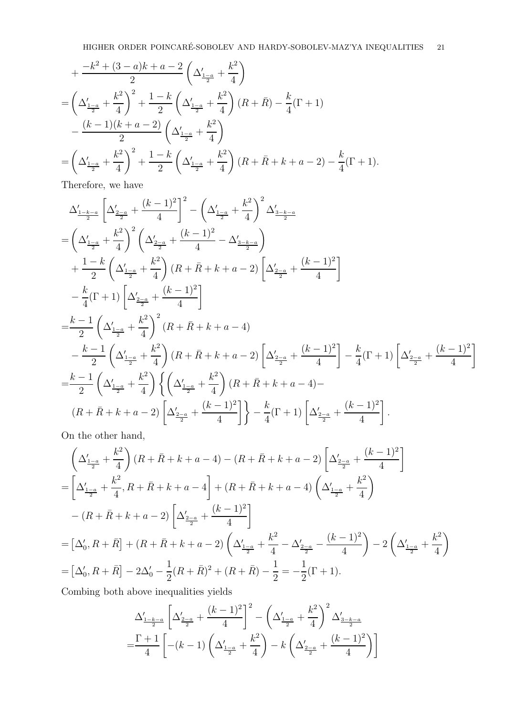$$
+\frac{-k^2 + (3-a)k + a - 2}{2} \left(\Delta'_{\frac{1-a}{2}} + \frac{k^2}{4}\right)
$$
  
=  $\left(\Delta'_{\frac{1-a}{2}} + \frac{k^2}{4}\right)^2 + \frac{1-k}{2} \left(\Delta'_{\frac{1-a}{2}} + \frac{k^2}{4}\right) (R + \bar{R}) - \frac{k}{4} (\Gamma + 1)$   
 $-\frac{(k-1)(k+a-2)}{2} \left(\Delta'_{\frac{1-a}{2}} + \frac{k^2}{4}\right)$   
=  $\left(\Delta'_{\frac{1-a}{2}} + \frac{k^2}{4}\right)^2 + \frac{1-k}{2} \left(\Delta'_{\frac{1-a}{2}} + \frac{k^2}{4}\right) (R + \bar{R} + k + a - 2) - \frac{k}{4} (\Gamma + 1).$ 

Therefore, we have

$$
\begin{split} &\Delta'_{\frac{1-k-a}{2}}\left[\Delta'_{\frac{2-a}{2}}+\frac{(k-1)^2}{4}\right]^2-\left(\Delta'_{\frac{1-a}{2}}+\frac{k^2}{4}\right)^2\Delta'_{\frac{3-k-a}{2}}\\ =&\left(\Delta'_{\frac{1-a}{2}}+\frac{k^2}{4}\right)^2\left(\Delta'_{\frac{2-a}{2}}+\frac{(k-1)^2}{4}-\Delta'_{\frac{3-k-a}{2}}\right)\\ &+\frac{1-k}{2}\left(\Delta'_{\frac{1-a}{2}}+\frac{k^2}{4}\right)(R+\bar{R}+k+a-2)\left[\Delta'_{\frac{2-a}{2}}+\frac{(k-1)^2}{4}\right]\\ &-\frac{k}{4}(\Gamma+1)\left[\Delta'_{\frac{2-a}{2}}+\frac{(k-1)^2}{4}\right]\\ =&\frac{k-1}{2}\left(\Delta'_{\frac{1-a}{2}}+\frac{k^2}{4}\right)^2(R+\bar{R}+k+a-4)\\ &-\frac{k-1}{2}\left(\Delta'_{\frac{1-a}{2}}+\frac{k^2}{4}\right)(R+\bar{R}+k+a-2)\left[\Delta'_{\frac{2-a}{2}}+\frac{(k-1)^2}{4}\right]-\frac{k}{4}(\Gamma+1)\left[\Delta'_{\frac{2-a}{2}}+\frac{(k-1)^2}{4}\right]\\ =&\frac{k-1}{2}\left(\Delta'_{\frac{1-a}{2}}+\frac{k^2}{4}\right)\left\{\left(\Delta'_{\frac{1-a}{2}}+\frac{k^2}{4}\right)(R+\bar{R}+k+a-4)-\\ &\left(R+\bar{R}+k+a-2\right)\left[\Delta'_{\frac{2-a}{2}}+\frac{(k-1)^2}{4}\right]\right\}-\frac{k}{4}(\Gamma+1)\left[\Delta'_{\frac{2-a}{2}}+\frac{(k-1)^2}{4}\right]. \end{split}
$$

On the other hand,

$$
\left(\Delta'_{\frac{1-a}{2}} + \frac{k^2}{4}\right)(R + \bar{R} + k + a - 4) - (R + \bar{R} + k + a - 2)\left[\Delta'_{\frac{2-a}{2}} + \frac{(k-1)^2}{4}\right]
$$
\n
$$
= \left[\Delta'_{\frac{1-a}{2}} + \frac{k^2}{4}, R + \bar{R} + k + a - 4\right] + (R + \bar{R} + k + a - 4)\left(\Delta'_{\frac{1-a}{2}} + \frac{k^2}{4}\right)
$$
\n
$$
- (R + \bar{R} + k + a - 2)\left[\Delta'_{\frac{2-a}{2}} + \frac{(k-1)^2}{4}\right]
$$
\n
$$
= \left[\Delta'_0, R + \bar{R}\right] + (R + \bar{R} + k + a - 2)\left(\Delta'_{\frac{1-a}{2}} + \frac{k^2}{4} - \Delta'_{\frac{2-a}{2}} - \frac{(k-1)^2}{4}\right) - 2\left(\Delta'_{\frac{1-a}{2}} + \frac{k^2}{4}\right)
$$
\n
$$
= \left[\Delta'_0, R + \bar{R}\right] - 2\Delta'_0 - \frac{1}{2}(R + \bar{R})^2 + (R + \bar{R}) - \frac{1}{2} = -\frac{1}{2}(\Gamma + 1).
$$
\nCombing both above inequalities yields

Combing both above inequalities yields

$$
\Delta'_{\frac{1-k-a}{2}} \left[ \Delta'_{\frac{2-a}{2}} + \frac{(k-1)^2}{4} \right]^2 - \left( \Delta'_{\frac{1-a}{2}} + \frac{k^2}{4} \right)^2 \Delta'_{\frac{3-k-a}{2}}
$$

$$
= \frac{\Gamma + 1}{4} \left[ -(k-1) \left( \Delta'_{\frac{1-a}{2}} + \frac{k^2}{4} \right) - k \left( \Delta'_{\frac{2-a}{2}} + \frac{(k-1)^2}{4} \right) \right]
$$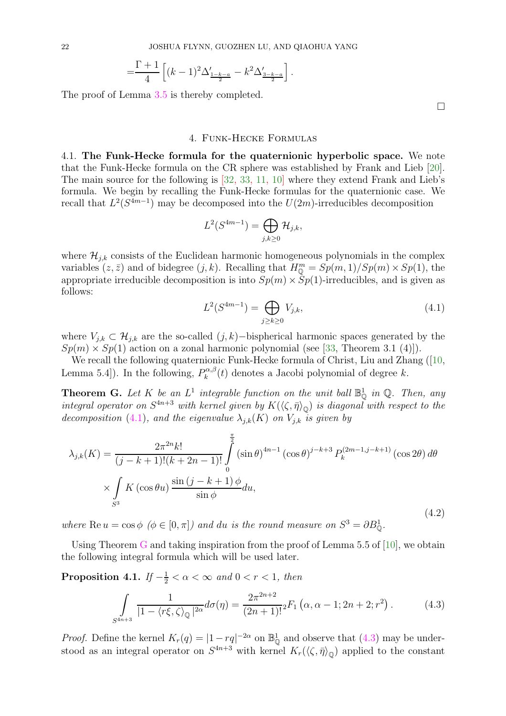$$
=\frac{\Gamma+1}{4}\left[ (k-1)^2 \Delta'_{\frac{1-k-a}{2}} - k^2 \Delta'_{\frac{3-k-a}{2}} \right].
$$

<span id="page-21-7"></span><span id="page-21-0"></span>The proof of Lemma [3.5](#page-19-0) is thereby completed.

 $\Box$ 

## 4. Funk-Hecke Formulas

<span id="page-21-1"></span>4.1. The Funk-Hecke formula for the quaternionic hyperbolic space. We note that the Funk-Hecke formula on the CR sphere was established by Frank and Lieb [\[20\]](#page-48-12). The main source for the following is [\[32,](#page-48-13) [33,](#page-49-13) [11,](#page-48-14) [10\]](#page-48-15) where they extend Frank and Lieb's formula. We begin by recalling the Funk-Hecke formulas for the quaternionic case. We recall that  $L^2(S^{4m-1})$  may be decomposed into the  $U(2m)$ -irreducibles decomposition

$$
L^2(S^{4m-1}) = \bigoplus_{j,k \geq 0} \mathcal{H}_{j,k},
$$

where  $\mathcal{H}_{i,k}$  consists of the Euclidean harmonic homogeneous polynomials in the complex variables  $(z, \bar{z})$  and of bidegree  $(j, k)$ . Recalling that  $H_{\mathbb{Q}}^m = Sp(m, 1)/Sp(m) \times Sp(1)$ , the appropriate irreducible decomposition is into  $Sp(m) \times Sp(1)$ -irreducibles, and is given as follows:

<span id="page-21-2"></span>
$$
L^2(S^{4m-1}) = \bigoplus_{j \ge k \ge 0} V_{j,k},\tag{4.1}
$$

where  $V_{j,k} \subset \mathcal{H}_{j,k}$  are the so-called  $(j,k)$ −bispherical harmonic spaces generated by the  $Sp(m) \times Sp(1)$  action on a zonal harmonic polynomial (see [\[33,](#page-49-13) Theorem 3.1 (4)]).

Werecall the following quaternionic Funk-Hecke formula of Christ, Liu and Zhang ([\[10,](#page-48-15) Lemma 5.4]). In the following,  $P_k^{\alpha,\beta}$  $\int_{k}^{\alpha,\beta}(t)$  denotes a Jacobi polynomial of degree k.

<span id="page-21-3"></span>**Theorem G.** Let K be an  $L^1$  integrable function on the unit ball  $\mathbb{B}^1_{\mathbb{Q}}$  in  $\mathbb{Q}$ . Then, any *integral operator on*  $S^{4n+3}$  *with kernel given by*  $K(\langle \zeta, \bar{\eta} \rangle_{\mathbb{Q}})$  *is diagonal with respect to the decomposition* [\(4.1\)](#page-21-2)*, and the eigenvalue*  $\lambda_{j,k}(K)$  *on*  $V_{j,k}$  *is given by* 

<span id="page-21-5"></span>
$$
\lambda_{j,k}(K) = \frac{2\pi^{2n}k!}{(j-k+1)!(k+2n-1)!} \int_{0}^{\frac{\pi}{2}} (\sin\theta)^{4n-1} (\cos\theta)^{j-k+3} P_{k}^{(2m-1,j-k+1)} (\cos 2\theta) d\theta
$$
  
 
$$
\times \int_{S^{3}} K (\cos\theta u) \frac{\sin\left(j-k+1\right)\phi}{\sin\phi} du,
$$
\n(4.2)

*where*  $\text{Re } u = \cos \phi \ (\phi \in [0, \pi])$  and du *is the round measure on*  $S^3 = \partial B^1_{\mathbb{Q}}$ .

Using Theorem [G](#page-21-3) and taking inspiration from the proof of Lemma 5.5 of [\[10\]](#page-48-15), we obtain the following integral formula which will be used later.

<span id="page-21-6"></span>Proposition 4.1. *If*  $-\frac{1}{2} < \alpha < \infty$  and  $0 < r < 1$ , then

<span id="page-21-4"></span>
$$
\int_{S^{4n+3}} \frac{1}{|1 - \langle r\xi, \zeta \rangle_{\mathbb{Q}}|^{2\alpha}} d\sigma(\eta) = \frac{2\pi^{2n+2}}{(2n+1)!} {}_{2}F_{1}\left(\alpha, \alpha - 1; 2\alpha + 2; r^{2}\right). \tag{4.3}
$$

*Proof.* Define the kernel  $K_r(q) = |1-rq|^{-2\alpha}$  on  $\mathbb{B}^1_{\mathbb{Q}}$  and observe that [\(4.3\)](#page-21-4) may be understood as an integral operator on  $S^{4n+3}$  with kernel  $K_r(\langle \zeta, \bar{\eta} \rangle_{\mathbb{Q}})$  applied to the constant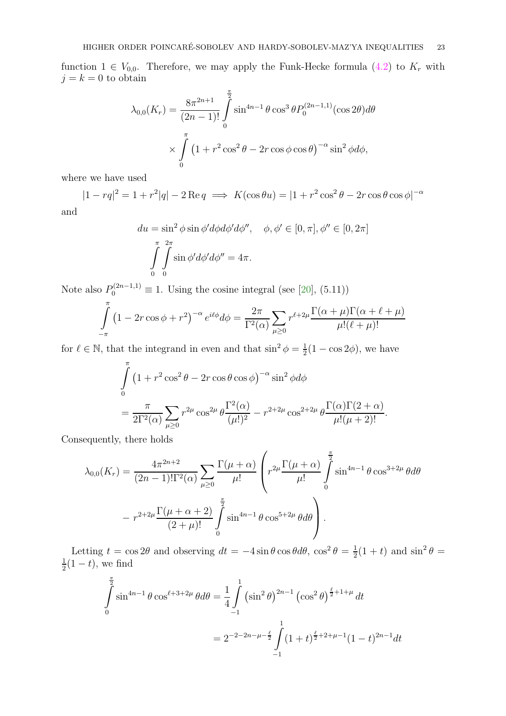<span id="page-22-0"></span>function  $1 \in V_{0,0}$ . Therefore, we may apply the Funk-Hecke formula [\(4.2\)](#page-21-5) to  $K_r$  with  $j = k = 0$  to obtain

$$
\lambda_{0,0}(K_r) = \frac{8\pi^{2n+1}}{(2n-1)!} \int_{0}^{\frac{\pi}{2}} \sin^{4n-1}\theta \cos^3\theta P_0^{(2n-1,1)}(\cos 2\theta) d\theta
$$

$$
\times \int_{0}^{\pi} (1+r^2 \cos^2\theta - 2r \cos\phi \cos\theta)^{-\alpha} \sin^2\phi d\phi,
$$

where we have used

 $|1 - rq|^2 = 1 + r^2|q| - 2 \operatorname{Re} q \implies K(\cos \theta u) = |1 + r^2 \cos^2 \theta - 2r \cos \theta \cos \phi|^{-\alpha}$ and

$$
du = \sin^2 \phi \sin \phi' d\phi d\phi' d\phi'', \quad \phi, \phi' \in [0, \pi], \phi'' \in [0, 2\pi]
$$

$$
\int_{0}^{\pi} \int_{0}^{2\pi} \sin \phi' d\phi' d\phi'' = 4\pi.
$$

Note also  $P_0^{(2n-1,1)} \equiv 1$ . Using the cosine integral (see [\[20\]](#page-48-12), (5.11))

$$
\int_{-\pi}^{\pi} (1 - 2r \cos \phi + r^2)^{-\alpha} e^{i\ell \phi} d\phi = \frac{2\pi}{\Gamma^2(\alpha)} \sum_{\mu \ge 0} r^{\ell+2\mu} \frac{\Gamma(\alpha + \mu)\Gamma(\alpha + \ell + \mu)}{\mu!(\ell + \mu)!}
$$

for  $\ell \in \mathbb{N}$ , that the integrand in even and that  $\sin^2 \phi = \frac{1}{2}$  $\frac{1}{2}(1-\cos 2\phi)$ , we have

$$
\int_{0}^{\pi} \left(1 + r^2 \cos^2 \theta - 2r \cos \theta \cos \phi\right)^{-\alpha} \sin^2 \phi d\phi
$$
  
= 
$$
\frac{\pi}{2\Gamma^2(\alpha)} \sum_{\mu \ge 0} r^{2\mu} \cos^{2\mu} \theta \frac{\Gamma^2(\alpha)}{(\mu!)^2} - r^{2+2\mu} \cos^{2+2\mu} \theta \frac{\Gamma(\alpha)\Gamma(2+\alpha)}{\mu!(\mu+2)!}.
$$

Consequently, there holds

$$
\lambda_{0,0}(K_r) = \frac{4\pi^{2n+2}}{(2n-1)!\Gamma^2(\alpha)} \sum_{\mu \ge 0} \frac{\Gamma(\mu+\alpha)}{\mu!} \left( r^{2\mu} \frac{\Gamma(\mu+\alpha)}{\mu!} \int_0^{\frac{\pi}{2}} \sin^{4n-1}\theta \cos^{3+2\mu}\theta d\theta \right) - r^{2+2\mu} \frac{\Gamma(\mu+\alpha+2)}{(2+\mu)!} \int_0^{\frac{\pi}{2}} \sin^{4n-1}\theta \cos^{5+2\mu}\theta d\theta \right).
$$

Letting  $t = \cos 2\theta$  and observing  $dt = -4 \sin \theta \cos \theta d\theta$ ,  $\cos^2 \theta = \frac{1}{2}$  $\frac{1}{2}(1+t)$  and  $\sin^2\theta =$ 1  $\frac{1}{2}(1-t)$ , we find

$$
\int_{0}^{\frac{\pi}{2}} \sin^{4n-1}\theta \cos^{\ell+3+2\mu}\theta d\theta = \frac{1}{4} \int_{-1}^{1} \left(\sin^{2}\theta\right)^{2n-1} \left(\cos^{2}\theta\right)^{\frac{\ell}{2}+1+\mu} dt
$$

$$
= 2^{-2-2n-\mu-\frac{\ell}{2}} \int_{-1}^{1} (1+t)^{\frac{\ell}{2}+2+\mu-1} (1-t)^{2n-1} dt
$$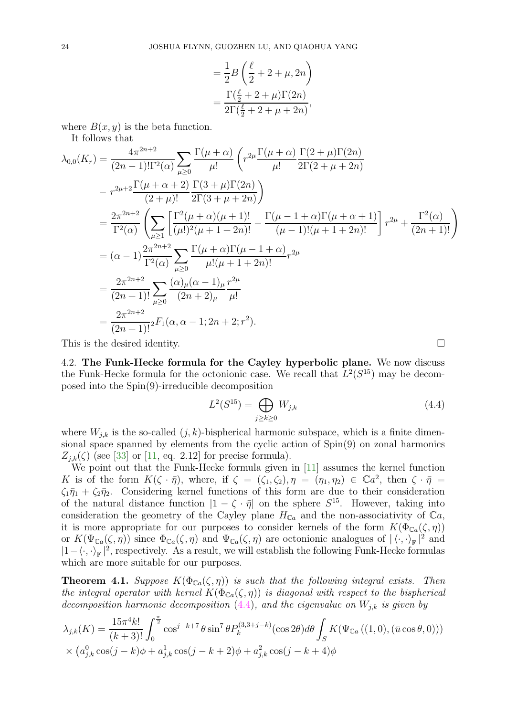$$
= \frac{1}{2}B\left(\frac{\ell}{2} + 2 + \mu, 2n\right)
$$

$$
= \frac{\Gamma(\frac{\ell}{2} + 2 + \mu)\Gamma(2n)}{2\Gamma(\frac{\ell}{2} + 2 + \mu + 2n)},
$$

<span id="page-23-3"></span>where  $B(x, y)$  is the beta function.

It follows that

$$
\lambda_{0,0}(K_r) = \frac{4\pi^{2n+2}}{(2n-1)!\Gamma^2(\alpha)} \sum_{\mu\geq 0} \frac{\Gamma(\mu+\alpha)}{\mu!} \left( r^{2\mu} \frac{\Gamma(\mu+\alpha)}{\mu!} \frac{\Gamma(2+\mu)\Gamma(2n)}{2\Gamma(2+\mu+2n)} \right. \\
\left. - r^{2\mu+2} \frac{\Gamma(\mu+\alpha+2)}{(2+\mu)!} \frac{\Gamma(3+\mu)\Gamma(2n)}{2\Gamma(3+\mu+2n)} \right)
$$
\n
$$
= \frac{2\pi^{2n+2}}{\Gamma^2(\alpha)} \left( \sum_{\mu\geq 1} \left[ \frac{\Gamma^2(\mu+\alpha)(\mu+1)!}{(\mu!)^2(\mu+1+2n)!} - \frac{\Gamma(\mu-1+\alpha)\Gamma(\mu+\alpha+1)}{(\mu-1)!(\mu+1+2n)!} \right] r^{2\mu} + \frac{\Gamma^2(\alpha)}{(2n+1)!} \right)
$$
\n
$$
= (\alpha-1) \frac{2\pi^{2n+2}}{\Gamma^2(\alpha)} \sum_{\mu\geq 0} \frac{\Gamma(\mu+\alpha)\Gamma(\mu-1+\alpha)}{\mu!(\mu+1+2n)!} r^{2\mu}
$$
\n
$$
= \frac{2\pi^{2n+2}}{(2n+1)!} \sum_{\mu\geq 0} \frac{(\alpha)_{\mu}(\alpha-1)_{\mu}}{(2n+2)_{\mu}} \frac{r^{2\mu}}{\mu!}
$$
\n
$$
= \frac{2\pi^{2n+2}}{(2n+1)!} {}_2F_1(\alpha, \alpha-1; 2n+2; r^2).
$$

<span id="page-23-0"></span>This is the desired identity.

4.2. The Funk-Hecke formula for the Cayley hyperbolic plane. We now discuss the Funk-Hecke formula for the octonionic case. We recall that  $L^2(S^{15})$  may be decomposed into the Spin(9)-irreducible decomposition

<span id="page-23-1"></span>
$$
L^2(S^{15}) = \bigoplus_{j \ge k \ge 0} W_{j,k} \tag{4.4}
$$

where  $W_{i,k}$  is the so-called  $(j, k)$ -bispherical harmonic subspace, which is a finite dimensional space spanned by elements from the cyclic action of Spin(9) on zonal harmonics  $Z_{i,k}(\zeta)$  (see [\[33\]](#page-49-13) or [\[11,](#page-48-14) eq. 2.12] for precise formula).

We point out that the Funk-Hecke formula given in [\[11\]](#page-48-14) assumes the kernel function K is of the form  $K(\zeta \cdot \bar{\eta})$ , where, if  $\zeta = (\zeta_1, \zeta_2), \eta = (\eta_1, \eta_2) \in \mathbb{C}a^2$ , then  $\zeta \cdot \bar{\eta} =$  $\zeta_1\bar{\eta}_1 + \zeta_2\bar{\eta}_2$ . Considering kernel functions of this form are due to their consideration of the natural distance function  $|1-\zeta \cdot \bar{\eta}|$  on the sphere  $S^{15}$ . However, taking into consideration the geometry of the Cayley plane  $H_{\mathbb{C}_a}$  and the non-associativity of  $\mathbb{C}_a$ , it is more appropriate for our purposes to consider kernels of the form  $K(\Phi_{\mathbb{C}a}(\zeta,\eta))$ or  $K(\Psi_{\mathbb{C}a}(\zeta,\eta))$  since  $\Phi_{\mathbb{C}a}(\zeta,\eta)$  and  $\Psi_{\mathbb{C}a}(\zeta,\eta)$  are octonionic analogues of  $|\langle \cdot, \cdot \rangle_{\mathbb{F}}|^2$  and  $|1-\langle \cdot, \cdot \rangle_{\mathbb{F}}|^2$ , respectively. As a result, we will establish the following Funk-Hecke formulas which are more suitable for our purposes.

<span id="page-23-2"></span>**Theorem 4.1.** *Suppose*  $K(\Phi_{\mathbb{C}_a}(\zeta,\eta))$  *is such that the following integral exists. Then the integral operator with kernel*  $K(\Phi_{\mathbb{C}a}(\zeta,\eta))$  *is diagonal with respect to the bispherical decomposition harmonic decomposition*  $(4.4)$ *, and the eigenvalue on*  $W_{j,k}$  *is given by* 

$$
\lambda_{j,k}(K) = \frac{15\pi^4 k!}{(k+3)!} \int_0^{\frac{\pi}{2}} \cos^{j-k+7}\theta \sin^7\theta P_k^{(3,3+j-k)}(\cos 2\theta) d\theta \int_S K(\Psi_{\mathbb{C}a}((1,0), (\bar{u}\cos\theta,0)))
$$
  
 
$$
\times (a_{j,k}^0 \cos(j-k)\phi + a_{j,k}^1 \cos(j-k+2)\phi + a_{j,k}^2 \cos(j-k+4)\phi
$$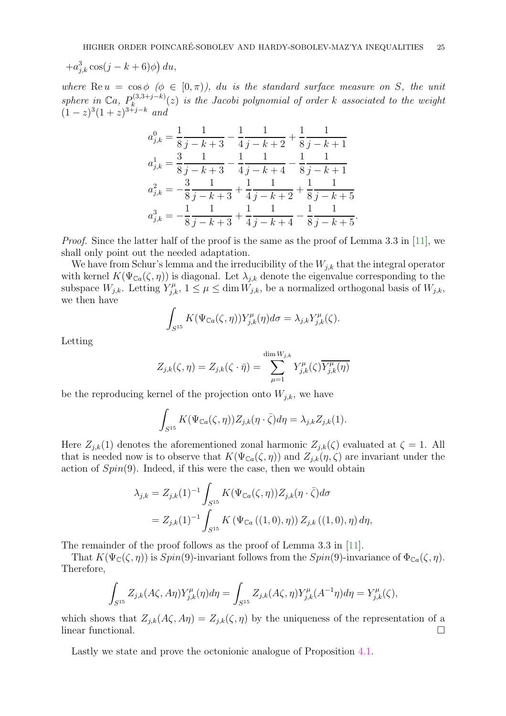<span id="page-24-0"></span>
$$
+a_{j,k}^3\cos(j-k+6)\phi\big)\,du,
$$

*where*  $\text{Re } u = \cos \phi \ (\phi \in [0, \pi))$ *, du is the standard surface measure on* S, the unit *sphere in*  $\mathbb{C}a$ ,  $P_k^{(3,3+j-k)}$  $\mathcal{L}_{k}^{(3,3+1-k)}(z)$  is the Jacobi polynomial of order k associated to the weight  $(1-z)^3(1+z)^{3+j-k}$  and

$$
a_{j,k}^{0} = \frac{1}{8} \frac{1}{j - k + 3} - \frac{1}{4} \frac{1}{j - k + 2} + \frac{1}{8} \frac{1}{j - k + 1}
$$
  
\n
$$
a_{j,k}^{1} = \frac{3}{8} \frac{1}{j - k + 3} - \frac{1}{4} \frac{1}{j - k + 4} - \frac{1}{8} \frac{1}{j - k + 1}
$$
  
\n
$$
a_{j,k}^{2} = -\frac{3}{8} \frac{1}{j - k + 3} + \frac{1}{4} \frac{1}{j - k + 2} + \frac{1}{8} \frac{1}{j - k + 5}
$$
  
\n
$$
a_{j,k}^{3} = -\frac{1}{8} \frac{1}{j - k + 3} + \frac{1}{4} \frac{1}{j - k + 4} - \frac{1}{8} \frac{1}{j - k + 5}
$$

*Proof.* Since the latter half of the proof is the same as the proof of Lemma 3.3 in [\[11\]](#page-48-14), we shall only point out the needed adaptation.

.

We have from Schur's lemma and the irreducibility of the  $W_{i,k}$  that the integral operator with kernel  $K(\Psi_{\mathbb{C}a}(\zeta,\eta))$  is diagonal. Let  $\lambda_{j,k}$  denote the eigenvalue corresponding to the subspace  $W_{j,k}$ . Letting  $Y_{j,k}^{\mu}$ ,  $1 \leq \mu \leq \dim W_{j,k}$ , be a normalized orthogonal basis of  $W_{j,k}$ , we then have

$$
\int_{S^{15}} K(\Psi_{\mathbb{C}a}(\zeta,\eta)) Y_{j,k}^{\mu}(\eta) d\sigma = \lambda_{j,k} Y_{j,k}^{\mu}(\zeta).
$$

Letting

$$
Z_{j,k}(\zeta,\eta) = Z_{j,k}(\zeta \cdot \bar{\eta}) = \sum_{\mu=1}^{\dim W_{j,k}} Y_{j,k}^{\mu}(\zeta) \overline{Y_{j,k}^{\mu}(\eta)}
$$

be the reproducing kernel of the projection onto  $W_{j,k}$ , we have

$$
\int_{S^{15}} K(\Psi_{{\mathbb{C}} a}(\zeta,\eta)) Z_{j,k}(\eta\cdot\bar{\zeta}) d\eta = \lambda_{j,k} Z_{j,k}(1).
$$

Here  $Z_{j,k}(1)$  denotes the aforementioned zonal harmonic  $Z_{j,k}(\zeta)$  evaluated at  $\zeta = 1$ . All that is needed now is to observe that  $K(\Psi_{\mathbb{C}a}(\zeta,\eta))$  and  $Z_{j,k}(\eta,\zeta)$  are invariant under the action of  $Spin(9)$ . Indeed, if this were the case, then we would obtain

$$
\lambda_{j,k} = Z_{j,k}(1)^{-1} \int_{S^{15}} K(\Psi_{\mathbb{C}a}(\zeta, \eta)) Z_{j,k}(\eta \cdot \bar{\zeta}) d\sigma
$$
  
=  $Z_{j,k}(1)^{-1} \int_{S^{15}} K(\Psi_{\mathbb{C}a}((1,0), \eta)) Z_{j,k}((1,0), \eta) d\eta,$ 

The remainder of the proof follows as the proof of Lemma 3.3 in [\[11\]](#page-48-14).

That  $K(\Psi_{\mathbb{C}}(\zeta, \eta))$  is  $Spin(9)$ -invariant follows from the  $Spin(9)$ -invariance of  $\Phi_{\mathbb{C}_a}(\zeta, \eta)$ . Therefore,

$$
\int_{S^{15}} Z_{j,k}(A\zeta, A\eta) Y_{j,k}^{\mu}(\eta) d\eta = \int_{S^{15}} Z_{j,k}(A\zeta, \eta) Y_{j,k}^{\mu}(A^{-1}\eta) d\eta = Y_{j,k}^{\mu}(\zeta),
$$

which shows that  $Z_{j,k}(A\zeta, A\eta) = Z_{j,k}(\zeta, \eta)$  by the uniqueness of the representation of a linear functional.

Lastly we state and prove the octonionic analogue of Proposition [4.1.](#page-21-6)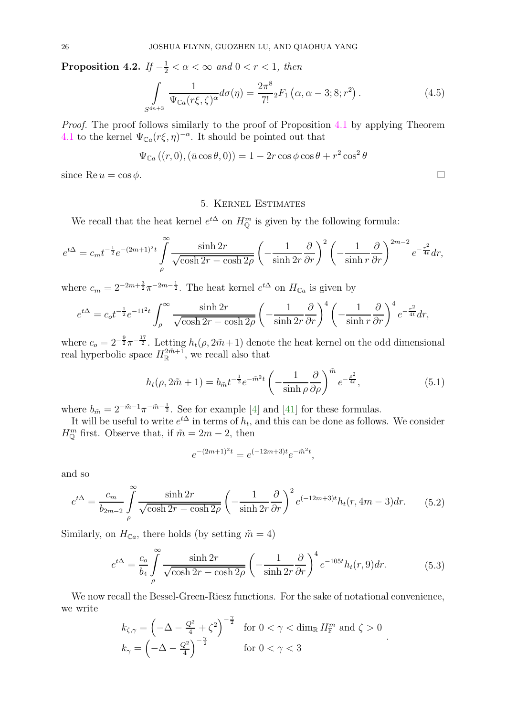<span id="page-25-5"></span><span id="page-25-1"></span>Proposition 4.2. *If*  $-\frac{1}{2} < \alpha < \infty$  and  $0 < r < 1$ *, then* 

$$
\int_{S^{4n+3}} \frac{1}{\Psi_{\mathbb{C}a}(r\xi,\zeta)^{\alpha}} d\sigma(\eta) = \frac{2\pi^8}{7!} {}_2F_1\left(\alpha,\alpha-3;8;r^2\right). \tag{4.5}
$$

*Proof.* The proof follows similarly to the proof of Proposition [4.1](#page-21-6) by applying Theorem [4.1](#page-23-2) to the kernel  $\Psi_{\mathbb{C}a}(r\xi,\eta)^{-\alpha}$ . It should be pointed out that

$$
\Psi_{\mathbb{C}a}\left((r,0),\left(\bar{u}\cos\theta,0\right)\right)=1-2r\cos\phi\cos\theta+r^2\cos^2\theta
$$

<span id="page-25-0"></span>since Re  $u = \cos \phi$ .

### 5. Kernel Estimates

We recall that the heat kernel  $e^{t\Delta}$  on  $H_{\mathbb{Q}}^{m}$  is given by the following formula:

$$
e^{t\Delta} = c_m t^{-\frac{1}{2}} e^{-(2m+1)^2 t} \int\limits_{\rho}^{\infty} \frac{\sinh 2r}{\sqrt{\cosh 2r - \cosh 2\rho}} \left( -\frac{1}{\sinh 2r} \frac{\partial}{\partial r} \right)^2 \left( -\frac{1}{\sinh r} \frac{\partial}{\partial r} \right)^{2m-2} e^{-\frac{r^2}{4t}} dr,
$$

where  $c_m = 2^{-2m + \frac{3}{2}} \pi^{-2m - \frac{1}{2}}$ . The heat kernel  $e^{t\Delta}$  on  $H_{\mathbb{C}a}$  is given by

$$
e^{t\Delta} = c_0 t^{-\frac{1}{2}} e^{-11^2 t} \int_{\rho}^{\infty} \frac{\sinh 2r}{\sqrt{\cosh 2r - \cosh 2\rho}} \left( -\frac{1}{\sinh 2r} \frac{\partial}{\partial r} \right)^4 \left( -\frac{1}{\sinh r} \frac{\partial}{\partial r} \right)^4 e^{-\frac{r^2}{4t}} dr,
$$

where  $c_o = 2^{-\frac{9}{2}} \pi^{-\frac{17}{2}}$ . Letting  $h_t(\rho, 2m+1)$  denote the heat kernel on the odd dimensional real hyperbolic space  $H_{\mathbb{R}}^{2\tilde{m}+1}$ , we recall also that

<span id="page-25-3"></span>
$$
h_t(\rho, 2\tilde{m} + 1) = b_{\tilde{m}} t^{-\frac{1}{2}} e^{-\tilde{m}^2 t} \left( -\frac{1}{\sinh \rho} \frac{\partial}{\partial \rho} \right)^{\tilde{m}} e^{-\frac{\rho^2}{4t}}, \tag{5.1}
$$

where  $b_{\tilde{m}} = 2^{-\tilde{m}-1}\pi^{-\tilde{m}-\frac{1}{2}}$ . See for example [\[4\]](#page-47-1) and [\[41\]](#page-49-14) for these formulas.

It will be useful to write  $e^{t\Delta}$  in terms of  $h_t$ , and this can be done as follows. We consider  $H_{\mathbb{Q}}^{m}$  first. Observe that, if  $\tilde{m} = 2m - 2$ , then

$$
e^{-(2m+1)^2t} = e^{(-12m+3)t}e^{-\tilde{m}^2t},
$$

and so

<span id="page-25-2"></span>
$$
e^{t\Delta} = \frac{c_m}{b_{2m-2}} \int\limits_{\rho}^{\infty} \frac{\sinh 2r}{\sqrt{\cosh 2r - \cosh 2\rho}} \left( -\frac{1}{\sinh 2r} \frac{\partial}{\partial r} \right)^2 e^{(-12m+3)t} h_t(r, 4m-3) dr. \tag{5.2}
$$

Similarly, on  $H_{\mathbb{C}_a}$ , there holds (by setting  $\tilde{m} = 4$ )

<span id="page-25-4"></span>
$$
e^{t\Delta} = \frac{c_o}{b_4} \int_{\rho}^{\infty} \frac{\sinh 2r}{\sqrt{\cosh 2r - \cosh 2\rho}} \left( -\frac{1}{\sinh 2r} \frac{\partial}{\partial r} \right)^4 e^{-105t} h_t(r, 9) dr.
$$
 (5.3)

.

We now recall the Bessel-Green-Riesz functions. For the sake of notational convenience, we write

$$
k_{\zeta,\gamma} = \left(-\Delta - \frac{Q^2}{4} + \zeta^2\right)^{-\frac{\gamma}{2}} \quad \text{for } 0 < \gamma < \dim_{\mathbb{R}} H_{\mathbb{F}}^m \text{ and } \zeta > 0
$$
\n
$$
k_{\gamma} = \left(-\Delta - \frac{Q^2}{4}\right)^{-\frac{\gamma}{2}} \qquad \text{for } 0 < \gamma < 3
$$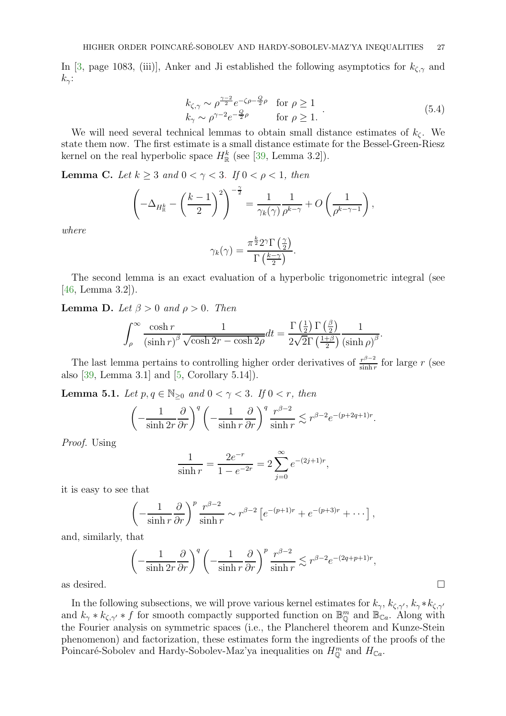<span id="page-26-4"></span>In [\[3,](#page-47-2) page 1083, (iii)], Anker and Ji established the following asymptotics for  $k_{\zeta,\gamma}$  and  $k_{\gamma}$ :

<span id="page-26-0"></span>
$$
k_{\zeta,\gamma} \sim \rho^{\frac{\gamma-2}{2}} e^{-\zeta \rho - \frac{Q}{2}\rho} \quad \text{for } \rho \ge 1
$$
  
\n
$$
k_{\gamma} \sim \rho^{\gamma-2} e^{-\frac{Q}{2}\rho} \qquad \text{for } \rho \ge 1.
$$
 (5.4)

.

We will need several technical lemmas to obtain small distance estimates of  $k<sub>\zeta</sub>$ . We state them now. The first estimate is a small distance estimate for the Bessel-Green-Riesz kernel on the real hyperbolic space  $H_{\mathbb{R}}^{k}$  (see [\[39,](#page-49-4) Lemma 3.2]).

<span id="page-26-1"></span>**Lemma C.** *Let*  $k \geq 3$  *and*  $0 < \gamma < 3$ *. If*  $0 < \rho < 1$ *, then* 

$$
\left(-\Delta_{H^k_{\mathbb{R}}}-\left(\frac{k-1}{2}\right)^2\right)^{-\frac{\gamma}{2}}=\frac{1}{\gamma_k(\gamma)}\frac{1}{\rho^{k-\gamma}}+O\left(\frac{1}{\rho^{k-\gamma-1}}\right),
$$

*where*

$$
\gamma_k(\gamma) = \frac{\pi^{\frac{k}{2}} 2^{\gamma} \Gamma\left(\frac{\gamma}{2}\right)}{\Gamma\left(\frac{k-\gamma}{2}\right)}.
$$

The second lemma is an exact evaluation of a hyperbolic trigonometric integral (see [\[46,](#page-49-5) Lemma 3.2]).

<span id="page-26-2"></span>**Lemma D.** *Let*  $\beta > 0$  *and*  $\rho > 0$ *. Then* 

$$
\int_{\rho}^{\infty} \frac{\cosh r}{\left(\sinh r\right)^{\beta}} \frac{1}{\sqrt{\cosh 2r - \cosh 2\rho}} dt = \frac{\Gamma\left(\frac{1}{2}\right) \Gamma\left(\frac{\beta}{2}\right)}{2\sqrt{2}\Gamma\left(\frac{1+\beta}{2}\right)} \frac{1}{\left(\sinh \rho\right)^{\beta}}
$$

The last lemma pertains to controlling higher order derivatives of  $\frac{r^{\beta-2}}{\sinh r}$  $\frac{r^{p-2}}{\sinh r}$  for large r (see also [\[39,](#page-49-4) Lemma 3.1] and [\[5,](#page-48-9) Corollary 5.14]).

<span id="page-26-3"></span>**Lemma 5.1.** *Let*  $p, q \in \mathbb{N}_{\geq 0}$  *and*  $0 < \gamma < 3$ *. If*  $0 < r$ *, then* 

$$
\left(-\frac{1}{\sinh 2r}\frac{\partial}{\partial r}\right)^q \left(-\frac{1}{\sinh r}\frac{\partial}{\partial r}\right)^q \frac{r^{\beta-2}}{\sinh r} \lesssim r^{\beta-2}e^{-(p+2q+1)r}.
$$

*Proof.* Using

$$
\frac{1}{\sinh r} = \frac{2e^{-r}}{1 - e^{-2r}} = 2\sum_{j=0}^{\infty} e^{-(2j+1)r},
$$

it is easy to see that

$$
\left(-\frac{1}{\sinh r}\frac{\partial}{\partial r}\right)^p \frac{r^{\beta-2}}{\sinh r} \sim r^{\beta-2} \left[e^{-(p+1)r} + e^{-(p+3)r} + \cdots\right],
$$

and, similarly, that

$$
\left(-\frac{1}{\sinh 2r} \frac{\partial}{\partial r}\right)^q \left(-\frac{1}{\sinh r} \frac{\partial}{\partial r}\right)^p \frac{r^{\beta-2}}{\sinh r} \lesssim r^{\beta-2} e^{-(2q+p+1)r},
$$

as desired.  $\Box$ 

In the following subsections, we will prove various kernel estimates for  $k_{\gamma}$ ,  $k_{\zeta,\gamma'}$ ,  $k_{\gamma} * k_{\zeta,\gamma'}$ and  $k_{\gamma} * k_{\zeta, \gamma'} * f$  for smooth compactly supported function on  $\mathbb{B}_{\mathbb{Q}}^m$  and  $\mathbb{B}_{\mathbb{C}_a}$ . Along with the Fourier analysis on symmetric spaces (i.e., the Plancherel theorem and Kunze-Stein phenomenon) and factorization, these estimates form the ingredients of the proofs of the Poincaré-Sobolev and Hardy-Sobolev-Maz'ya inequalities on  $H_{\mathbb{Q}}^m$  and  $H_{\mathbb{C}_a}$ .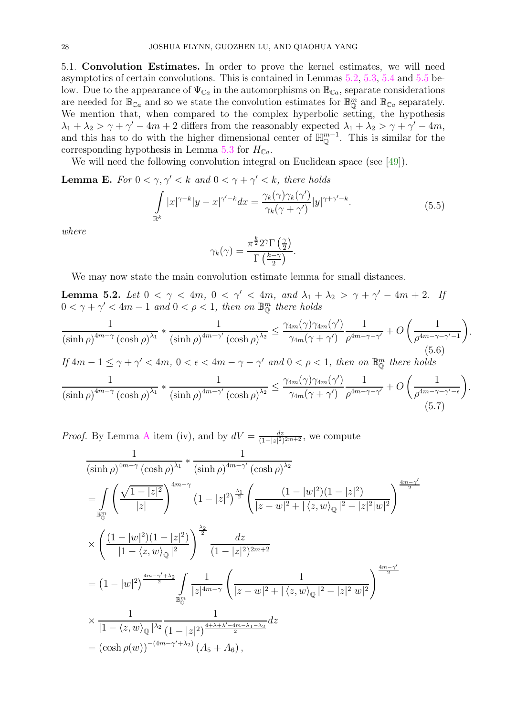<span id="page-27-3"></span><span id="page-27-0"></span>5.1. Convolution Estimates. In order to prove the kernel estimates, we will need asymptotics of certain convolutions. This is contained in Lemmas [5.2,](#page-27-1) [5.3,](#page-29-0) [5.4](#page-30-0) and [5.5](#page-32-0) below. Due to the appearance of  $\Psi_{\mathbb{C}_a}$  in the automorphisms on  $\mathbb{B}_{\mathbb{C}_a}$ , separate considerations are needed for  $\mathbb{B}_{\mathbb{C}_a}$  and so we state the convolution estimates for  $\mathbb{B}_{\mathbb{Q}}^m$  and  $\mathbb{B}_{\mathbb{C}_a}$  separately. We mention that, when compared to the complex hyperbolic setting, the hypothesis  $\lambda_1 + \lambda_2 > \gamma + \gamma' - 4m + 2$  differs from the reasonably expected  $\lambda_1 + \lambda_2 > \gamma + \gamma' - 4m$ , and this has to do with the higher dimensional center of  $\mathbb{H}_{\mathbb{Q}}^{m-1}$ . This is similar for the corresponding hypothesis in Lemma [5.3](#page-29-0) for  $H_{\mathbb{C}a}$ .

We will need the following convolution integral on Euclidean space (see [\[49\]](#page-49-15)).

<span id="page-27-2"></span>**Lemma E.** For  $0 < \gamma, \gamma' < k$  and  $0 < \gamma + \gamma' < k$ , there holds

$$
\int_{\mathbb{R}^k} |x|^{\gamma - k} |y - x|^{\gamma' - k} dx = \frac{\gamma_k(\gamma)\gamma_k(\gamma')}{\gamma_k(\gamma + \gamma')} |y|^{\gamma + \gamma' - k}.
$$
\n(5.5)

*where*

$$
\gamma_k(\gamma) = \frac{\pi^{\frac{k}{2}} 2^{\gamma} \Gamma\left(\frac{\gamma}{2}\right)}{\Gamma\left(\frac{k-\gamma}{2}\right)}.
$$

We may now state the main convolution estimate lemma for small distances.

**Lemma 5.2.** *Let*  $0 < \gamma < 4m$ ,  $0 < \gamma' < 4m$ , and  $\lambda_1 + \lambda_2 > \gamma + \gamma' - 4m + 2$ . *If*  $0 < \gamma + \gamma' < 4m - 1$  and  $0 < \rho < 1$ , then on  $\mathbb{B}_{\mathbb{Q}}^m$  there holds

$$
\frac{1}{(\sinh \rho)^{4m-\gamma} (\cosh \rho)^{\lambda_1}} * \frac{1}{(\sinh \rho)^{4m-\gamma'} (\cosh \rho)^{\lambda_2}} \le \frac{\gamma_{4m}(\gamma)\gamma_{4m}(\gamma')}{\gamma_{4m}(\gamma + \gamma')}\frac{1}{\rho^{4m-\gamma-\gamma'}} + O\left(\frac{1}{\rho^{4m-\gamma-\gamma'-1}}\right).
$$
\n(f4m-1 \le \gamma + \gamma' < 4m, 0 < \epsilon < 4m - \gamma - \gamma' \text{ and } 0 < \rho < 1, \text{ then on } \mathbb{B}\_{\mathbb{Q}}^m \text{ there holds}\n
$$
\frac{1}{(\sinh \rho)^{4m-\gamma} (\cosh \rho)^{\lambda_1}} * \frac{1}{(\sinh \rho)^{4m-\gamma'} (\cosh \rho)^{\lambda_2}} \le \frac{\gamma_{4m}(\gamma)\gamma_{4m}(\gamma')}{\gamma_{4m}(\gamma + \gamma')}\frac{1}{\rho^{4m-\gamma-\gamma'}} + O\left(\frac{1}{\rho^{4m-\gamma-\gamma'-\epsilon}}\right).
$$
\n(5.7)

<span id="page-27-1"></span>*Proof.* By Lemma [A](#page-11-1) item (iv), and by  $dV = \frac{dz}{(1-|z|^2)^2}$  $\frac{dz}{(1-|z|^2)^{2m+2}}$ , we compute

$$
\frac{1}{(\sinh \rho)^{4m-\gamma} (\cosh \rho)^{\lambda_1}} * \frac{1}{(\sinh \rho)^{4m-\gamma'} (\cosh \rho)^{\lambda_2}} \n= \int_{\mathbb{B}_{\mathbb{Q}}^m} \left( \frac{\sqrt{1-|z|^2}}{|z|} \right)^{4m-\gamma} (1-|z|^2)^{\frac{\lambda_1}{2}} \left( \frac{(1-|w|^2)(1-|z|^2)}{|z-w|^2+|\langle z,w\rangle_{\mathbb{Q}}|^2-|z|^2|w|^2} \right)^{\frac{4m-\gamma'}{2}} \n\times \left( \frac{(1-|w|^2)(1-|z|^2)}{|1-\langle z,w\rangle_{\mathbb{Q}}|^2} \right)^{\frac{\lambda_2}{2}} \frac{dz}{(1-|z|^2)^{2m+2}} \n= (1-|w|^2)^{\frac{4m-\gamma'+\lambda_2}{2}} \int_{\mathbb{B}_{\mathbb{Q}}^m} \frac{1}{|z|^{4m-\gamma}} \left( \frac{1}{|z-w|^2+|\langle z,w\rangle_{\mathbb{Q}}|^2-|z|^2|w|^2} \right)^{\frac{4m-\gamma'}{2}} \n\times \frac{1}{|1-\langle z,w\rangle_{\mathbb{Q}}|^{\lambda_2}} \frac{1}{(1-|z|^2)^{\frac{4+\lambda+\lambda'-4m-\lambda_1-\lambda_2}{2}}} dz \n= (\cosh \rho(w))^{-(4m-\gamma'+\lambda_2)} (A_5 + A_6),
$$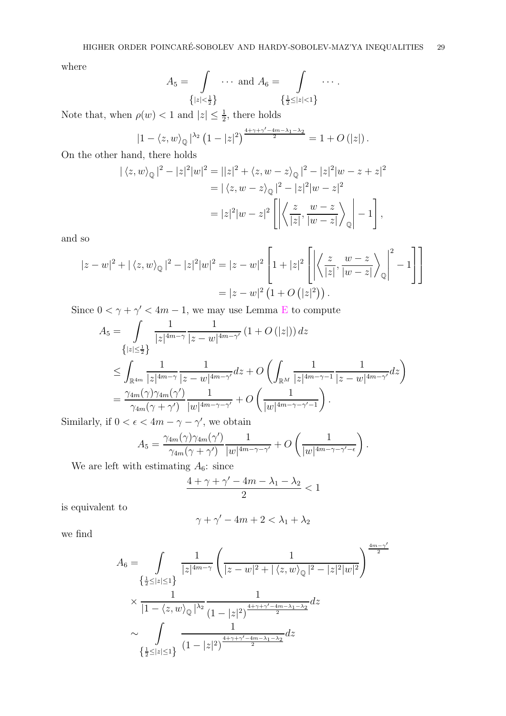where

$$
A_5 = \int \cdots \text{ and } A_6 = \int \cdots
$$
  

$$
\{|z| < \frac{1}{2}\} \qquad \{ \frac{1}{2} \le |z| < 1 \}
$$

Note that, when  $\rho(w) < 1$  and  $|z| \leq \frac{1}{2}$ , there holds

$$
\left|1-\left\langle z,w\right\rangle_{\mathbb{Q}}\right|^{\lambda_{2}}\left(1-|z|^{2}\right)^{\frac{4+\gamma+\gamma'-4m-\lambda_{1}-\lambda_{2}}{2}}=1+O\left(|z|\right).
$$

On the other hand, there holds

$$
|\langle z, w \rangle_{\mathbb{Q}}|^2 - |z|^2 |w|^2 = ||z|^2 + \langle z, w - z \rangle_{\mathbb{Q}}|^2 - |z|^2 |w - z + z|^2
$$
  
=  $|\langle z, w - z \rangle_{\mathbb{Q}}|^2 - |z|^2 |w - z|^2$   
=  $|z|^2 |w - z|^2 \left[ \left| \left\langle \frac{z}{|z|}, \frac{w - z}{|w - z|} \right\rangle_{\mathbb{Q}} \right| - 1 \right],$ 

and so

$$
|z-w|^2 + |\langle z, w \rangle_{\mathbb{Q}}|^2 - |z|^2 |w|^2 = |z-w|^2 \left[ 1 + |z|^2 \left[ \left| \left\langle \frac{z}{|z|}, \frac{w-z}{|w-z|} \right\rangle_{\mathbb{Q}} \right|^2 - 1 \right] \right]
$$
  
=  $|z-w|^2 \left( 1 + O\left( |z|^2 \right) \right).$ 

Since  $0 < \gamma + \gamma' < 4m - 1$ , we may use Lemma [E](#page-27-2) to compute

$$
A_5 = \int_{\{|z| \le \frac{1}{2}\}} \frac{1}{|z|^{4m-\gamma}} \frac{1}{|z-w|^{4m-\gamma'}} (1+O(|z|)) dz
$$
  

$$
\le \int_{\mathbb{R}^{4m}} \frac{1}{|z|^{4m-\gamma}} \frac{1}{|z-w|^{4m-\gamma'}} dz + O\left(\int_{\mathbb{R}^M} \frac{1}{|z|^{4m-\gamma-1}} \frac{1}{|z-w|^{4m-\gamma'}} dz\right)
$$
  

$$
= \frac{\gamma_{4m}(\gamma)\gamma_{4m}(\gamma')}{\gamma_{4m}(\gamma+\gamma')} \frac{1}{|w|^{4m-\gamma-\gamma'}} + O\left(\frac{1}{|w|^{4m-\gamma-\gamma'-1}}\right).
$$

Similarly, if  $0 < \epsilon < 4m - \gamma - \gamma'$ , we obtain

$$
A_5 = \frac{\gamma_{4m}(\gamma)\gamma_{4m}(\gamma')}{\gamma_{4m}(\gamma + \gamma')} \frac{1}{|w|^{4m-\gamma-\gamma'}} + O\left(\frac{1}{|w|^{4m-\gamma-\gamma'-\epsilon}}\right).
$$

We are left with estimating  $A_6$ : since

$$
\frac{4+\gamma+\gamma'-4m-\lambda_1-\lambda_2}{2}<1
$$

is equivalent to

$$
\gamma + \gamma' - 4m + 2 < \lambda_1 + \lambda_2
$$

we find

$$
A_6 = \int_{\left\{ \frac{1}{2} \le |z| \le 1 \right\}} \frac{1}{|z|^{4m-\gamma}} \left( \frac{1}{|z-w|^2 + |\langle z, w \rangle_{\mathbb{Q}}|^2 - |z|^2 |w|^2} \right)^{\frac{4m-\gamma'}{2}}
$$
  

$$
\times \frac{1}{|1-\langle z, w \rangle_{\mathbb{Q}}|^{\lambda_2}} \frac{1}{(1-|z|^2)^{\frac{4+\gamma+\gamma'-4m-\lambda_1-\lambda_2}{2}}} dz
$$
  

$$
\sim \int_{\left\{ \frac{1}{2} \le |z| \le 1 \right\}} \frac{1}{(1-|z|^2)^{\frac{4+\gamma+\gamma'-4m-\lambda_1-\lambda_2}{2}}} dz
$$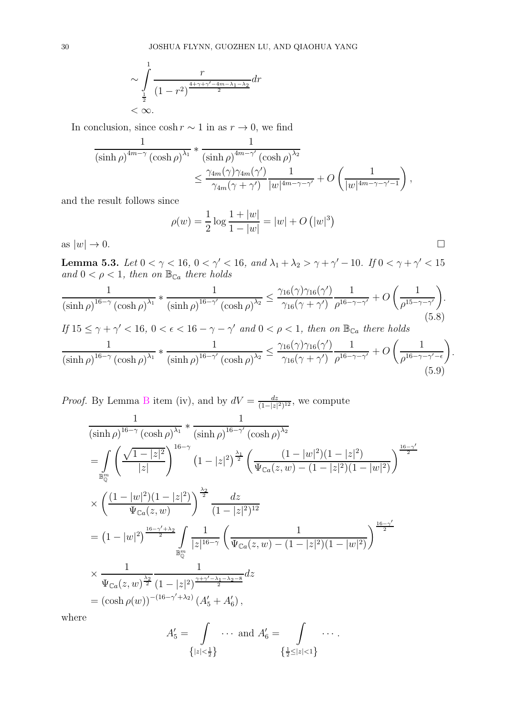$$
\sim \int_{\frac{1}{2}}^{1} \frac{r}{(1-r^2)^{\frac{4+\gamma+\gamma'-4m-\lambda_1-\lambda_2}{2}}} dr
$$
  
<  $\infty$ .

In conclusion, since  $\cosh r \sim 1$  in as  $r \to 0$ , we find

$$
\frac{1}{(\sinh \rho)^{4m-\gamma} (\cosh \rho)^{\lambda_1}} * \frac{1}{(\sinh \rho)^{4m-\gamma'} (\cosh \rho)^{\lambda_2}}\n\leq \frac{\gamma_{4m}(\gamma)\gamma_{4m}(\gamma')}{\gamma_{4m}(\gamma + \gamma')}\frac{1}{|w|^{4m-\gamma-\gamma'}} + O\left(\frac{1}{|w|^{4m-\gamma-\gamma'-1}}\right),
$$

and the result follows since

$$
\rho(w) = \frac{1}{2} \log \frac{1 + |w|}{1 - |w|} = |w| + O(|w|^3)
$$

as  $|w| \to 0$ .

**Lemma 5.3.** *Let*  $0 < \gamma < 16$ ,  $0 < \gamma' < 16$ , and  $\lambda_1 + \lambda_2 > \gamma + \gamma' - 10$ . *If*  $0 < \gamma + \gamma' < 15$ *and*  $0 < \rho < 1$ *, then on*  $\mathbb{B}_{\mathbb{C}_a}$  *there holds* 

$$
\frac{1}{(\sinh \rho)^{16-\gamma} (\cosh \rho)^{\lambda_1}} * \frac{1}{(\sinh \rho)^{16-\gamma'} (\cosh \rho)^{\lambda_2}} \le \frac{\gamma_{16}(\gamma)\gamma_{16}(\gamma')}{\gamma_{16}(\gamma + \gamma')}\frac{1}{\rho^{16-\gamma-\gamma'}} + O\left(\frac{1}{\rho^{15-\gamma-\gamma'}}\right).
$$
\n
$$
If 15 \le \gamma + \gamma' < 16, 0 < \epsilon < 16 - \gamma - \gamma' \text{ and } 0 < \rho < 1, \text{ then on } \mathbb{B}_{\mathbb{C}^a} \text{ there holds}
$$
\n
$$
\frac{1}{(\sinh \rho)^{16-\gamma} (\cosh \rho)^{\lambda_1}} * \frac{1}{(\sinh \rho)^{16-\gamma'} (\cosh \rho)^{\lambda_2}} \le \frac{\gamma_{16}(\gamma)\gamma_{16}(\gamma')}{\gamma_{16}(\gamma + \gamma')}\frac{1}{\rho^{16-\gamma-\gamma'}} + O\left(\frac{1}{\rho^{16-\gamma-\gamma'-\epsilon}}\right).
$$
\n(5.9)

<span id="page-29-0"></span>*Proof.* [B](#page-12-0)y Lemma B item (iv), and by  $dV = \frac{dz}{(1-|z|)}$  $\frac{dz}{(1-|z|^2)^{12}}$ , we compute

$$
\frac{1}{(\sinh \rho)^{16-\gamma} (\cosh \rho)^{\lambda_1}} * \frac{1}{(\sinh \rho)^{16-\gamma'} (\cosh \rho)^{\lambda_2}} \n= \int_{\mathbb{B}_{\mathbb{Q}}^m} \left( \frac{\sqrt{1-|z|^2}}{|z|} \right)^{16-\gamma} (1-|z|^2)^{\frac{\lambda_1}{2}} \left( \frac{(1-|w|^2)(1-|z|^2)}{\Psi_{\mathbb{C}a}(z,w) - (1-|z|^2)(1-|w|^2)} \right)^{\frac{16-\gamma'}{2}} \n\times \left( \frac{(1-|w|^2)(1-|z|^2)}{\Psi_{\mathbb{C}a}(z,w)} \right)^{\frac{\lambda_2}{2}} \frac{dz}{(1-|z|^2)^{12}} \n= (1-|w|^2)^{\frac{16-\gamma'+\lambda_2}{2}} \int_{\mathbb{B}_{\mathbb{Q}}^m} \frac{1}{|z|^{16-\gamma}} \left( \frac{1}{\Psi_{\mathbb{C}a}(z,w) - (1-|z|^2)(1-|w|^2)} \right)^{\frac{16-\gamma'}{2}} \n\times \frac{1}{\Psi_{\mathbb{C}a}(z,w)^{\frac{\lambda_2}{2}}} \frac{1}{(1-|z|^2)^{\frac{\gamma+\gamma'-\lambda_1-\lambda_2-8}{2}}} dz \n= (\cosh \rho(w))^{-(16-\gamma'+\lambda_2)} (A_5'+A_6'),
$$

where

$$
A'_5 = \int_{\{|z| < \frac{1}{2}\}} \cdots \text{ and } A'_6 = \int_{\{\frac{1}{2} \le |z| < 1\}} \cdots.
$$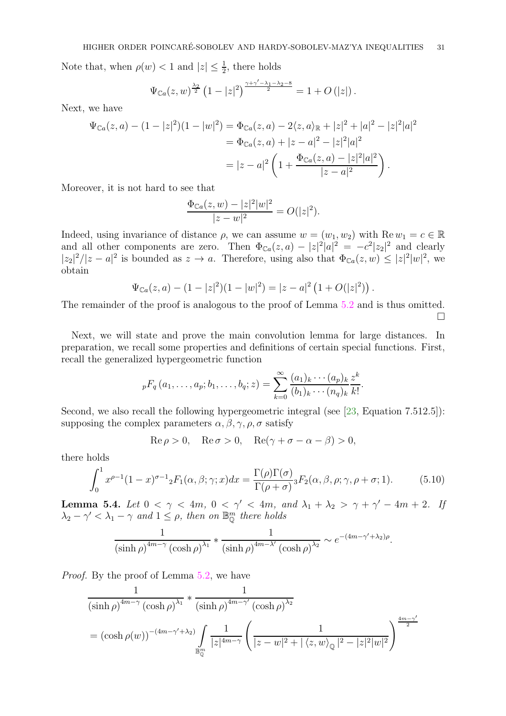<span id="page-30-2"></span>Note that, when  $\rho(w) < 1$  and  $|z| \leq \frac{1}{2}$ , there holds

$$
\Psi_{\mathbb{C}a}(z,w)^{\frac{\lambda_2}{2}} \left(1-|z|^2\right)^{\frac{\gamma+\gamma'-\lambda_1-\lambda_2-8}{2}} = 1 + O(|z|).
$$

Next, we have

$$
\Psi_{\mathbb{C}a}(z,a) - (1-|z|^2)(1-|w|^2) = \Phi_{\mathbb{C}a}(z,a) - 2\langle z,a\rangle_{\mathbb{R}} + |z|^2 + |a|^2 - |z|^2|a|^2
$$
  
\n
$$
= \Phi_{\mathbb{C}a}(z,a) + |z-a|^2 - |z|^2|a|^2
$$
  
\n
$$
= |z-a|^2 \left(1 + \frac{\Phi_{\mathbb{C}a}(z,a) - |z|^2|a|^2}{|z-a|^2}\right).
$$

Moreover, it is not hard to see that

$$
\frac{\Phi_{\mathbb{C}a}(z,w) - |z|^2|w|^2}{|z-w|^2} = O(|z|^2).
$$

Indeed, using invariance of distance  $\rho$ , we can assume  $w = (w_1, w_2)$  with  $\text{Re } w_1 = c \in \mathbb{R}$ and all other components are zero. Then  $\Phi_{\mathbb{C}a}(z,a) - |z|^2 |a|^2 = -c^2 |z_2|^2$  and clearly  $|z_2|^2/|z-a|^2$  is bounded as  $z \to a$ . Therefore, using also that  $\Phi_{\mathbb{C}a}(z,w) \leq |z|^2|w|^2$ , we obtain

$$
\Psi_{\mathbb{C}a}(z,a) - (1-|z|^2)(1-|w|^2) = |z-a|^2 (1+O(|z|^2)).
$$

The remainder of the proof is analogous to the proof of Lemma [5.2](#page-27-1) and is thus omitted.  $\Box$ 

Next, we will state and prove the main convolution lemma for large distances. In preparation, we recall some properties and definitions of certain special functions. First, recall the generalized hypergeometric function

$$
{}_{p}F_{q}(a_{1},...,a_{p};b_{1},...,b_{q};z) = \sum_{k=0}^{\infty} \frac{(a_{1})_{k} \cdots (a_{p})_{k}}{(b_{1})_{k} \cdots (n_{q})_{k}} \frac{z^{k}}{k!}.
$$

Second, we also recall the following hypergeometric integral (see [\[23,](#page-48-16) Equation 7.512.5]): supposing the complex parameters  $\alpha, \beta, \gamma, \rho, \sigma$  satisfy

$$
\operatorname{Re}\rho>0, \quad \operatorname{Re}\sigma>0, \quad \operatorname{Re}(\gamma+\sigma-\alpha-\beta)>0,
$$

there holds

<span id="page-30-1"></span>
$$
\int_0^1 x^{\rho-1} (1-x)^{\sigma-1} {}_2F_1(\alpha, \beta; \gamma; x) dx = \frac{\Gamma(\rho)\Gamma(\sigma)}{\Gamma(\rho+\sigma)} {}_3F_2(\alpha, \beta, \rho; \gamma, \rho+\sigma; 1). \tag{5.10}
$$

<span id="page-30-0"></span>**Lemma 5.4.** *Let*  $0 < \gamma < 4m$ ,  $0 < \gamma' < 4m$ , and  $\lambda_1 + \lambda_2 > \gamma + \gamma' - 4m + 2$ . *If*  $\lambda_2 - \gamma' < \lambda_1 - \gamma$  and  $1 \leq \rho$ , then on  $\mathbb{B}_{\mathbb{Q}}^m$  there holds

$$
\frac{1}{\left(\sinh \rho\right)^{4m-\gamma} \left(\cosh \rho\right)^{\lambda_1}} * \frac{1}{\left(\sinh \rho\right)^{4m-\lambda'} \left(\cosh \rho\right)^{\lambda_2}} \sim e^{-(4m-\gamma'+\lambda_2)\rho}.
$$

*Proof.* By the proof of Lemma [5.2,](#page-27-1) we have

$$
\frac{1}{(\sinh \rho)^{4m-\gamma} (\cosh \rho)^{\lambda_1}} * \frac{1}{(\sinh \rho)^{4m-\gamma'} (\cosh \rho)^{\lambda_2}}
$$
  
=  $(\cosh \rho(w))^{-(4m-\gamma'+\lambda_2)} \int_{\mathbb{B}_0^m} \frac{1}{|z|^{4m-\gamma}} \left( \frac{1}{|z-w|^2 + |\langle z,w \rangle_{\mathbb{Q}}|^2 - |z|^2 |w|^2} \right)^{\frac{4m-\gamma'}{2}}$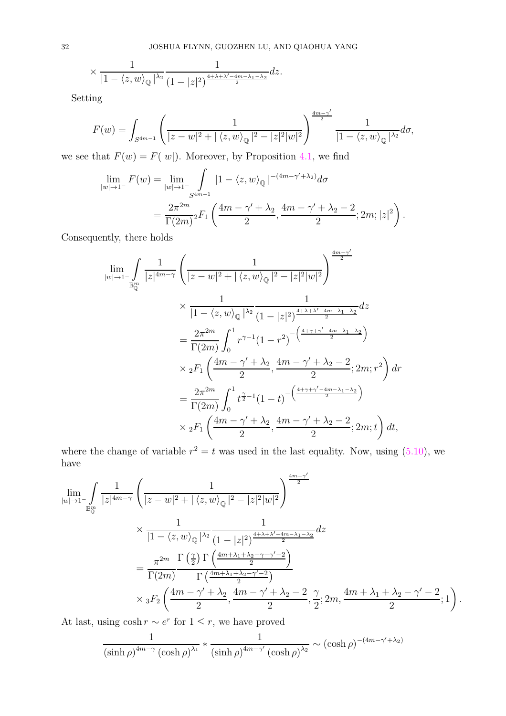$$
\times \frac{1}{|1-\langle z,w\rangle_{\mathbb{Q}}|^{\lambda_2}}\frac{1}{(1-|z|^2)^{\frac{4+\lambda+\lambda'-4m-\lambda_1-\lambda_2}{2}}}dz.
$$

Setting

$$
F(w) = \int_{S^{4m-1}} \left( \frac{1}{|z-w|^2 + |\langle z, w \rangle_{\mathbb{Q}}|^2 - |z|^2 |w|^2} \right)^{\frac{4m-\gamma'}{2}} \frac{1}{|1 - \langle z, w \rangle_{\mathbb{Q}}|^{\lambda_2}} d\sigma,
$$

we see that  $F(w) = F(|w|)$ . Moreover, by Proposition [4.1,](#page-21-6) we find

$$
\lim_{|w|\to 1^{-}} F(w) = \lim_{|w|\to 1^{-}} \int_{S^{4m-1}} |1 - \langle z, w \rangle_{\mathbb{Q}}|^{-(4m-\gamma'+\lambda_2)} d\sigma
$$
  
= 
$$
\frac{2\pi^{2m}}{\Gamma(2m)} {}_{2}F_{1}\left(\frac{4m-\gamma'+\lambda_2}{2}, \frac{4m-\gamma'+\lambda_2-2}{2}; 2m; |z|^{2}\right).
$$

Consequently, there holds

$$
\begin{split} \lim_{|w|\to1^{-}}&\int\limits_{\mathbb{B}_Q^m}\frac{1}{|z|^{4m-\gamma}}\left(\frac{1}{|z-w|^2+|\left\langle z,w\right\rangle_{\mathbb{Q}}|^2-|z|^2|w|^2}\right)^{\frac{4m-\gamma'}{2}}\\ &\times\frac{1}{|1-\left\langle z,w\right\rangle_{\mathbb{Q}}|^{\lambda_2}}\frac{1}{(1-|z|^2)^{\frac{4+\lambda+\lambda'-4m-\lambda_1-\lambda_2}{2}}}dz\\ &=\frac{2\pi^{2m}}{\Gamma(2m)}\int_0^1r^{\gamma-1}(1-r^2)^{-\left(\frac{4+\gamma+\gamma'-4m-\lambda_1-\lambda_2}{2}\right)}\\ &\times{_2F_1}\left(\frac{4m-\gamma'+\lambda_2}{2},\frac{4m-\gamma'+\lambda_2-2}{2};2m;r^2\right)dr\\ &=\frac{2\pi^{2m}}{\Gamma(2m)}\int_0^1t^{\frac{\gamma}{2}-1}(1-t)^{-\left(\frac{4+\gamma+\gamma'-4m-\lambda_1-\lambda_2}{2}\right)}\\ &\times{_2F_1}\left(\frac{4m-\gamma'+\lambda_2}{2},\frac{4m-\gamma'+\lambda_2-2}{2};2m;t\right)dt, \end{split}
$$

where the change of variable  $r^2 = t$  was used in the last equality. Now, using  $(5.10)$ , we have

$$
\begin{split} \lim_{|w|\rightarrow 1^{-}}&\int\frac{1}{|z|^{4m-\gamma}}\left(\frac{1}{|z-w|^{2}+|\left\langle z,w\right\rangle _{\mathbb{Q}}|^{2}-|z|^{2}|w|^{2}}\right)^{\frac{4m-\gamma^{\prime}}{2}}\\&\times\frac{1}{|1-\left\langle z,w\right\rangle _{\mathbb{Q}}|^{\lambda_{2}}}\frac{1}{(1-|z|^{2})^{\frac{4+\lambda+\lambda^{\prime}-4m-\lambda_{1}-\lambda_{2}}{2}}}\mathrm{d}z\\&=\frac{\pi^{2m}}{\Gamma(2m)}\frac{\Gamma\left(\frac{\gamma}{2}\right)\Gamma\left(\frac{4m+\lambda_{1}+\lambda_{2}-\gamma-\gamma^{\prime}-2}{2}\right)}{\Gamma\left(\frac{4m+\lambda_{1}+\lambda_{2}-\gamma^{\prime}-2}{2}\right)}\\&\times{}_{3}F_{2}\left(\frac{4m-\gamma^{\prime}+\lambda_{2}}{2},\frac{4m-\gamma^{\prime}+\lambda_{2}-2}{2},\frac{\gamma}{2};2m,\frac{4m+\lambda_{1}+\lambda_{2}-\gamma^{\prime}-2}{2};1\right). \end{split}
$$

At last, using  $\cosh r \sim e^r$  for  $1 \leq r$ , we have proved

$$
\frac{1}{\left(\sinh \rho\right)^{4m-\gamma} \left(\cosh \rho\right)^{\lambda_1}} * \frac{1}{\left(\sinh \rho\right)^{4m-\gamma'} \left(\cosh \rho\right)^{\lambda_2}} \sim \left(\cosh \rho\right)^{-(4m-\gamma'+\lambda_2)}
$$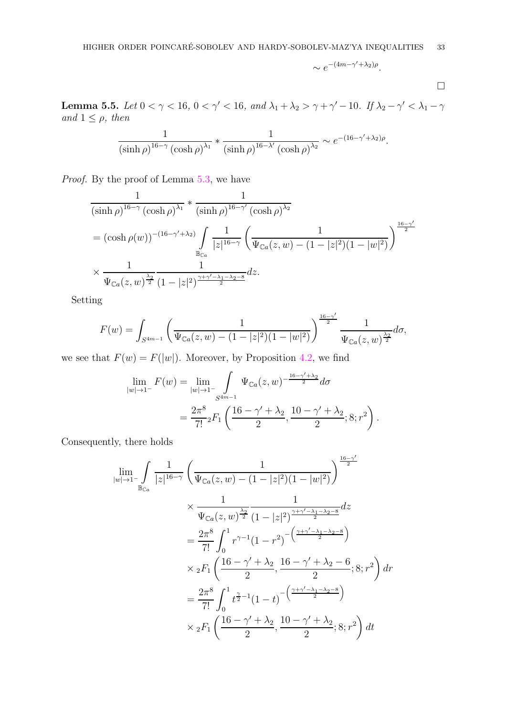$$
\sim e^{-(4m-\gamma'+\lambda_2)\rho}.
$$

 $\Box$ 

<span id="page-32-0"></span>**Lemma 5.5.** *Let*  $0 < \gamma < 16$ ,  $0 < \gamma' < 16$ , and  $\lambda_1 + \lambda_2 > \gamma + \gamma' - 10$ . If  $\lambda_2 - \gamma' < \lambda_1 - \gamma$ *and*  $1 \leq \rho$ *, then* 

$$
\frac{1}{\left(\sinh \rho\right)^{16-\gamma} \left(\cosh \rho\right)^{\lambda_1}} * \frac{1}{\left(\sinh \rho\right)^{16-\lambda'} \left(\cosh \rho\right)^{\lambda_2}} \sim e^{-(16-\gamma'+\lambda_2)\rho}.
$$

*Proof.* By the proof of Lemma [5.3,](#page-29-0) we have

1

$$
\frac{1}{(\sinh \rho)^{16-\gamma} (\cosh \rho)^{\lambda_1}} * \frac{1}{(\sinh \rho)^{16-\gamma'} (\cosh \rho)^{\lambda_2}} \n= (\cosh \rho(w))^{-(16-\gamma'+\lambda_2)} \int_{\mathbb{B}_{\mathbb{C}_a}} \frac{1}{|z|^{16-\gamma}} \left( \frac{1}{\Psi_{\mathbb{C}_a}(z, w) - (1 - |z|^2)(1 - |w|^2)} \right)^{\frac{16-\gamma'}{2}} \n\times \frac{1}{\Psi_{\mathbb{C}_a}(z, w)^{\frac{\lambda_2}{2}}} \frac{1}{(1 - |z|^2)^{\frac{\gamma + \gamma' - \lambda_1 - \lambda_2 - 8}{2}}} dz.
$$

Setting

$$
F(w) = \int_{S^{4m-1}} \left( \frac{1}{\Psi_{\mathbb{C}a}(z,w) - (1-|z|^2)(1-|w|^2)} \right)^{\frac{16-\gamma'}{2}} \frac{1}{\Psi_{\mathbb{C}a}(z,w)^{\frac{\lambda_2}{2}}} d\sigma,
$$

we see that  $F(w) = F(|w|)$ . Moreover, by Proposition [4.2,](#page-25-1) we find

$$
\lim_{|w|\to 1^{-}} F(w) = \lim_{|w|\to 1^{-}} \int_{S^{4m-1}} \Psi_{\mathbb{C}a}(z, w)^{-\frac{16-\gamma'+\lambda_2}{2}} d\sigma
$$
  
=  $\frac{2\pi^8}{7!} {}_{2}F_1 \left( \frac{16-\gamma'+\lambda_2}{2}, \frac{10-\gamma'+\lambda_2}{2}; 8; r^2 \right).$ 

Consequently, there holds

$$
\lim_{|w|\to1^{-}} \int_{\mathbb{B}_{\mathbb{C}a}} \frac{1}{|z|^{16-\gamma}} \left( \frac{1}{\Psi_{\mathbb{C}a}(z,w) - (1-|z|^2)(1-|w|^2)} \right)^{\frac{16-\gamma'}{2}}
$$
\n
$$
\times \frac{1}{\Psi_{\mathbb{C}a}(z,w)^{\frac{\lambda_2}{2}}} \frac{1}{(1-|z|^2)^{\frac{\gamma+\gamma'-\lambda_1-\lambda_2-8}{2}}} dz
$$
\n
$$
= \frac{2\pi^8}{7!} \int_0^1 r^{\gamma-1} (1-r^2)^{-\left(\frac{\gamma+\gamma'-\lambda_1-\lambda_2-8}{2}\right)}
$$
\n
$$
\times {}_2F_1 \left( \frac{16-\gamma'+\lambda_2}{2}, \frac{16-\gamma'+\lambda_2-6}{2}; 8; r^2 \right) dr
$$
\n
$$
= \frac{2\pi^8}{7!} \int_0^1 t^{\frac{\gamma}{2}-1} (1-t)^{-\left(\frac{\gamma+\gamma'-\lambda_1-\lambda_2-8}{2}\right)}
$$
\n
$$
\times {}_2F_1 \left( \frac{16-\gamma'+\lambda_2}{2}, \frac{10-\gamma'+\lambda_2}{2}; 8; r^2 \right) dt
$$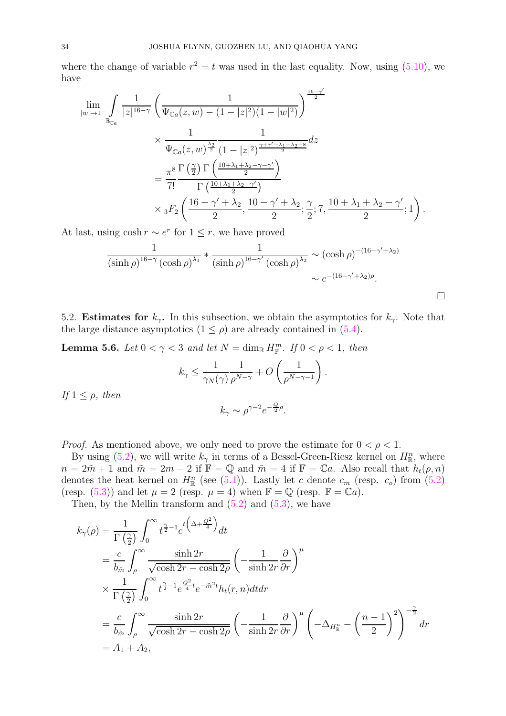where the change of variable  $r^2 = t$  was used in the last equality. Now, using  $(5.10)$ , we have

$$
\lim_{|w|\to 1^{-}} \int_{\mathbb{B}_{\mathbb{C}_{a}}} \frac{1}{|z|^{16-\gamma}} \left( \frac{1}{\Psi_{\mathbb{C}_{a}}(z,w) - (1-|z|^{2})(1-|w|^{2})} \right)^{\frac{16-\gamma'}{2}}
$$
\n
$$
\times \frac{1}{\Psi_{\mathbb{C}_{a}}(z,w)^{\frac{\lambda_{2}}{2}} \frac{1}{(1-|z|^{2})^{\frac{\gamma+\gamma'-\lambda_{1}-\lambda_{2}-8}{2}}} dz}
$$
\n
$$
= \frac{\pi^{8}}{7!} \frac{\Gamma\left(\frac{\gamma}{2}\right) \Gamma\left(\frac{10+\lambda_{1}+\lambda_{2}-\gamma-\gamma'}{2}\right)}{\Gamma\left(\frac{10+\lambda_{1}+\lambda_{2}-\gamma'}{2}\right)}
$$
\n
$$
\times {}_{3}F_{2} \left( \frac{16-\gamma'+\lambda_{2}}{2}, \frac{10-\gamma'+\lambda_{2}}{2}; \frac{\gamma}{2}; 7, \frac{10+\lambda_{1}+\lambda_{2}-\gamma'}{2}; 1 \right).
$$

At last, using  $\cosh r \sim e^r$  for  $1 \leq r$ , we have proved

$$
\frac{1}{\left(\sinh \rho\right)^{16-\gamma}\left(\cosh \rho\right)^{\lambda_1}} * \frac{1}{\left(\sinh \rho\right)^{16-\gamma'}\left(\cosh \rho\right)^{\lambda_2}} \sim \left(\cosh \rho\right)^{-(16-\gamma'+\lambda_2)} \\ \sim e^{-(16-\gamma'+\lambda_2)\rho}.
$$

<span id="page-33-0"></span>5.2. Estimates for  $k_{\gamma}$ . In this subsection, we obtain the asymptotics for  $k_{\gamma}$ . Note that the large distance asymptotics  $(1 \leq \rho)$  are already contained in [\(5.4\)](#page-26-0).

<span id="page-33-1"></span>**Lemma 5.6.** *Let*  $0 < \gamma < 3$  *and let*  $N = \dim_{\mathbb{R}} H_{\mathbb{F}}^m$ *. If*  $0 < \rho < 1$ *, then* 

$$
k_{\gamma} \leq \frac{1}{\gamma_N(\gamma)} \frac{1}{\rho^{N-\gamma}} + O\left(\frac{1}{\rho^{N-\gamma-1}}\right).
$$

*If*  $1 \leq \rho$ *, then* 

$$
k_{\gamma} \sim \rho^{\gamma - 2} e^{-\frac{Q}{2}\rho}.
$$

*Proof.* As mentioned above, we only need to prove the estimate for  $0 < \rho < 1$ .

By using  $(5.2)$ , we will write  $k_{\gamma}$  in terms of a Bessel-Green-Riesz kernel on  $H_{\mathbb{R}}^{n}$ , where  $n = 2m + 1$  and  $\tilde{m} = 2m - 2$  if  $\mathbb{F} = \mathbb{Q}$  and  $\tilde{m} = 4$  if  $\mathbb{F} = \mathbb{C}a$ . Also recall that  $h_t(\rho, n)$ denotes the heat kernel on  $H_{\mathbb{R}}^{n}$  (see [\(5.1\)](#page-25-3)). Lastly let c denote  $c_m$  (resp.  $c_o$ ) from [\(5.2\)](#page-25-2) (resp. [\(5.3\)](#page-25-4)) and let  $\mu = 2$  (resp.  $\mu = 4$ ) when  $\mathbb{F} = \mathbb{Q}$  (resp.  $\mathbb{F} = \mathbb{C}a$ ).

Then, by the Mellin transform and  $(5.2)$  and  $(5.3)$ , we have

$$
k_{\gamma}(\rho) = \frac{1}{\Gamma(\frac{\gamma}{2})} \int_0^{\infty} t^{\frac{\gamma}{2}-1} e^{t \left(\Delta + \frac{Q^2}{4}\right)} dt
$$
  
\n
$$
= \frac{c}{b_{\tilde{m}}} \int_{\rho}^{\infty} \frac{\sinh 2r}{\sqrt{\cosh 2r - \cosh 2\rho}} \left(-\frac{1}{\sinh 2r} \frac{\partial}{\partial r}\right)^{\mu}
$$
  
\n
$$
\times \frac{1}{\Gamma(\frac{\gamma}{2})} \int_0^{\infty} t^{\frac{\gamma}{2}-1} e^{\frac{Q^2}{4}t} e^{-\tilde{m}^2 t} h_t(r, n) dt dr
$$
  
\n
$$
= \frac{c}{b_{\tilde{m}}} \int_{\rho}^{\infty} \frac{\sinh 2r}{\sqrt{\cosh 2r - \cosh 2\rho}} \left(-\frac{1}{\sinh 2r} \frac{\partial}{\partial r}\right)^{\mu} \left(-\Delta_{H_{\mathbb{R}}^n} - \left(\frac{n-1}{2}\right)^2\right)^{-\frac{\gamma}{2}} dr
$$
  
\n
$$
= A_1 + A_2,
$$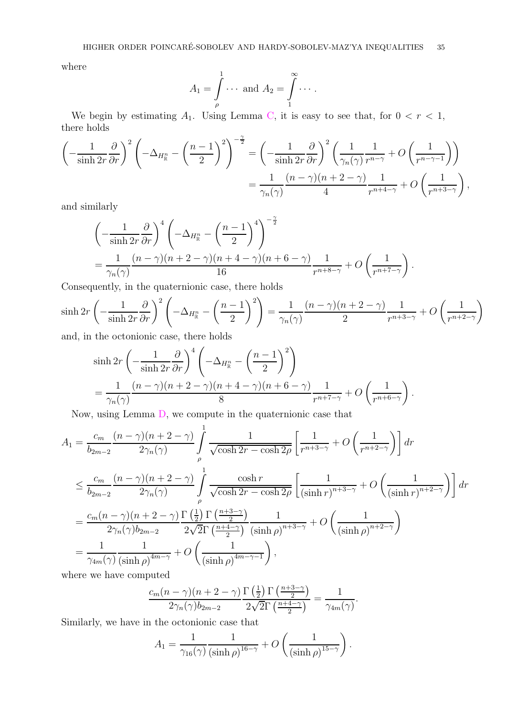where

$$
A_1 = \int\limits_{\rho}^1 \cdots \text{ and } A_2 = \int\limits_{1}^{\infty} \cdots.
$$

We begin by estimating  $A_1$ . Using Lemma [C,](#page-26-1) it is easy to see that, for  $0 < r < 1$ , there holds  $\sim$ 

$$
\left(-\frac{1}{\sinh 2r} \frac{\partial}{\partial r}\right)^2 \left(-\Delta_{H^n_{\mathbb{R}}} - \left(\frac{n-1}{2}\right)^2\right)^{-\frac{\gamma}{2}} = \left(-\frac{1}{\sinh 2r} \frac{\partial}{\partial r}\right)^2 \left(\frac{1}{\gamma_n(\gamma)} \frac{1}{r^{n-\gamma}} + O\left(\frac{1}{r^{n-\gamma-1}}\right)\right)
$$

$$
= \frac{1}{\gamma_n(\gamma)} \frac{(n-\gamma)(n+2-\gamma)}{4} \frac{1}{r^{n+4-\gamma}} + O\left(\frac{1}{r^{n+3-\gamma}}\right),
$$

and similarly

$$
\begin{split} &\left(-\frac{1}{\sinh 2r}\frac{\partial}{\partial r}\right)^4\left(-\Delta_{H^n_{\mathbb{R}}}-\left(\frac{n-1}{2}\right)^4\right)^{-\frac{\gamma}{2}}\\ &=\frac{1}{\gamma_n(\gamma)}\frac{(n-\gamma)(n+2-\gamma)(n+4-\gamma)(n+6-\gamma)}{16}\frac{1}{r^{n+8-\gamma}}+O\left(\frac{1}{r^{n+7-\gamma}}\right). \end{split}
$$

Consequently, in the quaternionic case, there holds

$$
\sinh 2r \left( -\frac{1}{\sinh 2r} \frac{\partial}{\partial r} \right)^2 \left( -\Delta_{H^n_{\mathbb{R}}} - \left( \frac{n-1}{2} \right)^2 \right) = \frac{1}{\gamma_n(\gamma)} \frac{(n-\gamma)(n+2-\gamma)}{2} \frac{1}{r^{n+3-\gamma}} + O\left( \frac{1}{r^{n+2-\gamma}} \right)
$$

and, in the octonionic case, there holds

$$
\sinh 2r \left( -\frac{1}{\sinh 2r} \frac{\partial}{\partial r} \right)^4 \left( -\Delta_{H_{\mathbb{R}}^n} - \left( \frac{n-1}{2} \right)^2 \right)
$$
  
= 
$$
\frac{1}{\gamma_n(\gamma)} \frac{(n-\gamma)(n+2-\gamma)(n+4-\gamma)(n+6-\gamma)}{8} \frac{1}{r^{n+7-\gamma}} + O\left( \frac{1}{r^{n+6-\gamma}} \right).
$$

Now, using Lemma [D,](#page-26-2) we compute in the quaternionic case that

$$
A_1 = \frac{c_m}{b_{2m-2}} \frac{(n-\gamma)(n+2-\gamma)}{2\gamma_n(\gamma)} \int_{\rho}^1 \frac{1}{\sqrt{\cosh 2r - \cosh 2\rho}} \left[ \frac{1}{r^{n+3-\gamma}} + O\left(\frac{1}{r^{n+2-\gamma}}\right) \right] dr
$$
  
\n
$$
\leq \frac{c_m}{b_{2m-2}} \frac{(n-\gamma)(n+2-\gamma)}{2\gamma_n(\gamma)} \int_{\rho}^1 \frac{\cosh r}{\sqrt{\cosh 2r - \cosh 2\rho}} \left[ \frac{1}{(\sinh r)^{n+3-\gamma}} + O\left(\frac{1}{(\sinh r)^{n+2-\gamma}}\right) \right] dr
$$
  
\n
$$
= \frac{c_m(n-\gamma)(n+2-\gamma)}{2\gamma_n(\gamma)b_{2m-2}} \frac{\Gamma\left(\frac{1}{2}\right)\Gamma\left(\frac{n+3-\gamma}{2}\right)}{2\sqrt{2}\Gamma\left(\frac{n+4-\gamma}{2}\right)} \frac{1}{(\sinh \rho)^{n+3-\gamma}} + O\left(\frac{1}{(\sinh \rho)^{n+2-\gamma}}\right)
$$
  
\n
$$
= \frac{1}{\gamma_{4m}(\gamma)} \frac{1}{(\sinh \rho)^{4m-\gamma}} + O\left(\frac{1}{(\sinh \rho)^{4m-\gamma-1}}\right),
$$

where we have computed

$$
\frac{c_m(n-\gamma)(n+2-\gamma)}{2\gamma_n(\gamma)b_{2m-2}}\frac{\Gamma(\frac{1}{2})\Gamma(\frac{n+3-\gamma}{2})}{2\sqrt{2}\Gamma(\frac{n+4-\gamma}{2})}=\frac{1}{\gamma_{4m}(\gamma)}.
$$

Similarly, we have in the octonionic case that

$$
A_1 = \frac{1}{\gamma_{16}(\gamma)} \frac{1}{\left(\sinh \rho\right)^{16-\gamma}} + O\left(\frac{1}{\left(\sinh \rho\right)^{15-\gamma}}\right).
$$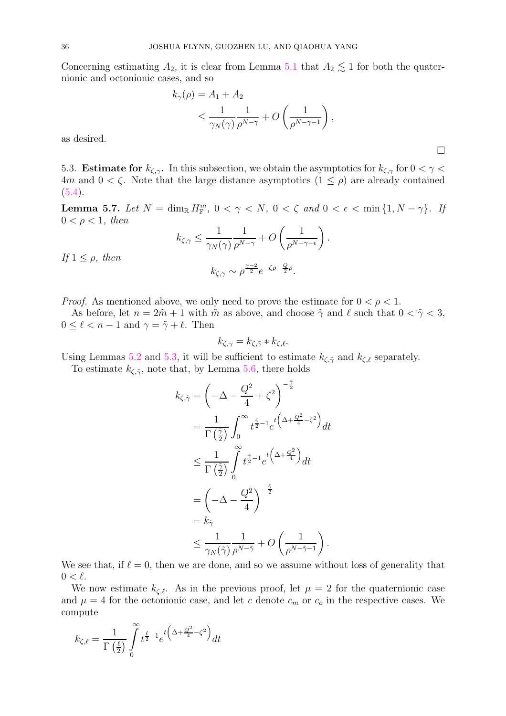Concerning estimating  $A_2$ , it is clear from Lemma [5.1](#page-26-3) that  $A_2 \lesssim 1$  for both the quaternionic and octonionic cases, and so

$$
k_{\gamma}(\rho) = A_1 + A_2
$$
  
\$\leq \frac{1}{\gamma\_N(\gamma)} \frac{1}{\rho^{N-\gamma}} + O\left(\frac{1}{\rho^{N-\gamma-1}}\right),

as desired.

<span id="page-35-0"></span>5.3. **Estimate for**  $k_{\zeta,\gamma}$ . In this subsection, we obtain the asymptotics for  $k_{\zeta,\gamma}$  for  $0 < \gamma <$ 4m and  $0 < \zeta$ . Note that the large distance asymptotics  $(1 \leq \rho)$  are already contained [\(5.4\)](#page-26-0).

 $\Box$ 

**Lemma 5.7.** *Let*  $N = \dim_{\mathbb{R}} H^m$ ,  $0 < \gamma < N$ ,  $0 < \zeta$  and  $0 < \epsilon < \min\{1, N - \gamma\}$ . If  $0 < \rho < 1$ , then

$$
k_{\zeta,\gamma} \le \frac{1}{\gamma_N(\gamma)} \frac{1}{\rho^{N-\gamma}} + O\left(\frac{1}{\rho^{N-\gamma-\epsilon}}\right).
$$
  
If  $1 \le \rho$ , then  

$$
k_{\zeta,\gamma} \sim \rho^{\frac{\gamma-2}{2}} e^{-\zeta \rho - \frac{Q}{2}\rho}.
$$

*Proof.* As mentioned above, we only need to prove the estimate for  $0 < \rho < 1$ .

As before, let  $n = 2m + 1$  with  $\tilde{m}$  as above, and choose  $\tilde{\gamma}$  and  $\ell$  such that  $0 < \tilde{\gamma} < 3$ ,  $0 \leq \ell < n-1$  and  $\gamma = \tilde{\gamma} + \ell$ . Then

$$
k_{\zeta,\gamma} = k_{\zeta,\tilde{\gamma}} * k_{\zeta,\ell}.
$$

Using Lemmas [5.2](#page-27-1) and [5.3,](#page-29-0) it will be sufficient to estimate  $k_{\zeta,\tilde{\gamma}}$  and  $k_{\zeta,\ell}$  separately.

To estimate  $k_{\zeta,\tilde{\gamma}}$ , note that, by Lemma [5.6,](#page-33-1) there holds

$$
k_{\zeta,\tilde{\gamma}} = \left(-\Delta - \frac{Q^2}{4} + \zeta^2\right)^{-\frac{\tilde{\gamma}}{2}}
$$
  
\n
$$
= \frac{1}{\Gamma(\frac{\tilde{\gamma}}{2})} \int_0^{\infty} t^{\frac{\tilde{\gamma}}{2}-1} e^{t\left(\Delta + \frac{Q^2}{4} - \zeta^2\right)} dt
$$
  
\n
$$
\leq \frac{1}{\Gamma(\frac{\tilde{\gamma}}{2})} \int_0^{\infty} t^{\frac{\tilde{\gamma}}{2}-1} e^{t\left(\Delta + \frac{Q^2}{4}\right)} dt
$$
  
\n
$$
= \left(-\Delta - \frac{Q^2}{4}\right)^{-\frac{\tilde{\gamma}}{2}}
$$
  
\n
$$
= k_{\tilde{\gamma}}
$$
  
\n
$$
\leq \frac{1}{\gamma_N(\tilde{\gamma})} \frac{1}{\rho^{N-\tilde{\gamma}}} + O\left(\frac{1}{\rho^{N-\tilde{\gamma}-1}}\right).
$$

We see that, if  $\ell = 0$ , then we are done, and so we assume without loss of generality that  $0 < \ell$ .

We now estimate  $k_{\zeta,\ell}$ . As in the previous proof, let  $\mu = 2$  for the quaternionic case and  $\mu = 4$  for the octonionic case, and let c denote  $c_m$  or  $c_o$  in the respective cases. We compute

$$
k_{\zeta,\ell} = \frac{1}{\Gamma(\frac{\ell}{2})} \int_{0}^{\infty} t^{\frac{\ell}{2}-1} e^{t \left(\Delta + \frac{Q^2}{4} - \zeta^2\right)} dt
$$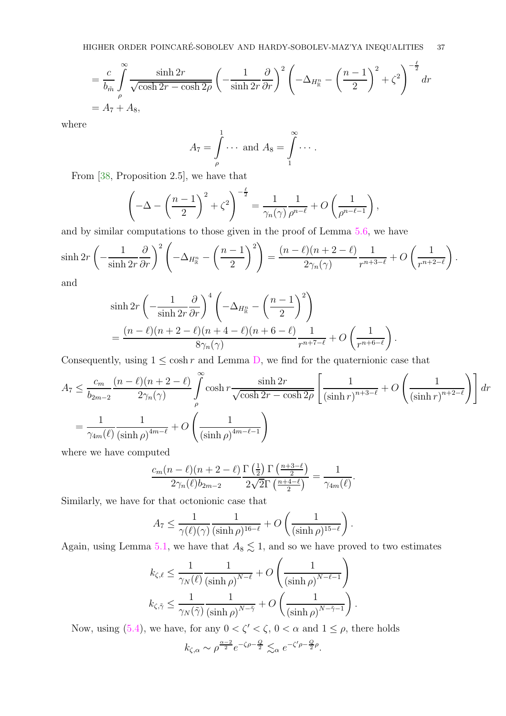<span id="page-36-0"></span>
$$
= \frac{c}{b_{\tilde{m}}} \int_{\rho}^{\infty} \frac{\sinh 2r}{\sqrt{\cosh 2r - \cosh 2\rho}} \left( -\frac{1}{\sinh 2r} \frac{\partial}{\partial r} \right)^2 \left( -\Delta_{H_{\mathbb{R}}^n} - \left( \frac{n-1}{2} \right)^2 + \zeta^2 \right)^{-\frac{\ell}{2}} dr
$$
  
=  $A_7 + A_8$ ,

where

$$
A_7 = \int\limits_{\rho}^1 \cdots \text{ and } A_8 = \int\limits_{1}^{\infty} \cdots.
$$

From [\[38,](#page-49-3) Proposition 2.5], we have that

$$
\left(-\Delta - \left(\frac{n-1}{2}\right)^2 + \zeta^2\right)^{-\frac{\ell}{2}} = \frac{1}{\gamma_n(\gamma)} \frac{1}{\rho^{n-\ell}} + O\left(\frac{1}{\rho^{n-\ell-1}}\right),\,
$$

and by similar computations to those given in the proof of Lemma [5.6,](#page-33-1) we have

$$
\sinh 2r \left(-\frac{1}{\sinh 2r} \frac{\partial}{\partial r}\right)^2 \left(-\Delta_{H^n_{\mathbb{R}}} - \left(\frac{n-1}{2}\right)^2\right) = \frac{(n-\ell)(n+2-\ell)}{2\gamma_n(\gamma)} \frac{1}{r^{n+3-\ell}} + O\left(\frac{1}{r^{n+2-\ell}}\right).
$$

and

$$
\sinh 2r \left( -\frac{1}{\sinh 2r} \frac{\partial}{\partial r} \right)^4 \left( -\Delta_{H_{\mathbb{R}}^n} - \left( \frac{n-1}{2} \right)^2 \right)
$$
  
= 
$$
\frac{(n-\ell)(n+2-\ell)(n+4-\ell)(n+6-\ell)}{8\gamma_n(\gamma)} \frac{1}{r^{n+7-\ell}} + O\left( \frac{1}{r^{n+6-\ell}} \right).
$$

Consequently, using  $1 \le \cosh r$  and Lemma [D,](#page-26-2) we find for the quaternionic case that

$$
A_7 \leq \frac{c_m}{b_{2m-2}} \frac{(n-\ell)(n+2-\ell)}{2\gamma_n(\gamma)} \int\limits_{\rho}^{\infty} \cosh r \frac{\sinh 2r}{\sqrt{\cosh 2r - \cosh 2\rho}} \left[ \frac{1}{(\sinh r)^{n+3-\ell}} + O\left(\frac{1}{(\sinh r)^{n+2-\ell}}\right) \right] dr
$$
  
= 
$$
\frac{1}{\gamma_{4m}(\ell)} \frac{1}{(\sinh \rho)^{4m-\ell}} + O\left(\frac{1}{(\sinh \rho)^{4m-\ell-1}}\right)
$$

where we have computed

$$
\frac{c_m(n-\ell)(n+2-\ell)}{2\gamma_n(\ell)b_{2m-2}} \frac{\Gamma(\frac{1}{2}) \Gamma(\frac{n+3-\ell}{2})}{2\sqrt{2}\Gamma(\frac{n+4-\ell}{2})} = \frac{1}{\gamma_{4m}(\ell)}.
$$

Similarly, we have for that octonionic case that

$$
A_7 \leq \frac{1}{\gamma(\ell)(\gamma)} \frac{1}{(\sinh \rho)^{16-\ell}} + O\left(\frac{1}{(\sinh \rho)^{15-\ell}}\right).
$$

Again, using Lemma [5.1,](#page-26-3) we have that  $A_8 \lesssim 1$ , and so we have proved to two estimates

$$
k_{\zeta,\ell} \le \frac{1}{\gamma_N(\ell)} \frac{1}{(\sinh \rho)^{N-\ell}} + O\left(\frac{1}{(\sinh \rho)^{N-\ell-1}}\right)
$$

$$
k_{\zeta,\tilde{\gamma}} \le \frac{1}{\gamma_N(\tilde{\gamma})} \frac{1}{(\sinh \rho)^{N-\tilde{\gamma}}} + O\left(\frac{1}{(\sinh \rho)^{N-\tilde{\gamma}-1}}\right)
$$

.

Now, using [\(5.4\)](#page-26-0), we have, for any  $0<\zeta'<\zeta,$   $0<\alpha$  and  $1\leq\rho,$  there holds

$$
k_{\zeta,\alpha} \sim \rho^{\frac{\alpha-2}{2}} e^{-\zeta\rho - \frac{Q}{2}} \lesssim_{\alpha} e^{-\zeta'\rho - \frac{Q}{2}\rho}.
$$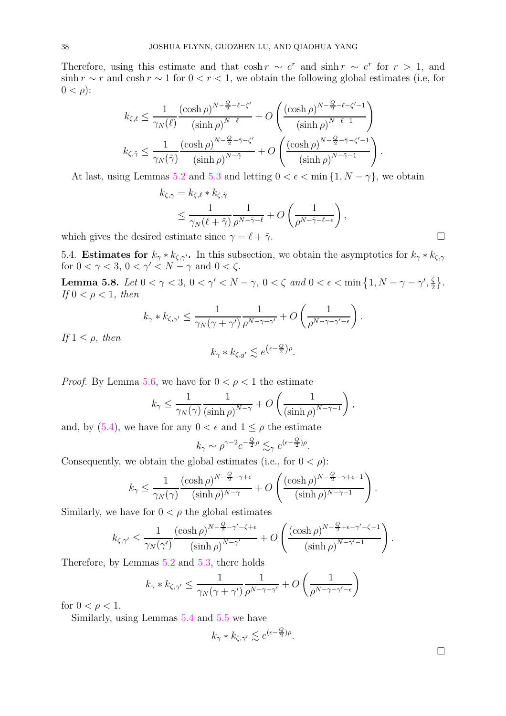Therefore, using this estimate and that  $\cosh r \sim e^r$  and  $\sinh r \sim e^r$  for  $r > 1$ , and  $\sinh r \sim r$  and  $\cosh r \sim 1$  for  $0 < r < 1$ , we obtain the following global estimates (i.e, for  $0 < \rho$ ):

$$
k_{\zeta,\ell} \leq \frac{1}{\gamma_N(\ell)} \frac{(\cosh \rho)^{N-\frac{Q}{2}-\ell-\zeta'}}{(\sinh \rho)^{N-\ell}} + O\left(\frac{(\cosh \rho)^{N-\frac{Q}{2}-\ell-\zeta'-1}}{(\sinh \rho)^{N-\ell-1}}\right)
$$
  

$$
k_{\zeta,\tilde{\gamma}} \leq \frac{1}{\gamma_N(\tilde{\gamma})} \frac{(\cosh \rho)^{N-\frac{Q}{2}-\tilde{\gamma}-\zeta'}}{(\sinh \rho)^{N-\tilde{\gamma}}} + O\left(\frac{(\cosh \rho)^{N-\frac{Q}{2}-\tilde{\gamma}-\zeta'-1}}{(\sinh \rho)^{N-\tilde{\gamma}-1}}\right).
$$

At last, using Lemmas [5.2](#page-27-1) and [5.3](#page-29-0) and letting  $0 < \epsilon < \min\{1, N - \gamma\}$ , we obtain

$$
k_{\zeta,\gamma} = k_{\zeta,\ell} * k_{\zeta,\tilde{\gamma}}
$$
  
\n
$$
\leq \frac{1}{\gamma_N(\ell + \tilde{\gamma})} \frac{1}{\rho^{N - \tilde{\gamma} - \ell}} + O\left(\frac{1}{\rho^{N - \tilde{\gamma} - \ell - \epsilon}}\right),
$$

<span id="page-37-0"></span>which gives the desired estimate since  $\gamma = \ell + \tilde{\gamma}$ .

5.4. **Estimates for**  $k_{\gamma} * k_{\zeta, \gamma'}$ . In this subsection, we obtain the asymptotics for  $k_{\gamma} * k_{\zeta, \gamma}$ for  $0 < \gamma < 3$ ,  $0 < \gamma' < N - \gamma$  and  $0 < \zeta$ .

**Lemma 5.8.** *Let*  $0 < \gamma < 3$ ,  $0 < \gamma' < N - \gamma$ ,  $0 < \zeta$  and  $0 < \epsilon < \min\left\{1, N - \gamma - \gamma', \frac{\zeta}{2}\right\}$  $\frac{\zeta}{2}$ . *If*  $0 < \rho < 1$ *, then* 

$$
k_{\gamma} * k_{\zeta, \gamma'} \leq \frac{1}{\gamma_N(\gamma + \gamma')}\frac{1}{\rho^{N-\gamma-\gamma'}} + O\left(\frac{1}{\rho^{N-\gamma-\gamma'-\epsilon}}\right).
$$

*If*  $1 \leq \rho$ *, then* 

$$
k_{\gamma} * k_{\zeta, g'} \lesssim e^{\left(\epsilon - \frac{Q}{2}\right)\rho}.
$$

*Proof.* By Lemma [5.6,](#page-33-1) we have for  $0 < \rho < 1$  the estimate

$$
k_{\gamma} \le \frac{1}{\gamma_N(\gamma)} \frac{1}{(\sinh \rho)^{N-\gamma}} + O\left(\frac{1}{(\sinh \rho)^{N-\gamma-1}}\right),\,
$$

and, by  $(5.4)$ , we have for any  $0 < \epsilon$  and  $1 \leq \rho$  the estimate

$$
k_{\gamma} \sim \rho^{\gamma - 2} e^{-\frac{Q}{2}\rho} \lesssim_{\gamma} e^{(\epsilon - \frac{Q}{2})\rho}.
$$

Consequently, we obtain the global estimates (i.e., for  $0 < \rho$ ):

$$
k_{\gamma} \leq \frac{1}{\gamma_{N}(\gamma)} \frac{(\cosh \rho)^{N-\frac{Q}{2}-\gamma+\epsilon}}{(\sinh \rho)^{N-\gamma}} + O\left(\frac{(\cosh \rho)^{N-\frac{Q}{2}-\gamma+\epsilon-1}}{(\sinh \rho)^{N-\gamma-1}}\right).
$$

Similarly, we have for  $0 < \rho$  the global estimates

$$
k_{\zeta,\gamma'} \leq \frac{1}{\gamma_N(\gamma')} \frac{(\cosh \rho)^{N-\frac{Q}{2}-\gamma'-\zeta+\epsilon}}{(\sinh \rho)^{N-\gamma'}} + O\left(\frac{(\cosh \rho)^{N-\frac{Q}{2}+\epsilon-\gamma'-\zeta-1}}{(\sinh \rho)^{N-\gamma'-1}}\right).
$$

Therefore, by Lemmas [5.2](#page-27-1) and [5.3,](#page-29-0) there holds

$$
k_{\gamma}*k_{\zeta,\gamma'}\leq \frac{1}{\gamma_N(\gamma+\gamma')}\frac{1}{\rho^{N-\gamma-\gamma'}}+O\left(\frac{1}{\rho^{N-\gamma-\gamma'-\epsilon}}\right)
$$

for  $0 < \rho < 1$ .

Similarly, using Lemmas [5.4](#page-30-0) and [5.5](#page-32-0) we have

$$
k_{\gamma} * k_{\zeta, \gamma'} \lesssim e^{(\epsilon - \frac{Q}{2})\rho}.
$$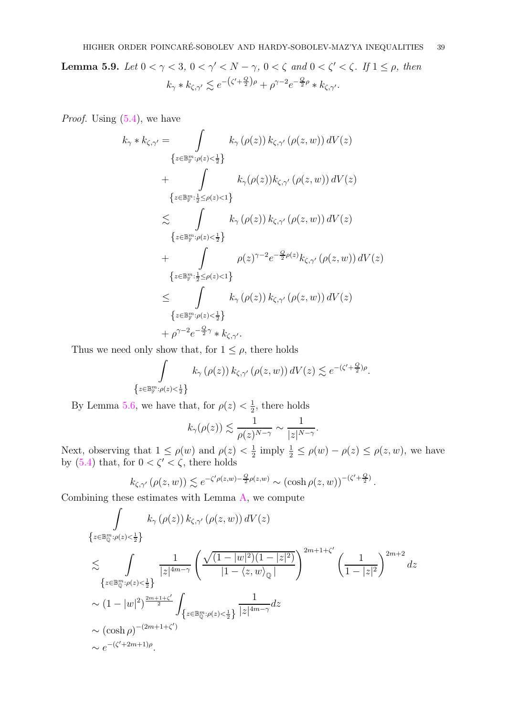<span id="page-38-0"></span>**Lemma 5.9.** *Let*  $0 < \gamma < 3$ ,  $0 < \gamma' < N - \gamma$ ,  $0 < \zeta$  and  $0 < \zeta' < \zeta$ . If  $1 \le \rho$ , then  $k_{\gamma} * k_{\zeta, \gamma'} \lesssim e^{-\left(\zeta' + \frac{Q}{2}\right)\rho} + \rho^{\gamma - 2} e^{-\frac{Q}{2}\rho} * k_{\zeta, \gamma'}.$ 

*Proof.* Using  $(5.4)$ , we have

$$
k_{\gamma} * k_{\zeta, \gamma'} = \int_{z \in \mathbb{B}_{\mathbb{F}}^{m} : \rho(z) < \frac{1}{2}} k_{\gamma} (\rho(z)) k_{\zeta, \gamma'} (\rho(z, w)) dV(z)
$$
\n
$$
\{z \in \mathbb{B}_{\mathbb{F}}^{m} : \frac{1}{2} \leq \rho(z) < 1\}
$$
\n
$$
\leq \int_{z \in \mathbb{B}_{\mathbb{F}}^{m} : \rho(z) < \frac{1}{2}} k_{\gamma} (\rho(z)) k_{\zeta, \gamma'} (\rho(z, w)) dV(z)
$$
\n
$$
\{z \in \mathbb{B}_{\mathbb{F}}^{m} : \rho(z) < \frac{1}{2}\}
$$
\n
$$
+ \int_{z \in \mathbb{B}_{\mathbb{F}}^{m} : \frac{1}{2} \leq \rho(z) < 1}\rho(z)^{\gamma - 2} e^{-\frac{Q}{2} \rho(z)} k_{\zeta, \gamma'} (\rho(z, w)) dV(z)
$$
\n
$$
\{z \in \mathbb{B}_{\mathbb{F}}^{m} : \frac{1}{2} \leq \rho(z) < 1\}
$$
\n
$$
+ \rho^{\gamma - 2} e^{-\frac{Q}{2} \gamma} * k_{\zeta, \gamma'}.
$$

Thus we need only show that, for  $1 \leq \rho,$  there holds

$$
\int\limits_{\left\{z\in\mathbb{B}^m_{\mathbb{F}}: \rho(z)<\frac{1}{2}\right\}} k_\gamma\left(\rho(z)\right) k_{\zeta,\gamma'}\left(\rho(z,w)\right) dV(z) \lesssim e^{-(\zeta'+\frac{Q}{2})\rho}.
$$

By Lemma [5.6,](#page-33-1) we have that, for  $\rho(z) < \frac{1}{2}$  $\frac{1}{2}$ , there holds

$$
k_{\gamma}(\rho(z)) \lesssim \frac{1}{\rho(z)^{N-\gamma}} \sim \frac{1}{|z|^{N-\gamma}}.
$$

Next, observing that  $1 \le \rho(w)$  and  $\rho(z) < \frac{1}{2}$  $\frac{1}{2}$  imply  $\frac{1}{2} \leq \rho(w) - \rho(z) \leq \rho(z, w)$ , we have by  $(5.4)$  that, for  $0 < \zeta' < \zeta$ , there holds

$$
k_{\zeta,\gamma'}\left(\rho(z,w)\right) \lesssim e^{-\zeta'\rho(z,w)-\frac{Q}{2}\rho(z,w)} \sim (\cosh\rho(z,w))^{-(\zeta'+\frac{Q}{2})}.
$$

Combining these estimates with Lemma  $\overline{A}$ , we compute

$$
\int z \in \mathbb{B}_{\mathbb{Q}}^{m} : \rho(z) < \frac{1}{2} \} \{z \in \mathbb{B}_{\mathbb{Q}}^{m} : \rho(z) < \frac{1}{2} \} \{z \in \mathbb{B}_{\mathbb{Q}}^{m} : \rho(z) < \frac{1}{2} \} \frac{1}{|z|^{4m-\gamma}} \left( \frac{\sqrt{(1-|w|^2)(1-|z|^2)}}{|1-\langle z,w\rangle_{\mathbb{Q}}|} \right)^{2m+1+\zeta'} \left( \frac{1}{1-|z|^2} \right)^{2m+2} dz
$$
  

$$
\left\{ z \in \mathbb{B}_{\mathbb{Q}}^{m} : \rho(z) < \frac{1}{2} \right\} \sim (1-|w|^2)^{\frac{2m+1+\zeta'}{2}} \int_{\{z \in \mathbb{B}_{\mathbb{Q}}^{m} : \rho(z) < \frac{1}{2} \}} \frac{1}{|z|^{4m-\gamma}} dz
$$
  

$$
\sim (\cosh \rho)^{-(2m+1+\zeta')} \sim e^{-(\zeta'+2m+1)\rho}.
$$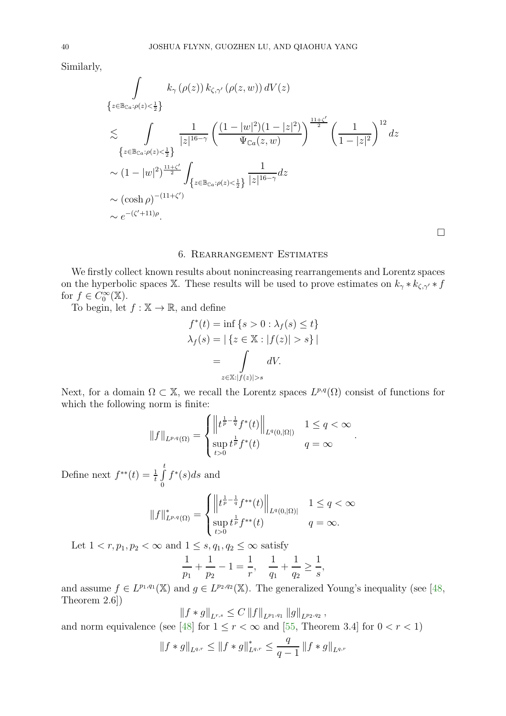<span id="page-39-1"></span>Similarly,

$$
\int_{z \in \mathbb{B}_{Ca}:\rho(z) < \frac{1}{2}} k_{\gamma}(\rho(z)) k_{\zeta, \gamma'}(\rho(z, w)) dV(z)
$$
\n
$$
\{z \in \mathbb{B}_{Ca}:\rho(z) < \frac{1}{2}\}
$$
\n
$$
\lesssim \int_{\{z \in \mathbb{B}_{Ca}:\rho(z) < \frac{1}{2}\}} \frac{1}{|z|^{16-\gamma}} \left(\frac{(1-|w|^2)(1-|z|^2)}{\Psi_{Ca}(z, w)}\right)^{\frac{11+\zeta'}{2}} \left(\frac{1}{1-|z|^2}\right)^{12} dz
$$
\n
$$
\sim (1-|w|^2)^{\frac{11+\zeta'}{2}} \int_{\{z \in \mathbb{B}_{Ca}:\rho(z) < \frac{1}{2}\}} \frac{1}{|z|^{16-\gamma}} dz
$$
\n
$$
\sim (\cosh \rho)^{-(11+\zeta')}
$$
\n
$$
\sim e^{-(\zeta'+11)\rho}.
$$

 $\Box$ 

## 6. Rearrangement Estimates

<span id="page-39-0"></span>We firstly collect known results about nonincreasing rearrangements and Lorentz spaces on the hyperbolic spaces X. These results will be used to prove estimates on  $k_{\gamma}*k_{\zeta,\gamma}*f$ for  $f \in C_0^{\infty}(\mathbb{X})$ .

To begin, let  $f : \mathbb{X} \to \mathbb{R}$ , and define

$$
f^*(t) = \inf \{ s > 0 : \lambda_f(s) \le t \}
$$

$$
\lambda_f(s) = |\{ z \in \mathbb{X} : |f(z)| > s \} |
$$

$$
= \int_{z \in \mathbb{X} : |f(z)| > s} dV.
$$

Next, for a domain  $\Omega \subset \mathbb{X}$ , we recall the Lorentz spaces  $L^{p,q}(\Omega)$  consist of functions for which the following norm is finite:

$$
||f||_{L^{p,q}(\Omega)} = \begin{cases} ||t^{\frac{1}{p} - \frac{1}{q}} f^*(t)||_{L^q(0,|\Omega|)} & 1 \le q < \infty \\ \sup_{t > 0} t^{\frac{1}{p}} f^*(t) & q = \infty \end{cases}.
$$

Define next  $f^{**}(t) = \frac{1}{t} \int_0^t$ 0  $f^*(s)ds$  and

$$
||f||_{L^{p,q}(\Omega)}^* = \begin{cases} ||t^{\frac{1}{p} - \frac{1}{q}} f^{**}(t)||_{L^q(0,|\Omega)|} & 1 \le q < \infty \\ \sup_{t > 0} t^{\frac{1}{p}} f^{**}(t) & q = \infty. \end{cases}
$$

Let  $1 < r, p_1, p_2 < \infty$  and  $1 \leq s, q_1, q_2 \leq \infty$  satisfy

$$
\frac{1}{p_1} + \frac{1}{p_2} - 1 = \frac{1}{r}, \quad \frac{1}{q_1} + \frac{1}{q_2} \ge \frac{1}{s},
$$

and assume  $f \in L^{p_1,q_1}(\mathbb{X})$  and  $g \in L^{p_2,q_2}(\mathbb{X})$ . The generalized Young's inequality (see [\[48,](#page-49-16) Theorem 2.6])  $\begin{bmatrix} u & e & u \end{bmatrix}$   $\begin{bmatrix} v & e \end{bmatrix}$ 

$$
||f * g||_{L^{r,s}} \leq C ||f||_{L^{p_1,q_1}} ||g||_{L^{p_2,q_2}},
$$

and norm equivalence (see [\[48\]](#page-49-16) for  $1 \leq r < \infty$  and [\[55,](#page-49-17) Theorem 3.4] for  $0 < r < 1$ ]

$$
\|f * g\|_{L^{q,r}} \le \|f * g\|_{L^{q,r}}^* \le \frac{q}{q-1} \|f * g\|_{L^{q,r}}
$$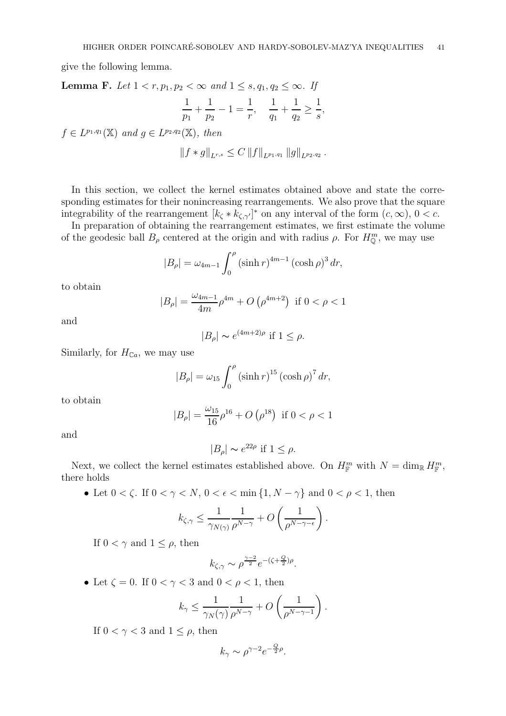give the following lemma.

<span id="page-40-0"></span>**Lemma F.** Let  $1 < r, p_1, p_2 < \infty$  and  $1 \leq s, q_1, q_2 \leq \infty$ . If 1  $p_1$  $+$ 1  $\frac{1}{p_2} - 1 =$ 1 r , 1  $q_1$  $+$ 1  $\frac{1}{q_2}$  2 1 s ,  $f \in L^{p_1,q_1}(\mathbb{X})$  and  $g \in L^{p_2,q_2}(\mathbb{X})$ , then  $||f * g||_{L^{r,s}} \leq C ||f||_{L^{p_1,q_1}} ||g||_{L^{p_2,q_2}}.$ 

In this section, we collect the kernel estimates obtained above and state the corresponding estimates for their nonincreasing rearrangements. We also prove that the square integrability of the rearrangement  $[k_{\zeta}*k_{\zeta,\gamma'}]^*$  on any interval of the form  $(c,\infty), 0 < c$ .

In preparation of obtaining the rearrangement estimates, we first estimate the volume of the geodesic ball  $B_{\rho}$  centered at the origin and with radius  $\rho$ . For  $H_{\mathbb{Q}}^{m}$ , we may use

$$
|B_{\rho}| = \omega_{4m-1} \int_0^{\rho} (\sinh r)^{4m-1} (\cosh \rho)^3 dr,
$$

to obtain

$$
|B_{\rho}| = \frac{\omega_{4m-1}}{4m} \rho^{4m} + O\left(\rho^{4m+2}\right) \text{ if } 0 < \rho < 1
$$

and

$$
|B_{\rho}| \sim e^{(4m+2)\rho} \text{ if } 1 \leq \rho.
$$

Similarly, for  $H_{Ca}$ , we may use

$$
|B_{\rho}| = \omega_{15} \int_0^{\rho} (\sinh r)^{15} (\cosh \rho)^7 dr,
$$

to obtain

$$
|B_{\rho}| = \frac{\omega_{15}}{16}\rho^{16} + O\left(\rho^{18}\right) \text{ if } 0 < \rho < 1
$$

and

$$
|B_{\rho}| \sim e^{22\rho} \text{ if } 1 \leq \rho.
$$

Next, we collect the kernel estimates established above. On  $H^m_{\mathbb{F}}$  with  $N = \dim_{\mathbb{R}} H^m_{\mathbb{F}}$ , there holds

• Let  $0 < \zeta$ . If  $0 < \gamma < N$ ,  $0 < \epsilon < \min\{1, N - \gamma\}$  and  $0 < \rho < 1$ , then

$$
k_{\zeta,\gamma} \leq \frac{1}{\gamma_{N(\gamma)}} \frac{1}{\rho^{N-\gamma}} + O\left(\frac{1}{\rho^{N-\gamma-\epsilon}}\right).
$$

If  $0 < \gamma$  and  $1 \leq \rho$ , then

$$
k_{\zeta,\gamma} \sim \rho^{\frac{\gamma-2}{2}} e^{-(\zeta + \frac{Q}{2})\rho}.
$$

• Let  $\zeta = 0$ . If  $0 \le \gamma \le 3$  and  $0 \le \rho \le 1$ , then

$$
k_\gamma \leq \frac{1}{\gamma_N(\gamma)} \frac{1}{\rho^{N-\gamma}} + O\left(\frac{1}{\rho^{N-\gamma-1}}\right).
$$

If  $0 < \gamma < 3$  and  $1 \leq \rho$ , then

$$
k_{\gamma} \sim \rho^{\gamma - 2} e^{-\frac{Q}{2}\rho}.
$$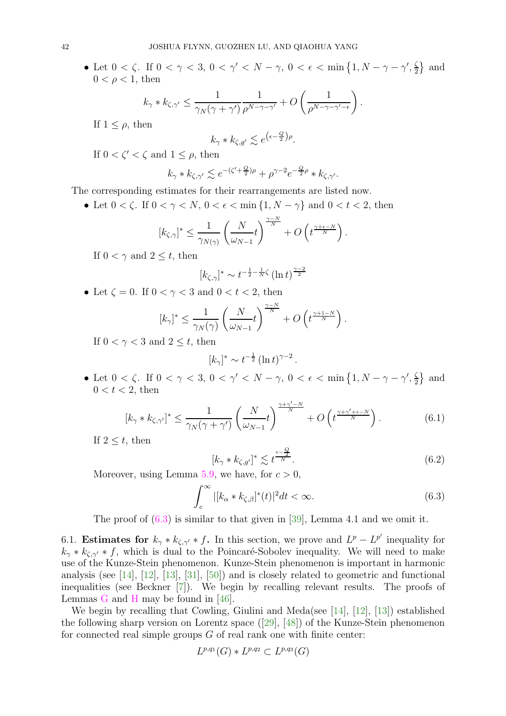<span id="page-41-4"></span>• Let  $0 < \zeta$ . If  $0 < \gamma < 3$ ,  $0 < \gamma' < N - \gamma$ ,  $0 < \epsilon < \min\{1, N - \gamma - \gamma', \frac{\zeta}{2}\}$  $\frac{\zeta}{2}$  and  $0 < \rho < 1$ , then

$$
k_{\gamma} * k_{\zeta, \gamma'} \leq \frac{1}{\gamma_N(\gamma + \gamma')}\frac{1}{\rho^{N-\gamma-\gamma'}} + O\left(\frac{1}{\rho^{N-\gamma-\gamma'-\epsilon}}\right).
$$

If  $1 \leq \rho$ , then

$$
k_{\gamma} * k_{\zeta, g'} \lesssim e^{\left(\epsilon - \frac{Q}{2}\right)\rho}.
$$

If  $0 < \zeta' < \zeta$  and  $1 \leq \rho$ , then

$$
k_{\gamma} * k_{\zeta, \gamma'} \lesssim e^{-(\zeta' + \frac{Q}{2})\rho} + \rho^{\gamma - 2} e^{-\frac{Q}{2}\rho} * k_{\zeta, \gamma'}.
$$

The corresponding estimates for their rearrangements are listed now.

• Let  $0 < \zeta$ . If  $0 < \gamma < N$ ,  $0 < \epsilon < \min\{1, N - \gamma\}$  and  $0 < t < 2$ , then

$$
[k_{\zeta,\gamma}]^{*} \leq \frac{1}{\gamma_{N(\gamma)}} \left(\frac{N}{\omega_{N-1}}t\right)^{\frac{\gamma-N}{N}} + O\left(t^{\frac{\gamma+\epsilon-N}{N}}\right).
$$

If  $0 < \gamma$  and  $2 \leq t$ , then

$$
[k_{\zeta,\gamma}]^* \sim t^{-\frac{1}{2} - \frac{1}{N}\zeta} (\ln t)^{\frac{\gamma - 2}{2}}
$$

• Let  $\zeta = 0$ . If  $0 \leq \gamma \leq 3$  and  $0 \leq t \leq 2$ , then

$$
[k_\gamma]^*\leq \frac{1}{\gamma_N(\gamma)}\left(\frac{N}{\omega_{N-1}}t\right)^{\frac{\gamma-N}{N}}+O\left(t^{\frac{\gamma+1-N}{N}}\right).
$$

If  $0 < \gamma < 3$  and  $2 \leq t$ , then

$$
[k_{\gamma}]^* \sim t^{-\frac{1}{2}} \left(\ln t\right)^{\gamma - 2}.
$$

• Let  $0 < \zeta$ . If  $0 < \gamma < 3$ ,  $0 < \gamma' < N - \gamma$ ,  $0 < \epsilon < \min\{1, N - \gamma - \gamma', \frac{\zeta}{2}\}$  $\frac{\zeta}{2}$  and  $0 < t < 2$ , then

<span id="page-41-3"></span>
$$
[k_{\gamma} * k_{\zeta, \gamma'}]^* \le \frac{1}{\gamma_N(\gamma + \gamma')} \left(\frac{N}{\omega_{N-1}} t\right)^{\frac{\gamma + \gamma' - N}{N}} + O\left(t^{\frac{\gamma + \gamma' + \epsilon - N}{N}}\right). \tag{6.1}
$$

If  $2 \leq t$ , then

<span id="page-41-2"></span>
$$
[k_{\gamma} * k_{\zeta, g'}]^* \lesssim t^{\frac{\epsilon - \frac{Q}{2}}{N}}.
$$
\n(6.2)

Moreover, using Lemma [5.9,](#page-38-0) we have, for  $c > 0$ ,

<span id="page-41-1"></span>
$$
\int_{c}^{\infty} |[k_{\alpha} * k_{\zeta,\beta}]^*(t)|^2 dt < \infty.
$$
\n(6.3)

The proof of  $(6.3)$  is similar to that given in [\[39\]](#page-49-4), Lemma 4.1 and we omit it.

<span id="page-41-0"></span>6.1. **Estimates for**  $k_{\gamma} * k_{\zeta, \gamma'} * f$ . In this section, we prove and  $L^p - L^{p'}$  inequality for  $k_{\gamma} * k_{\zeta, \gamma'} * f$ , which is dual to the Poincaré-Sobolev inequality. We will need to make use of the Kunze-Stein phenomenon. Kunze-Stein phenomenon is important in harmonic analysis (see [\[14\]](#page-48-17), [\[12\]](#page-48-18), [\[13\]](#page-48-19), [\[31\]](#page-48-20), [\[50\]](#page-49-18)) and is closely related to geometric and functional inequalities (see Beckner [\[7\]](#page-48-21)). We begin by recalling relevant results. The proofs of Lemmas  $G$  and  $H$  may be found in [\[46\]](#page-49-5).

We begin by recalling that Cowling, Giulini and Meda(see [\[14\]](#page-48-17), [\[12\]](#page-48-18), [\[13\]](#page-48-19)) established the following sharp version on Lorentz space([\[29\]](#page-48-22), [\[48\]](#page-49-16)) of the Kunze-Stein phenomenon for connected real simple groups  $G$  of real rank one with finite center:

$$
L^{p,q_1}(G) \ast L^{p,q_2} \subset L^{p,q_3}(G)
$$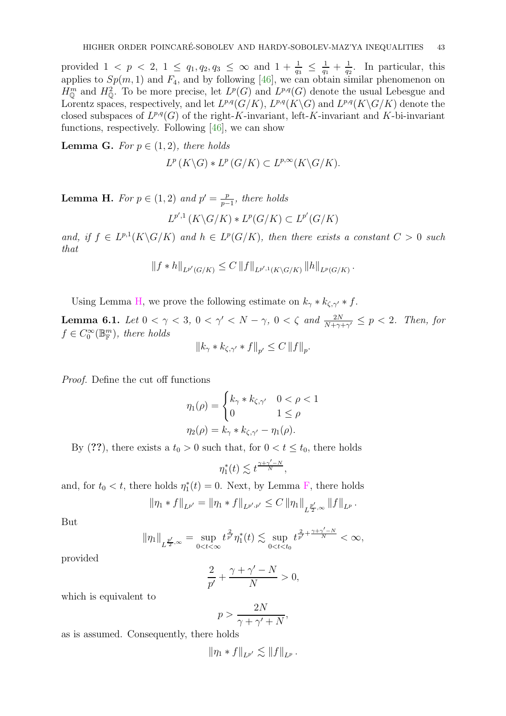<span id="page-42-3"></span>provided  $1 < p < 2, 1 \le q_1, q_2, q_3 \le \infty$  and  $1 + \frac{1}{q_3} \le \frac{1}{q_1}$  $\frac{1}{q_1} + \frac{1}{q_2}$  $\frac{1}{q_2}$ . In particular, this applies to  $Sp(m, 1)$  and  $F_4$ , and by following [\[46\]](#page-49-5), we can obtain similar phenomenon on  $H_{\mathbb{Q}}^{m}$  and  $H_{\mathbb{Q}}^{2}$ . To be more precise, let  $L^{p}(G)$  and  $L^{p,q}(G)$  denote the usual Lebesgue and Lorentz spaces, respectively, and let  $L^{p,q}(G/K)$ ,  $L^{p,q}(K\backslash G)$  and  $L^{p,q}(K\backslash G/K)$  denote the closed subspaces of  $L^{p,q}(G)$  of the right-K-invariant, left-K-invariant and K-bi-invariant functions, respectively. Following [\[46\]](#page-49-5), we can show

<span id="page-42-0"></span>**Lemma G.** For  $p \in (1, 2)$ , there holds

$$
L^p(K\backslash G)*L^p(G/K)\subset L^{p,\infty}(K\backslash G/K).
$$

<span id="page-42-1"></span>**Lemma H.** *For*  $p \in (1, 2)$  *and*  $p' = \frac{p}{p-1}$ p−1 *, there holds*

$$
L^{p',1}(K\backslash G/K)*L^p(G/K)\subset L^{p'}(G/K)
$$

and, if  $f \in L^{p,1}(K\backslash G/K)$  and  $h \in L^p(G/K)$ , then there exists a constant  $C > 0$  such *that*

$$
||f * h||_{L^{p'}(G/K)} \leq C ||f||_{L^{p',1}(K\setminus G/K)} ||h||_{L^p(G/K)}.
$$

Using Lemma [H,](#page-42-1) we prove the following estimate on  $k_{\gamma} * k_{\zeta, \gamma'} * f$ .

<span id="page-42-2"></span>**Lemma 6.1.** Let  $0 < \gamma < 3$ ,  $0 < \gamma' < N - \gamma$ ,  $0 < \zeta$  and  $\frac{2N}{N+\gamma+\gamma'} \le p < 2$ . Then, for  $f \in C_0^{\infty}(\mathbb{B}_{\mathbb{F}}^m)$ , there holds .

$$
\left\|k_{\gamma} * k_{\zeta, \gamma'} * f\right\|_{p'} \le C \left\|f\right\|_{p'}
$$

*Proof.* Define the cut off functions

$$
\eta_1(\rho) = \begin{cases} k_{\gamma} * k_{\zeta, \gamma'} & 0 < \rho < 1 \\ 0 & 1 \le \rho \end{cases}
$$

$$
\eta_2(\rho) = k_{\gamma} * k_{\zeta, \gamma'} - \eta_1(\rho).
$$

By (??), there exists a  $t_0 > 0$  such that, for  $0 < t \leq t_0$ , there holds

$$
\eta_1^*(t) \lesssim t^{\frac{\gamma+\gamma'-N}{N}},
$$

and, for  $t_0 < t$ , there holds  $\eta_1^*(t) = 0$ . Next, by Lemma [F,](#page-40-0) there holds

$$
\|\eta_1 * f\|_{L^{p'}} = \|\eta_1 * f\|_{L^{p',p'}} \leq C \|\eta_1\|_{L^{\frac{p'}{2},\infty}} \|f\|_{L^p}.
$$

But

$$
\|\eta_1\|_{L^{\frac{p'}{2},\infty}}=\sup_{0
$$

provided

$$
\frac{2}{p'} + \frac{\gamma + \gamma' - N}{N} > 0,
$$

which is equivalent to

$$
p > \frac{2N}{\gamma + \gamma' + N},
$$

2N

as is assumed. Consequently, there holds

$$
\|\eta_1 * f\|_{L^{p'}} \lesssim \|f\|_{L^p}.
$$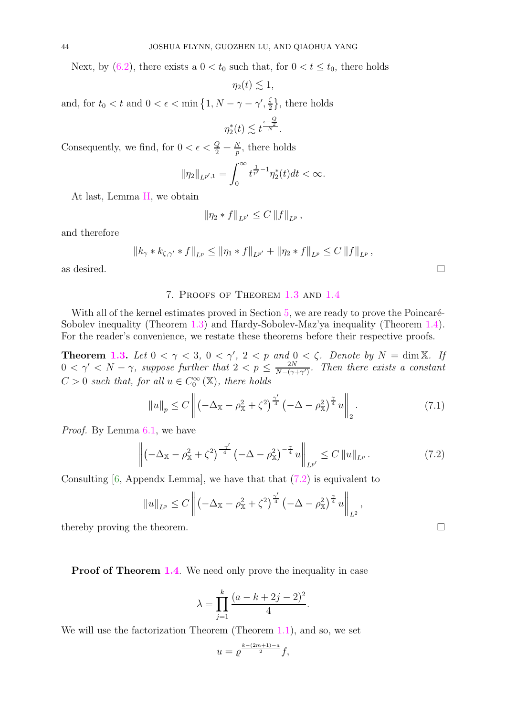<span id="page-43-2"></span>Next, by [\(6.2\)](#page-41-2), there exists a  $0 < t_0$  such that, for  $0 < t \leq t_0$ , there holds

$$
\eta_2(t) \lesssim 1,
$$

and, for  $t_0 < t$  and  $0 < \epsilon < \min\left\{1, N - \gamma - \gamma', \frac{\zeta}{2}\right\}$  $\left\{\frac{\zeta}{2}\right\}$ , there holds

$$
\eta_2^*(t) \lesssim t^{\frac{\epsilon - \frac{Q}{2}}{N}}.
$$

Consequently, we find, for  $0 < \epsilon < \frac{Q}{2} + \frac{N}{p}$  $\frac{N}{p}$ , there holds

$$
\|\eta_2\|_{L^{p',1}} = \int_0^\infty t^{\frac{1}{p'}-1} \eta_2^*(t) dt < \infty.
$$

At last, Lemma [H,](#page-42-1) we obtain

$$
\|\eta_2 * f\|_{L^{p'}} \leq C \|f\|_{L^p},
$$

and therefore

$$
||k_{\gamma}*k_{\zeta,\gamma'}*f||_{L^p} \le ||\eta_1*f||_{L^{p'}} + ||\eta_2*f||_{L^p} \le C ||f||_{L^p},
$$

<span id="page-43-0"></span>as desired.  $\Box$ 

### 7. Proofs of Theorem [1.3](#page-8-0) and [1.4](#page-8-1)

With all of the kernel estimates proved in Section  $5$ , we are ready to prove the Poincaré-Sobolev inequality (Theorem [1.3\)](#page-8-0) and Hardy-Sobolev-Maz'ya inequality (Theorem [1.4\)](#page-8-1). For the reader's convenience, we restate these theorems before their respective proofs.

**Theorem [1.3.](#page-8-0)** Let  $0 < \gamma < 3$ ,  $0 < \gamma'$ ,  $2 < p$  and  $0 < \zeta$ . Denote by  $N = \dim \mathbb{X}$ . If  $0 < \gamma' < N - \gamma$ , suppose further that  $2 < p \leq \frac{2N}{N-(\gamma - 1)}$  $\frac{2N}{N-(\gamma+\gamma')}$ . Then there exists a constant  $C > 0$  such that, for all  $u \in C_0^{\infty}(\mathbb{X})$ , there holds

$$
||u||_{p} \le C \left\| \left( -\Delta_{\mathbb{X}} - \rho_{\mathbb{X}}^{2} + \zeta^{2} \right)^{\frac{\gamma'}{4}} \left( -\Delta - \rho_{\mathbb{X}}^{2} \right)^{\frac{\gamma}{4}} u \right\|_{2}.
$$
 (7.1)

*Proof.* By Lemma [6.1,](#page-42-2) we have

<span id="page-43-1"></span>
$$
\left\| \left( -\Delta_{\mathbb{X}} - \rho_{\mathbb{X}}^2 + \zeta^2 \right)^{\frac{-\gamma'}{4}} \left( -\Delta - \rho_{\mathbb{X}}^2 \right)^{-\frac{\gamma}{4}} u \right\|_{L^{p'}} \le C \left\| u \right\|_{L^p} . \tag{7.2}
$$

Consulting  $[6,$  Appendx Lemma, we have that that  $(7.2)$  is equivalent to

$$
||u||_{L^{p}} \leq C \left\| \left( -\Delta_{\mathbb{X}} - \rho_{\mathbb{X}}^{2} + \zeta^{2} \right)^{\frac{\gamma'}{4}} \left( -\Delta - \rho_{\mathbb{X}}^{2} \right)^{\frac{\gamma}{4}} u \right\|_{L^{2}},
$$

thereby proving the theorem.  $\Box$ 

**Proof of Theorem [1.4](#page-8-1).** We need only prove the inequality in case

$$
\lambda = \prod_{j=1}^{k} \frac{(a - k + 2j - 2)^2}{4}.
$$

We will use the factorization Theorem (Theorem [1.1\)](#page-6-1), and so, we set

$$
u = \varrho^{\frac{k - (2m+1) - a}{2}} f,
$$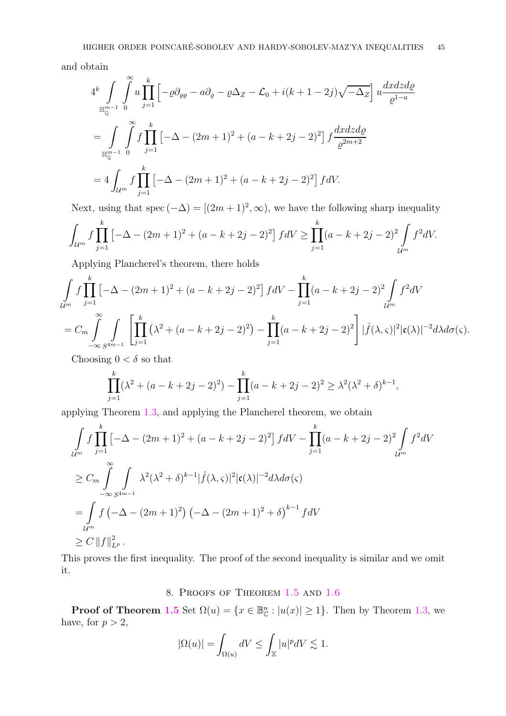and obtain

$$
4^{k} \int_{\mathbb{H}_{\mathbb{Q}}^{m-1}} \int_{0}^{\infty} u \prod_{j=1}^{k} \left[ -\varrho \partial_{\varrho\varrho} - a \partial_{\varrho} - \varrho \Delta_{Z} - \mathcal{L}_{0} + i(k+1-2j) \sqrt{-\Delta_{Z}} \right] u \frac{dx dz d\varrho}{\varrho^{1-a}}
$$
  
\n
$$
= \int_{\mathbb{H}_{\mathbb{Q}}^{m-1}} \int_{0}^{\infty} f \prod_{j=1}^{k} \left[ -\Delta - (2m+1)^{2} + (a-k+2j-2)^{2} \right] f \frac{dx dz d\varrho}{\varrho^{2m+2}}
$$
  
\n
$$
= 4 \int_{\mathcal{U}^{m}} f \prod_{j=1}^{k} \left[ -\Delta - (2m+1)^{2} + (a-k+2j-2)^{2} \right] f dV.
$$

Next, using that spec  $(-\Delta) = [(2m+1)^2, \infty)$ , we have the following sharp inequality

$$
\int_{\mathcal{U}^m} f \prod_{j=1}^k \left[ -\Delta - (2m+1)^2 + (a-k+2j-2)^2 \right] f dV \ge \prod_{j=1}^k (a-k+2j-2)^2 \int_{\mathcal{U}^m} f^2 dV.
$$

Applying Plancherel's theorem, there holds

$$
\int_{\mathcal{U}^m} f \prod_{j=1}^k \left[ -\Delta - (2m+1)^2 + (a-k+2j-2)^2 \right] f dV - \prod_{j=1}^k (a-k+2j-2)^2 \int_{\mathcal{U}^m} f^2 dV
$$
\n
$$
= C_m \int_{-\infty}^{\infty} \int_{S^{4m-1}} \left[ \prod_{j=1}^k \left( \lambda^2 + (a-k+2j-2)^2 \right) - \prod_{j=1}^k (a-k+2j-2)^2 \right] |\widehat{f}(\lambda, \varsigma)|^2 |\mathfrak{c}(\lambda)|^{-2} d\lambda d\sigma(\varsigma).
$$

Choosing  $0 < \delta$  so that

$$
\prod_{j=1}^{k} (\lambda^2 + (a - k + 2j - 2)^2) - \prod_{j=1}^{k} (a - k + 2j - 2)^2 \ge \lambda^2 (\lambda^2 + \delta)^{k-1},
$$

applying Theorem [1.3,](#page-8-0) and applying the Plancherel theorem, we obtain

$$
\int_{\mathcal{U}^m} f \prod_{j=1}^k \left[ -\Delta - (2m+1)^2 + (a-k+2j-2)^2 \right] f dV - \prod_{j=1}^k (a-k+2j-2)^2 \int_{\mathcal{U}^m} f^2 dV
$$
\n
$$
\geq C_m \int_{-\infty}^{\infty} \int_{S^{4m-1}} \lambda^2 (\lambda^2 + \delta)^{k-1} |\hat{f}(\lambda, \varsigma)|^2 |\mathfrak{c}(\lambda)|^{-2} d\lambda d\sigma(\varsigma)
$$
\n
$$
= \int_{\mathcal{U}^m} f \left( -\Delta - (2m+1)^2 \right) \left( -\Delta - (2m+1)^2 + \delta \right)^{k-1} f dV
$$
\n
$$
\geq C \|f\|_{L^p}^2.
$$

<span id="page-44-0"></span>This proves the first inequality. The proof of the second inequality is similar and we omit it.

# 8. Proofs of Theorem [1.5](#page-8-2) and [1.6](#page-9-0)

**Proof of Theorem [1.5](#page-8-2)** Set  $\Omega(u) = \{x \in \mathbb{B}_{\mathbb{C}}^n : |u(x)| \ge 1\}$ . Then by Theorem [1.3,](#page-8-0) we have, for  $p > 2$ ,

$$
|\Omega(u)| = \int_{\Omega(u)} dV \le \int_{\mathbb{X}} |u|^p dV \lesssim 1.
$$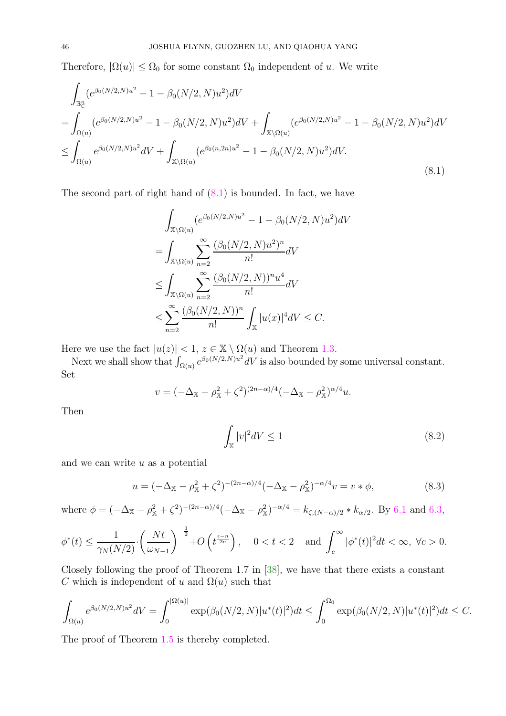<span id="page-45-1"></span>Therefore,  $|\Omega(u)| \leq \Omega_0$  for some constant  $\Omega_0$  independent of u. We write

<span id="page-45-0"></span>
$$
\int_{\mathbb{B}_{\mathbb{C}}^{n}} (e^{\beta_0(N/2,N)u^2} - 1 - \beta_0(N/2,N)u^2)dV
$$
\n
$$
= \int_{\Omega(u)} (e^{\beta_0(N/2,N)u^2} - 1 - \beta_0(N/2,N)u^2)dV + \int_{\mathbb{X}\backslash\Omega(u)} (e^{\beta_0(N/2,N)u^2} - 1 - \beta_0(N/2,N)u^2)dV
$$
\n
$$
\leq \int_{\Omega(u)} e^{\beta_0(N/2,N)u^2}dV + \int_{\mathbb{X}\backslash\Omega(u)} (e^{\beta_0(n,2n)u^2} - 1 - \beta_0(N/2,N)u^2)dV.
$$
\n(8.1)

The second part of right hand of  $(8.1)$  is bounded. In fact, we have

$$
\int_{\mathbb{X}\backslash\Omega(u)} (e^{\beta_0(N/2,N)u^2} - 1 - \beta_0(N/2,N)u^2)dV
$$
  
= 
$$
\int_{\mathbb{X}\backslash\Omega(u)} \sum_{n=2}^{\infty} \frac{(\beta_0(N/2,N)u^2)^n}{n!}dV
$$
  

$$
\leq \int_{\mathbb{X}\backslash\Omega(u)} \sum_{n=2}^{\infty} \frac{(\beta_0(N/2,N))^n u^4}{n!}dV
$$
  

$$
\leq \sum_{n=2}^{\infty} \frac{(\beta_0(N/2,N))^n}{n!} \int_{\mathbb{X}} |u(x)|^4 dV \leq C.
$$

Here we use the fact  $|u(z)| < 1$ ,  $z \in \mathbb{X} \setminus \Omega(u)$  and Theorem [1.3.](#page-8-0)

Next we shall show that  $\int_{\Omega(u)} e^{\beta_0(N/2,N)u^2} dV$  is also bounded by some universal constant. Set

$$
v = (-\Delta_{\mathbb{X}} - \rho_{\mathbb{X}}^2 + \zeta^2)^{(2n-\alpha)/4} (-\Delta_{\mathbb{X}} - \rho_{\mathbb{X}}^2)^{\alpha/4} u.
$$

Then

$$
\int_{\mathbb{X}} |v|^2 dV \le 1\tag{8.2}
$$

and we can write  $u$  as a potential

$$
u = (-\Delta_{\mathbb{X}} - \rho_{\mathbb{X}}^2 + \zeta^2)^{-(2n-\alpha)/4} (-\Delta_{\mathbb{X}} - \rho_{\mathbb{X}}^2)^{-\alpha/4} v = v * \phi,
$$
\n(8.3)

where  $\phi = (-\Delta_{\mathbb{X}} - \rho_{\mathbb{X}}^2 + \zeta^2)^{-(2n-\alpha)/4}(-\Delta_{\mathbb{X}} - \rho_{\mathbb{X}}^2)^{-\alpha/4} = k_{\zeta,(N-\alpha)/2} * k_{\alpha/2}$ . By [6.1](#page-41-3) and [6.3,](#page-41-1)

$$
\phi^*(t) \le \frac{1}{\gamma_N(N/2)} \cdot \left(\frac{Nt}{\omega_{N-1}}\right)^{-\frac{1}{2}} + O\left(t^{\frac{\epsilon-n}{2n}}\right), \quad 0 < t < 2 \quad \text{and } \int_c^{\infty} |\phi^*(t)|^2 dt < \infty, \ \forall c > 0.
$$

Closely following the proof of Theorem 1.7 in [\[38\]](#page-49-3), we have that there exists a constant C which is independent of u and  $\Omega(u)$  such that

$$
\int_{\Omega(u)} e^{\beta_0(N/2,N)u^2} dV = \int_0^{|\Omega(u)|} \exp(\beta_0(N/2,N)|u^*(t)|^2) dt \le \int_0^{\Omega_0} \exp(\beta_0(N/2,N)|u^*(t)|^2) dt \le C.
$$

The proof of Theorem [1.5](#page-8-2) is thereby completed.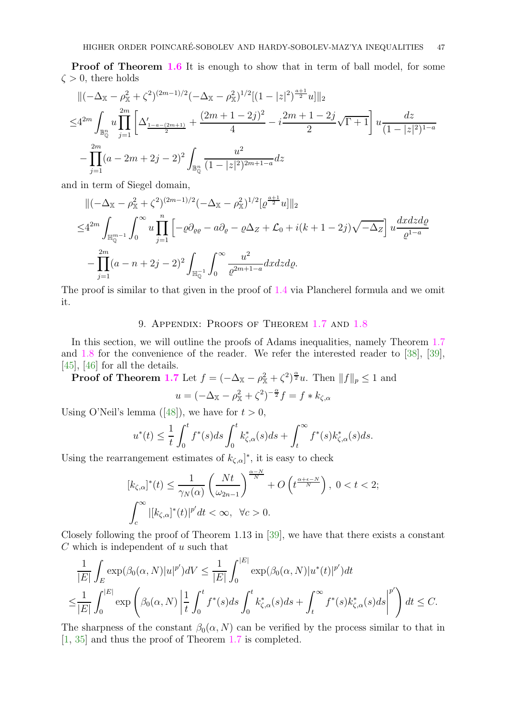<span id="page-46-1"></span>**Proof of Theorem [1.6](#page-9-0)** It is enough to show that in term of ball model, for some  $\zeta > 0$ , there holds

$$
\begin{split}\n&\|(-\Delta_{\mathbb{X}} - \rho_{\mathbb{X}}^2 + \zeta^2)^{(2m-1)/2}(-\Delta_{\mathbb{X}} - \rho_{\mathbb{X}}^2)^{1/2}[(1-|z|^2)^{\frac{a+1}{2}}u]\|_2 \\
&\leq 4^{2m} \int_{\mathbb{B}_0^n} u \prod_{j=1}^{2m} \left[ \Delta'_{\frac{1-a-(2m+1)}{2}} + \frac{(2m+1-2j)^2}{4} - i \frac{2m+1-2j}{2} \sqrt{\Gamma+1} \right] u \frac{dz}{(1-|z|^2)^{1-a}} \\
&\quad - \prod_{j=1}^{2m} (a-2m+2j-2)^2 \int_{\mathbb{B}_0^n} \frac{u^2}{(1-|z|^2)^{2m+1-a}} dz\n\end{split}
$$

and in term of Siegel domain,

$$
\begin{split}\n&\|(-\Delta_{\mathbb{X}} - \rho_{\mathbb{X}}^2 + \zeta^2)^{(2m-1)/2}(-\Delta_{\mathbb{X}} - \rho_{\mathbb{X}}^2)^{1/2}[\varrho^{\frac{a+1}{2}}u]\|_2 \\
&\leq 4^{2m} \int_{\mathbb{H}_{\mathbb{Q}}^{m-1}} \int_0^\infty u \prod_{j=1}^n \left[ -\varrho \partial_{\varrho\varrho} - a \partial_{\varrho} - \varrho \Delta_Z + \mathcal{L}_0 + i(k+1-2j)\sqrt{-\Delta_Z} \right] u \frac{dx dz d\varrho}{\varrho^{1-a}} \\
&\quad - \prod_{j=1}^{2m} (a - n + 2j - 2)^2 \int_{\mathbb{H}_{\mathbb{Q}}^{-1}} \int_0^\infty \frac{u^2}{\varrho^{2m+1-a}} dx dz d\varrho.\n\end{split}
$$

<span id="page-46-0"></span>The proof is similar to that given in the proof of [1.4](#page-8-1) via Plancherel formula and we omit it.

## 9. APPENDIX: PROOFS OF THEOREM [1.7](#page-9-1) AND [1.8](#page-9-2)

In this section, we will outline the proofs of Adams inequalities, namely Theorem [1.7](#page-9-1) and [1.8](#page-9-2) for the convenience of the reader. We refer the interested reader to [\[38\]](#page-49-3), [\[39\]](#page-49-4), [\[45\]](#page-49-2), [\[46\]](#page-49-5) for all the details.

**Proof of Theorem [1.7](#page-9-1)** Let  $f = (-\Delta_{\mathbb{X}} - \rho_{\mathbb{X}}^2 + \zeta^2)^{\frac{\alpha}{2}}u$ . Then  $||f||_p \le 1$  and  $u = (-\Delta_{\mathbb{X}} - \rho_{\mathbb{X}}^2 + \zeta^2)^{-\frac{\alpha}{2}}f = f * k_{\zeta,\alpha}$ 

UsingO'Neil's lemma ([\[48\]](#page-49-16)), we have for  $t > 0$ ,

$$
u^*(t) \leq \frac{1}{t} \int_0^t f^*(s)ds \int_0^t k_{\zeta,\alpha}^*(s)ds + \int_t^\infty f^*(s)k_{\zeta,\alpha}^*(s)ds.
$$

Using the rearrangement estimates of  $k_{\zeta,\alpha}$ <sup>\*</sup>, it is easy to check

$$
[k_{\zeta,\alpha}]^*(t) \le \frac{1}{\gamma_N(\alpha)} \left(\frac{Nt}{\omega_{2n-1}}\right)^{\frac{\alpha-N}{N}} + O\left(t^{\frac{\alpha+\epsilon-N}{N}}\right), \ 0 < t < 2;
$$
\n
$$
\int_c^\infty |[k_{\zeta,\alpha}]^*(t)|^{p'}dt < \infty, \ \ \forall c > 0.
$$

Closely following the proof of Theorem 1.13 in [\[39\]](#page-49-4), we have that there exists a constant  $C$  which is independent of  $u$  such that

$$
\frac{1}{|E|}\int_{E} \exp(\beta_0(\alpha, N)|u|^{p'})dV \le \frac{1}{|E|}\int_0^{|E|} \exp(\beta_0(\alpha, N)|u^*(t)|^{p'})dt
$$
  

$$
\le \frac{1}{|E|}\int_0^{|E|} \exp\left(\beta_0(\alpha, N)\left|\frac{1}{t}\int_0^t f^*(s)ds\int_0^t k_{\zeta,\alpha}^*(s)ds + \int_t^\infty f^*(s)k_{\zeta,\alpha}^*(s)ds\right|^{p'}\right)dt \le C.
$$

The sharpness of the constant  $\beta_0(\alpha, N)$  can be verified by the process similar to that in [\[1,](#page-47-3) [35\]](#page-49-19) and thus the proof of Theorem [1.7](#page-9-1) is completed.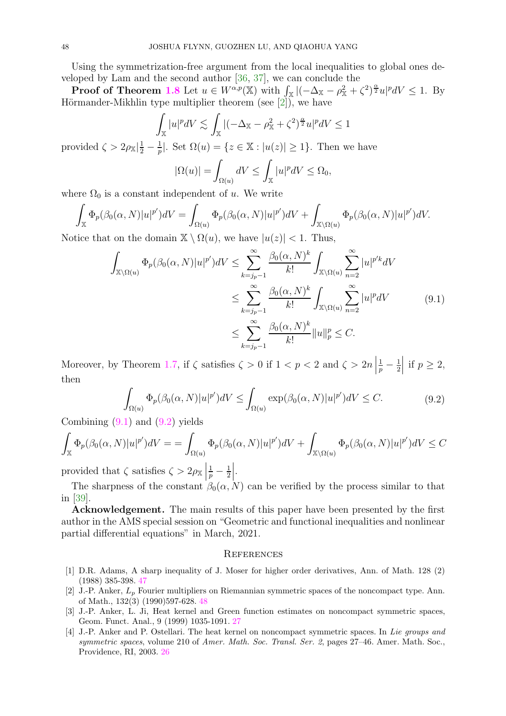<span id="page-47-7"></span>Using the symmetrization-free argument from the local inequalities to global ones developed by Lam and the second author [\[36,](#page-49-20) [37\]](#page-49-21), we can conclude the

**Proof of Theorem [1.8](#page-9-2)** Let  $u \in W^{\alpha,p}(\mathbb{X})$  with  $\int_{\mathbb{X}} |(-\Delta_{\mathbb{X}} - \rho_{\mathbb{X}}^2 + \zeta^2)^{\frac{\alpha}{2}} u|^p dV \leq 1$ . By Hörmander-Mikhlin type multiplier theorem (see  $[2]$ ), we have

$$
\int_{\mathbb{X}} |u|^p dV \lesssim \int_{\mathbb{X}} |(-\Delta_{\mathbb{X}} - \rho_{\mathbb{X}}^2 + \zeta^2)^{\frac{\alpha}{2}} u|^p dV \le 1
$$

provided  $\zeta > 2\rho_{\mathbb{X}}\left|\frac{1}{2} - \frac{1}{p}\right|$  $\frac{1}{p}$ . Set  $\Omega(u) = \{z \in \mathbb{X} : |u(z)| \geq 1\}$ . Then we have

$$
|\Omega(u)| = \int_{\Omega(u)} dV \le \int_{\mathbb{X}} |u|^p dV \le \Omega_0,
$$

where  $\Omega_0$  is a constant independent of u. We write

$$
\int_{\mathbb{X}} \Phi_p(\beta_0(\alpha, N)|u|^{p'})dV = \int_{\Omega(u)} \Phi_p(\beta_0(\alpha, N)|u|^{p'})dV + \int_{\mathbb{X}\backslash\Omega(u)} \Phi_p(\beta_0(\alpha, N)|u|^{p'})dV.
$$

Notice that on the domain  $\mathbb{X} \setminus \Omega(u)$ , we have  $|u(z)| < 1$ . Thus,

$$
\int_{\mathbb{X}\backslash\Omega(u)} \Phi_p(\beta_0(\alpha, N)|u|^{p'})dV \leq \sum_{k=j_p-1}^{\infty} \frac{\beta_0(\alpha, N)^k}{k!} \int_{\mathbb{X}\backslash\Omega(u)} \sum_{n=2}^{\infty} |u|^{p'k}dV
$$
\n
$$
\leq \sum_{k=j_p-1}^{\infty} \frac{\beta_0(\alpha, N)^k}{k!} \int_{\mathbb{X}\backslash\Omega(u)} \sum_{n=2}^{\infty} |u|^p dV \tag{9.1}
$$
\n
$$
\leq \sum_{k=j_p-1}^{\infty} \frac{\beta_0(\alpha, N)^k}{k!} ||u||_p^p \leq C.
$$

<span id="page-47-5"></span>Moreover, by Theorem [1.7,](#page-9-1) if  $\zeta$  satisfies  $\zeta > 0$  if  $1 < p < 2$  and  $\zeta > 2n$  $\frac{1}{p} - \frac{1}{2}$ 2 | if  $p \geq 2$ , then

$$
\int_{\Omega(u)} \Phi_p(\beta_0(\alpha, N)|u|^{p'})dV \le \int_{\Omega(u)} \exp(\beta_0(\alpha, N)|u|^{p'})dV \le C. \tag{9.2}
$$

<span id="page-47-6"></span>Combining  $(9.1)$  and  $(9.2)$  yields

$$
\int_{\mathbb{X}} \Phi_p(\beta_0(\alpha, N)|u|^{p'})dV = \int_{\Omega(u)} \Phi_p(\beta_0(\alpha, N)|u|^{p'})dV + \int_{\mathbb{X}\backslash\Omega(u)} \Phi_p(\beta_0(\alpha, N)|u|^{p'})dV \leq C
$$

provided that  $\zeta$  satisfies  $\zeta > 2\rho_{\mathbb{X}}$  $\frac{1}{p} - \frac{1}{2}$ 2  $\Big\}$ .

The sharpness of the constant  $\beta_0(\alpha, N)$  can be verified by the process similar to that in [\[39\]](#page-49-4).

Acknowledgement. The main results of this paper have been presented by the first author in the AMS special session on "Geometric and functional inequalities and nonlinear partial differential equations" in March, 2021.

#### <span id="page-47-0"></span>**REFERENCES**

- <span id="page-47-3"></span>[1] D.R. Adams, A sharp inequality of J. Moser for higher order derivatives, Ann. of Math. 128 (2) (1988) 385-398. [47](#page-46-1)
- <span id="page-47-4"></span>[2] J.-P. Anker,  $L_p$  Fourier multipliers on Riemannian symmetric spaces of the noncompact type. Ann. of Math., 132(3) (1990)597-628. [48](#page-47-7)
- <span id="page-47-2"></span>[3] J.-P. Anker, L. Ji, Heat kernel and Green function estimates on noncompact symmetric spaces, Geom. Funct. Anal., 9 (1999) 1035-1091. [27](#page-26-4)
- <span id="page-47-1"></span>[4] J.-P. Anker and P. Ostellari. The heat kernel on noncompact symmetric spaces. In Lie groups and symmetric spaces, volume 210 of Amer. Math. Soc. Transl. Ser. 2, pages 27–46. Amer. Math. Soc., Providence, RI, 2003. [26](#page-25-5)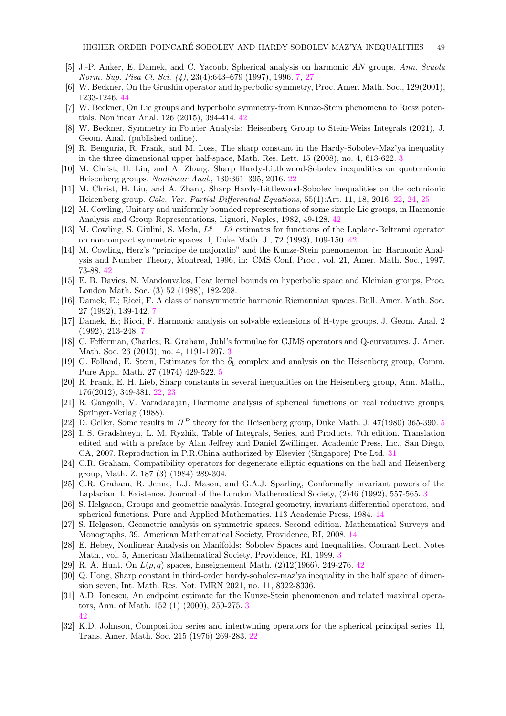- <span id="page-48-9"></span>[5] J.-P. Anker, E. Damek, and C. Yacoub. Spherical analysis on harmonic AN groups. Ann. Scuola Norm. Sup. Pisa Cl. Sci. (4), 23(4):643–679 (1997), 1996. [7,](#page-6-2) [27](#page-26-4)
- <span id="page-48-23"></span><span id="page-48-21"></span>[6] W. Beckner, On the Grushin operator and hyperbolic symmetry, Proc. Amer. Math. Soc., 129(2001), 1233-1246. [44](#page-43-2)
- [7] W. Beckner, On Lie groups and hyperbolic symmetry-from Kunze-Stein phenomena to Riesz potentials. Nonlinear Anal. 126 (2015), 394-414. [42](#page-41-4)
- [8] W. Beckner, Symmetry in Fourier Analysis: Heisenberg Group to Stein-Weiss Integrals (2021), J. Geom. Anal. (published online).
- <span id="page-48-2"></span>[9] R. Benguria, R. Frank, and M. Loss, The sharp constant in the Hardy-Sobolev-Maz'ya inequality in the three dimensional upper half-space, Math. Res. Lett. 15 (2008), no. 4, 613-622. [3](#page-2-0)
- <span id="page-48-15"></span><span id="page-48-14"></span>[10] M. Christ, H. Liu, and A. Zhang. Sharp Hardy-Littlewood-Sobolev inequalities on quaternionic Heisenberg groups. Nonlinear Anal., 130:361–395, 2016. [22](#page-21-7)
- [11] M. Christ, H. Liu, and A. Zhang. Sharp Hardy-Littlewood-Sobolev inequalities on the octonionic Heisenberg group. Calc. Var. Partial Differential Equations, 55(1):Art. 11, 18, 2016. [22,](#page-21-7) [24,](#page-23-3) [25](#page-24-0)
- <span id="page-48-18"></span>[12] M. Cowling, Unitary and uniformly bounded representations of some simple Lie groups, in Harmonic Analysis and Group Representations, Liguori, Naples, 1982, 49-128. [42](#page-41-4)
- <span id="page-48-19"></span>[13] M. Cowling, S. Giulini, S. Meda,  $L^p - L^q$  estimates for functions of the Laplace-Beltrami operator on noncompact symmetric spaces. I, Duke Math. J., 72 (1993), 109-150. [42](#page-41-4)
- <span id="page-48-17"></span>[14] M. Cowling, Herz's "principe de majoratio" and the Kunze-Stein phenomenon, in: Harmonic Analysis and Number Theory, Montreal, 1996, in: CMS Conf. Proc., vol. 21, Amer. Math. Soc., 1997, 73-88. [42](#page-41-4)
- [15] E. B. Davies, N. Mandouvalos, Heat kernel bounds on hyperbolic space and Kleinian groups, Proc. London Math. Soc. (3) 52 (1988), 182-208.
- <span id="page-48-7"></span>[16] Damek, E.; Ricci, F. A class of nonsymmetric harmonic Riemannian spaces. Bull. Amer. Math. Soc. 27 (1992), 139-142. [7](#page-6-2)
- <span id="page-48-8"></span>[17] Damek, E.; Ricci, F. Harmonic analysis on solvable extensions of H-type groups. J. Geom. Anal. 2 (1992), 213-248. [7](#page-6-2)
- <span id="page-48-1"></span>[18] C. Fefferman, Charles; R. Graham, Juhl's formulae for GJMS operators and Q-curvatures. J. Amer. Math. Soc. 26 (2013), no. 4, 1191-1207. [3](#page-2-0)
- <span id="page-48-6"></span>[19] G. Folland, E. Stein, Estimates for the  $\bar{\partial}_b$  complex and analysis on the Heisenberg group, Comm. Pure Appl. Math. 27 (1974) 429-522. [5](#page-4-2)
- <span id="page-48-12"></span>[20] R. Frank, E. H. Lieb, Sharp constants in several inequalities on the Heisenberg group, Ann. Math., 176(2012), 349-381. [22,](#page-21-7) [23](#page-22-0)
- [21] R. Gangolli, V. Varadarajan, Harmonic analysis of spherical functions on real reductive groups, Springer-Verlag (1988).
- <span id="page-48-16"></span><span id="page-48-5"></span>[22] D. Geller, Some results in  $H^P$  theory for the Heisenberg group, Duke Math. J. 47(1980) 36[5](#page-4-2)-390. 5
- [23] I. S. Gradshteyn, L. M. Ryzhik, Table of Integrals, Series, and Products. 7th edition. Translation edited and with a preface by Alan Jeffrey and Daniel Zwillinger. Academic Press, Inc., San Diego, CA, 2007. Reproduction in P.R.China authorized by Elsevier (Singapore) Pte Ltd. [31](#page-30-2)
- [24] C.R. Graham, Compatibility operators for degenerate elliptic equations on the ball and Heisenberg group, Math. Z. 187 (3) (1984) 289-304.
- <span id="page-48-0"></span>[25] C.R. Graham, R. Jenne, L.J. Mason, and G.A.J. Sparling, Conformally invariant powers of the Laplacian. I. Existence. Journal of the London Mathematical Society, (2)46 (1992), 557-565. [3](#page-2-0)
- <span id="page-48-10"></span>[26] S. Helgason, Groups and geometric analysis. Integral geometry, invariant differential operators, and spherical functions. Pure and Applied Mathematics. 113 Academic Press, 1984. [14](#page-13-1)
- <span id="page-48-11"></span>[27] S. Helgason, Geometric analysis on symmetric spaces. Second edition. Mathematical Surveys and Monographs, 39. American Mathematical Society, Providence, RI, 2008. [14](#page-13-1)
- <span id="page-48-3"></span>[28] E. Hebey, Nonlinear Analysis on Manifolds: Sobolev Spaces and Inequalities, Courant Lect. Notes Math., vol. 5, American Mathematical Society, Providence, RI, 1999. [3](#page-2-0)
- <span id="page-48-22"></span><span id="page-48-4"></span>[29] R. A. Hunt, On  $L(p,q)$  spaces, Enseignement Math. (2)12(1966), 249-276. [42](#page-41-4)
- [30] Q. Hong, Sharp constant in third-order hardy-sobolev-maz'ya inequality in the half space of dimension seven, Int. Math. Res. Not. IMRN 2021, no. 11, 8322-8336.
- <span id="page-48-20"></span>[31] A.D. Ionescu, An endpoint estimate for the Kunze-Stein phenomenon and related maximal operators, Ann. of Math. 152 (1) (2000), 259-275. [3](#page-2-0) [42](#page-41-4)
- <span id="page-48-13"></span>[32] K.D. Johnson, Composition series and intertwining operators for the spherical principal series. II, Trans. Amer. Math. Soc. 215 (1976) 269-283. [22](#page-21-7)